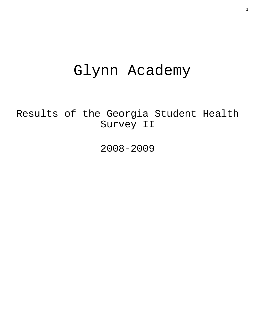# Glynn Academy

Results of the Georgia Student Health Survey II

2008-2009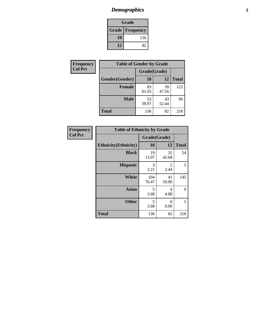## *Demographics* **2**

| Grade                    |     |  |  |
|--------------------------|-----|--|--|
| <b>Grade   Frequency</b> |     |  |  |
| 10                       | 136 |  |  |
| 12                       | 82  |  |  |

| Frequency      | <b>Table of Gender by Grade</b> |              |             |              |  |
|----------------|---------------------------------|--------------|-------------|--------------|--|
| <b>Col Pct</b> |                                 | Grade(Grade) |             |              |  |
|                | Gender(Gender)                  | 10           | 12          | <b>Total</b> |  |
|                | <b>Female</b>                   | 83<br>61.03  | 39<br>47.56 | 122          |  |
|                | <b>Male</b>                     | 53<br>38.97  | 43<br>52.44 | 96           |  |
|                | <b>Total</b>                    | 136          | 82          | 218          |  |

| <b>Frequency</b> |  |
|------------------|--|
| <b>Col Pct</b>   |  |

| <b>Table of Ethnicity by Grade</b> |              |             |              |  |  |  |
|------------------------------------|--------------|-------------|--------------|--|--|--|
|                                    | Grade(Grade) |             |              |  |  |  |
| <b>Ethnicity</b> (Ethnicity)       | 10           | 12          | <b>Total</b> |  |  |  |
| <b>Black</b>                       | 19<br>13.97  | 35<br>42.68 | 54           |  |  |  |
| <b>Hispanic</b>                    | 3<br>2.21    | 2<br>2.44   | 5            |  |  |  |
| <b>White</b>                       | 104<br>76.47 | 41<br>50.00 | 145          |  |  |  |
| <b>Asian</b>                       | 5<br>3.68    | 4<br>4.88   | 9            |  |  |  |
| <b>Other</b>                       | 5<br>3.68    | 0<br>0.00   | 5            |  |  |  |
| <b>Total</b>                       | 136          | 82          | 218          |  |  |  |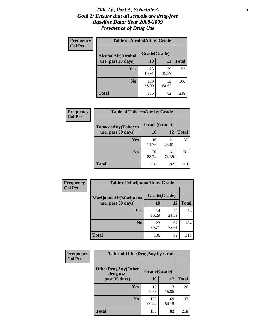#### *Title IV, Part A, Schedule A* **3** *Goal 1: Ensure that all schools are drug-free Baseline Data: Year 2008-2009 Prevalence of Drug Use*

| Frequency<br><b>Col Pct</b> | <b>Table of AlcoholAlt by Grade</b> |              |             |              |  |  |
|-----------------------------|-------------------------------------|--------------|-------------|--------------|--|--|
|                             | AlcoholAlt(Alcohol                  | Grade(Grade) |             |              |  |  |
|                             | use, past 30 days)                  | 10           | 12          | <b>Total</b> |  |  |
|                             | Yes                                 | 23<br>16.91  | 29<br>35.37 | 52           |  |  |
|                             | N <sub>0</sub>                      | 113<br>83.09 | 53<br>64.63 | 166          |  |  |
|                             | <b>Total</b>                        | 136          | 82          | 218          |  |  |

| Frequency      | <b>Table of TobaccoAny by Grade</b> |              |             |              |  |
|----------------|-------------------------------------|--------------|-------------|--------------|--|
| <b>Col Pct</b> | <b>TobaccoAny(Tobacco</b>           | Grade(Grade) |             |              |  |
|                | use, past 30 days)                  | 10           | 12          | <b>Total</b> |  |
|                | Yes                                 | 16<br>11.76  | 21<br>25.61 | 37           |  |
|                | N <sub>0</sub>                      | 120<br>88.24 | 61<br>74.39 | 181          |  |
|                | Total                               | 136          | 82          | 218          |  |

| Frequency<br><b>Col Pct</b> | <b>Table of MarijuanaAlt by Grade</b> |              |             |              |  |
|-----------------------------|---------------------------------------|--------------|-------------|--------------|--|
|                             | MarijuanaAlt(Marijuana                | Grade(Grade) |             |              |  |
|                             | use, past 30 days)                    | 10           | 12          | <b>Total</b> |  |
|                             | <b>Yes</b>                            | 14<br>10.29  | 20<br>24.39 | 34           |  |
|                             | N <sub>0</sub>                        | 122<br>89.71 | 62<br>75.61 | 184          |  |
|                             | <b>Total</b>                          | 136          | 82          | 218          |  |

| Frequency      | <b>Table of OtherDrugAny by Grade</b>  |              |             |              |  |
|----------------|----------------------------------------|--------------|-------------|--------------|--|
| <b>Col Pct</b> | <b>OtherDrugAny(Other</b><br>drug use, | Grade(Grade) |             |              |  |
|                | past 30 days)                          | 10           | 12          | <b>Total</b> |  |
|                | <b>Yes</b>                             | 13<br>9.56   | 13<br>15.85 | 26           |  |
|                | N <sub>0</sub>                         | 123<br>90.44 | 69<br>84.15 | 192          |  |
|                | <b>Total</b>                           | 136          | 82          | 218          |  |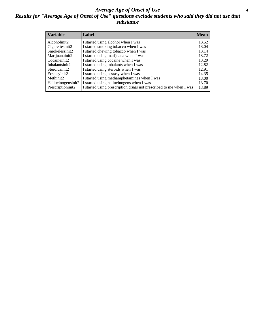#### *Average Age of Onset of Use* **4** *Results for "Average Age of Onset of Use" questions exclude students who said they did not use that substance*

| <b>Variable</b>    | Label                                                              | <b>Mean</b> |
|--------------------|--------------------------------------------------------------------|-------------|
| Alcoholinit2       | I started using alcohol when I was                                 | 13.52       |
| Cigarettesinit2    | I started smoking tobacco when I was                               | 13.04       |
| Smokelessinit2     | I started chewing tobacco when I was                               | 13.14       |
| Marijuanainit2     | I started using marijuana when I was                               | 13.72       |
| Cocaineinit2       | I started using cocaine when I was                                 | 13.29       |
| Inhalantsinit2     | I started using inhalants when I was                               | 12.82       |
| Steroidsinit2      | I started using steroids when I was                                | 12.91       |
| Ecstasyinit2       | I started using ecstasy when I was                                 | 14.35       |
| Methinit2          | I started using methamphetamines when I was                        | 13.00       |
| Hallucinogensinit2 | I started using hallucinogens when I was                           | 13.70       |
| Prescriptioninit2  | I started using prescription drugs not prescribed to me when I was | 13.89       |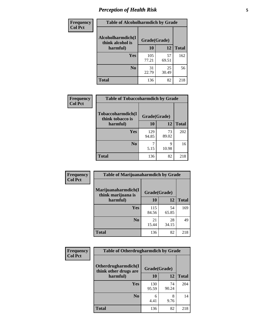## *Perception of Health Risk* **5**

| <b>Frequency</b> | <b>Table of Alcoholharmdich by Grade</b> |              |             |              |  |
|------------------|------------------------------------------|--------------|-------------|--------------|--|
| <b>Col Pct</b>   | Alcoholharmdich(I<br>think alcohol is    | Grade(Grade) |             |              |  |
|                  | harmful)                                 | 10           | 12          | <b>Total</b> |  |
|                  | <b>Yes</b>                               | 105<br>77.21 | 57<br>69.51 | 162          |  |
|                  | N <sub>0</sub>                           | 31<br>22.79  | 25<br>30.49 | 56           |  |
|                  | <b>Total</b>                             | 136          | 82          | 218          |  |

| Frequency      | <b>Table of Tobaccoharmdich by Grade</b> |              |             |              |  |
|----------------|------------------------------------------|--------------|-------------|--------------|--|
| <b>Col Pct</b> | Tobaccoharmdich(I<br>think tobacco is    | Grade(Grade) |             |              |  |
|                | harmful)                                 | 10           | 12          | <b>Total</b> |  |
|                | Yes                                      | 129<br>94.85 | 73<br>89.02 | 202          |  |
|                | N <sub>0</sub>                           | 5.15         | 9<br>10.98  | 16           |  |
|                | <b>Total</b>                             | 136          | 82          | 218          |  |

| Frequency      | <b>Table of Marijuanaharmdich by Grade</b> |              |             |              |  |
|----------------|--------------------------------------------|--------------|-------------|--------------|--|
| <b>Col Pct</b> | Marijuanaharmdich(I<br>think marijuana is  | Grade(Grade) |             |              |  |
|                | harmful)                                   | 10           | 12          | <b>Total</b> |  |
|                | Yes                                        | 115<br>84.56 | 54<br>65.85 | 169          |  |
|                | N <sub>0</sub>                             | 21<br>15.44  | 28<br>34.15 | 49           |  |
|                | <b>Total</b>                               | 136          | 82          | 218          |  |

| <b>Frequency</b> | <b>Table of Otherdrugharmdich by Grade</b>   |              |             |              |  |
|------------------|----------------------------------------------|--------------|-------------|--------------|--|
| <b>Col Pct</b>   | Otherdrugharmdich(I<br>think other drugs are | Grade(Grade) |             |              |  |
|                  | harmful)                                     | 10           | 12          | <b>Total</b> |  |
|                  | Yes                                          | 130<br>95.59 | 74<br>90.24 | 204          |  |
|                  | N <sub>0</sub>                               | 6<br>4.41    | 8<br>9.76   | 14           |  |
|                  | <b>Total</b>                                 | 136          | 82          | 218          |  |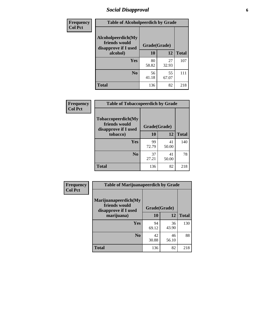### *Social Disapproval* **6**

| <b>Frequency</b> | <b>Table of Alcoholpeerdich by Grade</b>                    |              |             |              |  |  |  |
|------------------|-------------------------------------------------------------|--------------|-------------|--------------|--|--|--|
| <b>Col Pct</b>   | Alcoholpeerdich(My<br>friends would<br>disapprove if I used | Grade(Grade) |             |              |  |  |  |
|                  | alcohol)                                                    | 10           | 12          | <b>Total</b> |  |  |  |
|                  | <b>Yes</b>                                                  | 80<br>58.82  | 27<br>32.93 | 107          |  |  |  |
|                  | N <sub>0</sub>                                              | 56<br>41.18  | 55<br>67.07 | 111          |  |  |  |
|                  | <b>Total</b>                                                | 136          | 82          | 218          |  |  |  |

| <b>Frequency</b> |
|------------------|
| <b>Col Pct</b>   |

| <b>Table of Tobaccopeerdich by Grade</b>                    |              |             |              |  |  |  |
|-------------------------------------------------------------|--------------|-------------|--------------|--|--|--|
| Tobaccopeerdich(My<br>friends would<br>disapprove if I used | Grade(Grade) |             |              |  |  |  |
| tobacco)                                                    | 10           | 12          | <b>Total</b> |  |  |  |
| Yes                                                         | 99<br>72.79  | 41<br>50.00 | 140          |  |  |  |
| N <sub>0</sub>                                              | 37<br>27.21  | 41<br>50.00 | 78           |  |  |  |
| <b>Total</b>                                                | 136          | 82          | 218          |  |  |  |

| Frequency      | <b>Table of Marijuanapeerdich by Grade</b>                    |              |             |              |  |  |
|----------------|---------------------------------------------------------------|--------------|-------------|--------------|--|--|
| <b>Col Pct</b> | Marijuanapeerdich(My<br>friends would<br>disapprove if I used | Grade(Grade) |             |              |  |  |
|                | marijuana)                                                    | 10           | 12          | <b>Total</b> |  |  |
|                | <b>Yes</b>                                                    | 94<br>69.12  | 36<br>43.90 | 130          |  |  |
|                | N <sub>0</sub>                                                | 42<br>30.88  | 46<br>56.10 | 88           |  |  |
|                | <b>Total</b>                                                  | 136          | 82          | 218          |  |  |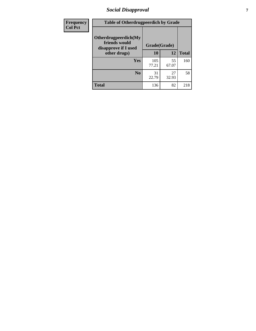### *Social Disapproval* **7**

| Frequency      | <b>Table of Otherdrugpeerdich by Grade</b>                    |              |             |              |  |  |
|----------------|---------------------------------------------------------------|--------------|-------------|--------------|--|--|
| <b>Col Pct</b> | Otherdrugpeerdich(My<br>friends would<br>disapprove if I used | Grade(Grade) |             |              |  |  |
|                | other drugs)                                                  | 10           | 12          | <b>Total</b> |  |  |
|                | Yes                                                           | 105<br>77.21 | 55<br>67.07 | 160          |  |  |
|                | N <sub>0</sub>                                                | 31<br>22.79  | 27<br>32.93 | 58           |  |  |
|                | <b>Total</b>                                                  | 136          | 82          | 218          |  |  |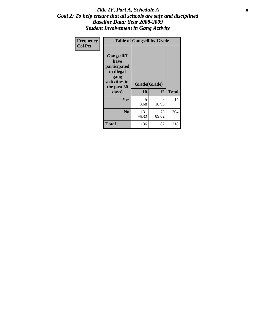#### Title IV, Part A, Schedule A **8** *Goal 2: To help ensure that all schools are safe and disciplined Baseline Data: Year 2008-2009 Student Involvement in Gang Activity*

| Frequency      | <b>Table of Gangself by Grade</b>                                                                 |                    |             |              |  |
|----------------|---------------------------------------------------------------------------------------------------|--------------------|-------------|--------------|--|
| <b>Col Pct</b> | Gangself(I<br>have<br>participated<br>in illegal<br>gang<br>activities in<br>the past 30<br>days) | Grade(Grade)<br>10 | 12          | <b>Total</b> |  |
|                | Yes                                                                                               | 5<br>3.68          | 9<br>10.98  | 14           |  |
|                | N <sub>0</sub>                                                                                    | 131<br>96.32       | 73<br>89.02 | 204          |  |
|                | <b>Total</b>                                                                                      | 136                | 82          | 218          |  |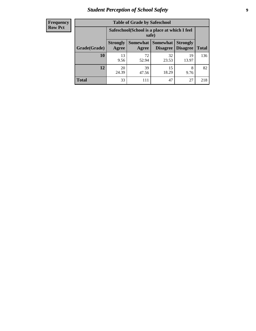### *Student Perception of School Safety* **9**

| <b>Frequency</b><br>Row Pct |
|-----------------------------|
|                             |

| <b>Table of Grade by Safeschool</b> |                          |                                                                                                        |             |             |     |  |  |
|-------------------------------------|--------------------------|--------------------------------------------------------------------------------------------------------|-------------|-------------|-----|--|--|
|                                     |                          | Safeschool (School is a place at which I feel<br>safe)                                                 |             |             |     |  |  |
| Grade(Grade)                        | <b>Strongly</b><br>Agree | Somewhat<br><b>Somewhat</b><br><b>Strongly</b><br><b>Disagree</b><br><b>Total</b><br>Disagree<br>Agree |             |             |     |  |  |
| 10                                  | 13<br>9.56               | 72<br>52.94                                                                                            | 32<br>23.53 | 19<br>13.97 | 136 |  |  |
| 12                                  | 20<br>24.39              | 39<br>47.56                                                                                            | 15<br>18.29 | 8<br>9.76   | 82  |  |  |
| <b>Total</b>                        | 33                       | 111                                                                                                    | 47          | 27          | 218 |  |  |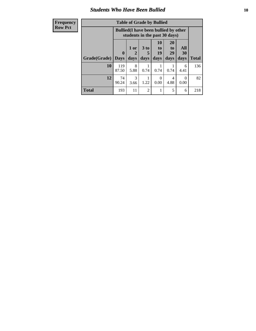### *Students Who Have Been Bullied* **10**

| <b>Frequency</b> | <b>Table of Grade by Bullied</b> |                                                                               |           |                      |                  |                       |                  |              |
|------------------|----------------------------------|-------------------------------------------------------------------------------|-----------|----------------------|------------------|-----------------------|------------------|--------------|
| <b>Row Pct</b>   |                                  | <b>Bullied</b> (I have been bullied by other<br>students in the past 30 days) |           |                      |                  |                       |                  |              |
|                  |                                  | $\mathbf{0}$                                                                  | 1 or<br>2 | 3 <sub>to</sub><br>5 | 10<br>to  <br>19 | <b>20</b><br>to<br>29 | All<br>30        |              |
|                  | <b>Grade</b> (Grade)             | <b>Days</b>                                                                   | days      | days                 | days             | days                  | days             | <b>Total</b> |
|                  | 10                               | 119<br>87.50                                                                  | 8<br>5.88 | 0.74                 | 0.74             | 0.74                  | 6<br>4.41        | 136          |
|                  | 12                               | 74<br>90.24                                                                   | 3<br>3.66 | 1.22                 | $\Omega$<br>0.00 | 4<br>4.88             | $\Omega$<br>0.00 | 82           |
|                  | <b>Total</b>                     | 193                                                                           | 11        | $\mathfrak{D}$       |                  | 5                     | 6                | 218          |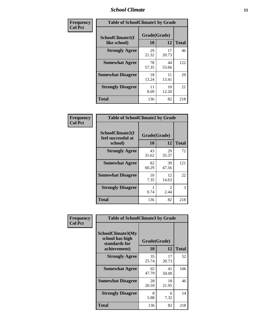### *School Climate* **11**

| <b>Frequency</b> | <b>Table of SchoolClimate1 by Grade</b> |                    |             |              |  |  |
|------------------|-----------------------------------------|--------------------|-------------|--------------|--|--|
| <b>Col Pct</b>   | SchoolClimate1(I<br>like school)        | Grade(Grade)<br>10 | 12          | <b>Total</b> |  |  |
|                  | <b>Strongly Agree</b>                   | 29<br>21.32        | 17<br>20.73 | 46           |  |  |
|                  | <b>Somewhat Agree</b>                   | 78<br>57.35        | 44<br>53.66 | 122          |  |  |
|                  | <b>Somewhat Disagree</b>                | 18<br>13.24        | 11<br>13.41 | 29           |  |  |
|                  | <b>Strongly Disagree</b>                | 11<br>8.09         | 10<br>12.20 | 21           |  |  |
|                  | <b>Total</b>                            | 136                | 82          | 218          |  |  |

| <b>Frequency</b> |
|------------------|
| <b>Col Pct</b>   |

| <b>Table of SchoolClimate2 by Grade</b>           |                    |                                     |              |  |
|---------------------------------------------------|--------------------|-------------------------------------|--------------|--|
| SchoolClimate2(I<br>feel successful at<br>school) | Grade(Grade)<br>10 | 12                                  | <b>Total</b> |  |
| <b>Strongly Agree</b>                             | 43<br>31.62        | 29<br>35.37                         | 72           |  |
| <b>Somewhat Agree</b>                             | 82<br>60.29        | 39<br>47.56                         | 121          |  |
| <b>Somewhat Disagree</b>                          | 10<br>7.35         | 12<br>14.63                         | 22           |  |
| <b>Strongly Disagree</b>                          | 0.74               | $\mathcal{D}_{\mathcal{L}}$<br>2.44 | 3            |  |
| <b>Total</b>                                      | 136                | 82                                  | 218          |  |

| Frequency      | <b>Table of SchoolClimate3 by Grade</b>                                      |                    |             |              |
|----------------|------------------------------------------------------------------------------|--------------------|-------------|--------------|
| <b>Col Pct</b> | <b>SchoolClimate3(My</b><br>school has high<br>standards for<br>achievement) | Grade(Grade)<br>10 | 12          | <b>Total</b> |
|                | <b>Strongly Agree</b>                                                        | 35<br>25.74        | 17<br>20.73 | 52           |
|                | <b>Somewhat Agree</b>                                                        | 65<br>47.79        | 41<br>50.00 | 106          |
|                | <b>Somewhat Disagree</b>                                                     | 28<br>20.59        | 18<br>21.95 | 46           |
|                | <b>Strongly Disagree</b>                                                     | 8<br>5.88          | 6<br>7.32   | 14           |
|                | Total                                                                        | 136                | 82          | 218          |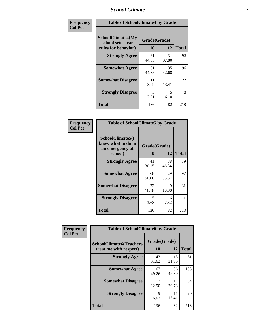### *School Climate* **12**

| Frequency      | <b>Table of SchoolClimate4 by Grade</b>                       |                    |             |              |
|----------------|---------------------------------------------------------------|--------------------|-------------|--------------|
| <b>Col Pct</b> | SchoolClimate4(My<br>school sets clear<br>rules for behavior) | Grade(Grade)<br>10 | 12          | <b>Total</b> |
|                | <b>Strongly Agree</b>                                         | 61<br>44.85        | 31<br>37.80 | 92           |
|                | <b>Somewhat Agree</b>                                         | 61<br>44.85        | 35<br>42.68 | 96           |
|                | <b>Somewhat Disagree</b>                                      | 11<br>8.09         | 11<br>13.41 | 22           |
|                | <b>Strongly Disagree</b>                                      | 3<br>2.21          | 5<br>6.10   | 8            |
|                | Total                                                         | 136                | 82          | 218          |

| <b>Table of SchoolClimate5 by Grade</b>                   |              |             |              |  |
|-----------------------------------------------------------|--------------|-------------|--------------|--|
| SchoolClimate5(I<br>know what to do in<br>an emergency at | Grade(Grade) |             |              |  |
| school)                                                   | 10           | 12          | <b>Total</b> |  |
| <b>Strongly Agree</b>                                     | 41<br>30.15  | 38<br>46.34 | 79           |  |
| <b>Somewhat Agree</b>                                     | 68<br>50.00  | 29<br>35.37 | 97           |  |
| <b>Somewhat Disagree</b>                                  | 22<br>16.18  | 9<br>10.98  | 31           |  |
| <b>Strongly Disagree</b>                                  | 5<br>3.68    | 6<br>7.32   | 11           |  |
| Total                                                     | 136          | 82          | 218          |  |

| Frequency      | <b>Table of SchoolClimate6 by Grade</b>                  |                    |             |              |
|----------------|----------------------------------------------------------|--------------------|-------------|--------------|
| <b>Col Pct</b> | <b>SchoolClimate6(Teachers</b><br>treat me with respect) | Grade(Grade)<br>10 | 12          | <b>Total</b> |
|                | <b>Strongly Agree</b>                                    | 43<br>31.62        | 18<br>21.95 | 61           |
|                | <b>Somewhat Agree</b>                                    | 67<br>49.26        | 36<br>43.90 | 103          |
|                | <b>Somewhat Disagree</b>                                 | 17<br>12.50        | 17<br>20.73 | 34           |
|                | <b>Strongly Disagree</b>                                 | 9<br>6.62          | 11<br>13.41 | 20           |
|                | <b>Total</b>                                             | 136                | 82          | 218          |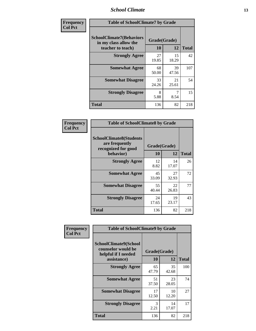### *School Climate* **13**

| Frequency      | <b>Table of SchoolClimate7 by Grade</b>                  |              |             |              |
|----------------|----------------------------------------------------------|--------------|-------------|--------------|
| <b>Col Pct</b> | <b>SchoolClimate7(Behaviors</b><br>in my class allow the | Grade(Grade) |             |              |
|                | teacher to teach)                                        | <b>10</b>    | <b>12</b>   | <b>Total</b> |
|                | <b>Strongly Agree</b>                                    | 27<br>19.85  | 15<br>18.29 | 42           |
|                | <b>Somewhat Agree</b>                                    | 68<br>50.00  | 39<br>47.56 | 107          |
|                | <b>Somewhat Disagree</b>                                 | 33<br>24.26  | 21<br>25.61 | 54           |
|                | <b>Strongly Disagree</b>                                 | 8<br>5.88    | 8.54        | 15           |
|                | <b>Total</b>                                             | 136          | 82          | 218          |

| Frequency      | <b>Table of SchoolClimate8 by Grade</b>                                              |                    |             |              |
|----------------|--------------------------------------------------------------------------------------|--------------------|-------------|--------------|
| <b>Col Pct</b> | <b>SchoolClimate8(Students</b><br>are frequently<br>recognized for good<br>behavior) | Grade(Grade)<br>10 | 12          | <b>Total</b> |
|                |                                                                                      | 12                 | 14          | 26           |
|                | <b>Strongly Agree</b>                                                                | 8.82               | 17.07       |              |
|                | <b>Somewhat Agree</b>                                                                | 45<br>33.09        | 27<br>32.93 | 72           |
|                | <b>Somewhat Disagree</b>                                                             | 55<br>40.44        | 22<br>26.83 | 77           |
|                | <b>Strongly Disagree</b>                                                             | 24<br>17.65        | 19<br>23.17 | 43           |
|                | <b>Total</b>                                                                         | 136                | 82          | 218          |

| Frequency      | <b>Table of SchoolClimate9 by Grade</b>                                           |                    |             |              |
|----------------|-----------------------------------------------------------------------------------|--------------------|-------------|--------------|
| <b>Col Pct</b> | SchoolClimate9(School<br>counselor would be<br>helpful if I needed<br>assistance) | Grade(Grade)<br>10 | 12          | <b>Total</b> |
|                | <b>Strongly Agree</b>                                                             | 65<br>47.79        | 35<br>42.68 | 100          |
|                | <b>Somewhat Agree</b>                                                             | 51<br>37.50        | 23<br>28.05 | 74           |
|                | <b>Somewhat Disagree</b>                                                          | 17<br>12.50        | 10<br>12.20 | 27           |
|                | <b>Strongly Disagree</b>                                                          | 3<br>2.21          | 14<br>17.07 | 17           |
|                | Total                                                                             | 136                | 82          | 218          |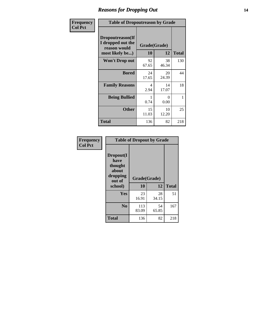### *Reasons for Dropping Out* **14**

| Frequency      | <b>Table of Dropoutreason by Grade</b>                                   |                    |             |              |
|----------------|--------------------------------------------------------------------------|--------------------|-------------|--------------|
| <b>Col Pct</b> | Dropoutreason(If<br>I dropped out the<br>reason would<br>most likely be) | Grade(Grade)<br>10 | 12          | <b>Total</b> |
|                | <b>Won't Drop out</b>                                                    | 92<br>67.65        | 38<br>46.34 | 130          |
|                | <b>Bored</b>                                                             | 24<br>17.65        | 20<br>24.39 | 44           |
|                | <b>Family Reasons</b>                                                    | 4<br>2.94          | 14<br>17.07 | 18           |
|                | <b>Being Bullied</b>                                                     | 0.74               | 0<br>0.00   | 1            |
|                | <b>Other</b>                                                             | 15<br>11.03        | 10<br>12.20 | 25           |
|                | <b>Total</b>                                                             | 136                | 82          | 218          |

| Frequency<br><b>Col Pct</b> | <b>Table of Dropout by Grade</b>                                       |                    |              |     |  |
|-----------------------------|------------------------------------------------------------------------|--------------------|--------------|-----|--|
|                             | Dropout(I<br>have<br>thought<br>about<br>dropping<br>out of<br>school) | Grade(Grade)<br>10 | <b>Total</b> |     |  |
|                             |                                                                        |                    | 12           |     |  |
|                             | Yes                                                                    | 23                 | 28           | 51  |  |
|                             |                                                                        | 16.91              | 34.15        |     |  |
|                             | N <sub>0</sub>                                                         | 113<br>83.09       | 54<br>65.85  | 167 |  |
|                             | <b>Total</b>                                                           | 136                | 82           | 218 |  |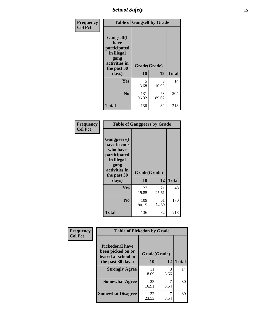*School Safety* **15**

| Frequency      | <b>Table of Gangself by Grade</b>                                                                 |                    |             |              |
|----------------|---------------------------------------------------------------------------------------------------|--------------------|-------------|--------------|
| <b>Col Pct</b> | Gangself(I<br>have<br>participated<br>in illegal<br>gang<br>activities in<br>the past 30<br>days) | Grade(Grade)<br>10 | 12          | <b>Total</b> |
|                | Yes                                                                                               | 5<br>3.68          | 9<br>10.98  | 14           |
|                | N <sub>o</sub>                                                                                    | 131<br>96.32       | 73<br>89.02 | 204          |
|                | Total                                                                                             | 136                | 82          | 218          |

| Frequency<br><b>Col Pct</b> | <b>Table of Gangpeers by Grade</b>                                                                                             |                    |             |              |
|-----------------------------|--------------------------------------------------------------------------------------------------------------------------------|--------------------|-------------|--------------|
|                             | <b>Gangpeers</b> (I<br>have friends<br>who have<br>participated<br>in illegal<br>gang<br>activities in<br>the past 30<br>days) | Grade(Grade)<br>10 | 12          | <b>Total</b> |
|                             | <b>Yes</b>                                                                                                                     | 27<br>19.85        | 21<br>25.61 | 48           |
|                             | N <sub>0</sub>                                                                                                                 | 109<br>80.15       | 61<br>74.39 | 170          |
|                             | <b>Total</b>                                                                                                                   | 136                | 82          | 218          |

| Frequency      |                                                                    | <b>Table of Pickedon by Grade</b> |              |              |  |  |  |  |  |  |
|----------------|--------------------------------------------------------------------|-----------------------------------|--------------|--------------|--|--|--|--|--|--|
| <b>Col Pct</b> | <b>Pickedon(I have</b><br>been picked on or<br>teased at school in |                                   | Grade(Grade) |              |  |  |  |  |  |  |
|                | the past 30 days)                                                  | 10                                | 12           | <b>Total</b> |  |  |  |  |  |  |
|                | <b>Strongly Agree</b>                                              | 11<br>8.09                        | 3<br>3.66    | 14           |  |  |  |  |  |  |
|                | <b>Somewhat Agree</b>                                              | 23<br>16.91                       | 8.54         | 30           |  |  |  |  |  |  |
|                | <b>Somewhat Disagree</b>                                           | 32<br>23.53                       | 8.54         | 39           |  |  |  |  |  |  |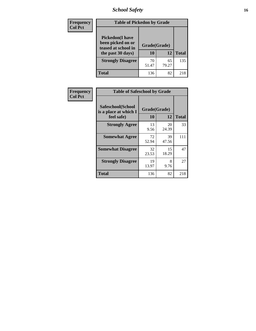### *School Safety* **16**

| Frequency      |                                                                                          | <b>Table of Pickedon by Grade</b> |             |              |  |  |  |  |  |  |  |  |
|----------------|------------------------------------------------------------------------------------------|-----------------------------------|-------------|--------------|--|--|--|--|--|--|--|--|
| <b>Col Pct</b> | <b>Pickedon</b> (I have<br>been picked on or<br>teased at school in<br>the past 30 days) | Grade(Grade)<br>10                | 12          | <b>Total</b> |  |  |  |  |  |  |  |  |
|                | <b>Strongly Disagree</b>                                                                 | 70<br>51.47                       | 65<br>79.27 | 135          |  |  |  |  |  |  |  |  |
|                | Total                                                                                    | 136                               | 82          | 218          |  |  |  |  |  |  |  |  |

| Frequency      |                                                          | <b>Table of Safeschool by Grade</b> |             |              |  |  |  |  |  |  |  |
|----------------|----------------------------------------------------------|-------------------------------------|-------------|--------------|--|--|--|--|--|--|--|
| <b>Col Pct</b> | Safeschool(School<br>is a place at which I<br>feel safe) | Grade(Grade)<br>10                  | 12          | <b>Total</b> |  |  |  |  |  |  |  |
|                | <b>Strongly Agree</b>                                    | 13<br>9.56                          | 20<br>24.39 | 33           |  |  |  |  |  |  |  |
|                | <b>Somewhat Agree</b>                                    | 72<br>52.94                         | 39<br>47.56 | 111          |  |  |  |  |  |  |  |
|                | <b>Somewhat Disagree</b>                                 | 32<br>23.53                         | 15<br>18.29 | 47           |  |  |  |  |  |  |  |
|                | <b>Strongly Disagree</b>                                 | 19<br>13.97                         | 8<br>9.76   | 27           |  |  |  |  |  |  |  |
|                | Total                                                    | 136                                 | 82          | 218          |  |  |  |  |  |  |  |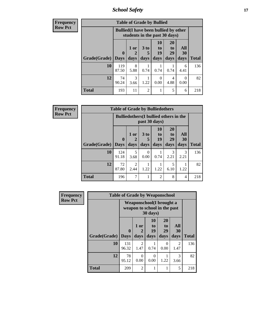*School Safety* **17**

| <b>Frequency</b> |                           |              | <b>Table of Grade by Bullied</b>                                              |                      |                |                       |                  |              |  |  |
|------------------|---------------------------|--------------|-------------------------------------------------------------------------------|----------------------|----------------|-----------------------|------------------|--------------|--|--|
| <b>Row Pct</b>   |                           |              | <b>Bullied</b> (I have been bullied by other<br>students in the past 30 days) |                      |                |                       |                  |              |  |  |
|                  |                           | $\mathbf 0$  | 1 or                                                                          | 3 <sub>to</sub><br>5 | 10<br>to<br>19 | <b>20</b><br>to<br>29 | All<br><b>30</b> |              |  |  |
|                  | <b>Grade</b> (Grade) Days |              | days                                                                          | days                 | days           | days                  | days             | <b>Total</b> |  |  |
|                  | 10                        | 119<br>87.50 | 8<br>5.88                                                                     | 0.74                 | 0.74           | 0.74                  | 6<br>4.41        | 136          |  |  |
|                  | 12                        | 74<br>90.24  | 3<br>3.66                                                                     | 1.22                 | 0<br>0.00      | 4<br>4.88             | $\Omega$<br>0.00 | 82           |  |  |
|                  | <b>Total</b>              | 193          | 11                                                                            | $\overline{2}$       |                | 5                     | 6                | 218          |  |  |

| <b>Frequency</b> |                     | <b>Table of Grade by Bulliedothers</b> |                                                                |                  |                          |                       |                |              |  |  |  |  |  |
|------------------|---------------------|----------------------------------------|----------------------------------------------------------------|------------------|--------------------------|-----------------------|----------------|--------------|--|--|--|--|--|
| <b>Row Pct</b>   |                     |                                        | <b>Bulliedothers</b> (I bullied others in the<br>past 30 days) |                  |                          |                       |                |              |  |  |  |  |  |
|                  |                     | $\mathbf{0}$                           | 1 or                                                           | 3 to             | 10<br>$\mathbf{t}$<br>19 | <b>20</b><br>to<br>29 | All<br>30      |              |  |  |  |  |  |
|                  | Grade(Grade)   Days |                                        | days                                                           | days             | days                     | days                  | days           | <b>Total</b> |  |  |  |  |  |
|                  | 10                  | 124<br>91.18                           | 5<br>3.68                                                      | $\Omega$<br>0.00 | 0.74                     | 3<br>2.21             | 3<br>2.21      | 136          |  |  |  |  |  |
|                  | 12                  | 72<br>87.80                            | 2<br>2.44                                                      | 1.22             | 1.22                     | 5<br>6.10             | 1.22           | 82           |  |  |  |  |  |
|                  | <b>Total</b>        | 196                                    | 7                                                              |                  | $\overline{2}$           | 8                     | $\overline{4}$ | 218          |  |  |  |  |  |

| <b>Frequency</b> |              | <b>Table of Grade by Weaponschool</b>                     |                |                         |                        |                        |              |
|------------------|--------------|-----------------------------------------------------------|----------------|-------------------------|------------------------|------------------------|--------------|
| <b>Row Pct</b>   |              | Weaponschool (I brought a<br>weapon to school in the past |                |                         |                        |                        |              |
|                  | Grade(Grade) | 0<br><b>Days</b>                                          | 1 or<br>days   | 10<br>to.<br>19<br>days | 20<br>to<br>29<br>days | All<br>30<br>days      | <b>Total</b> |
|                  | 10           | 131<br>96.32                                              | 2<br>1.47      | 0.74                    | 0<br>0.00              | $\mathfrak{D}$<br>1.47 | 136          |
|                  | 12           | 78<br>95.12                                               | 0<br>0.00      | 0<br>0.00               | 1.22                   | 3<br>3.66              | 82           |
|                  | <b>Total</b> | 209                                                       | $\overline{2}$ |                         | 1                      | 5                      | 218          |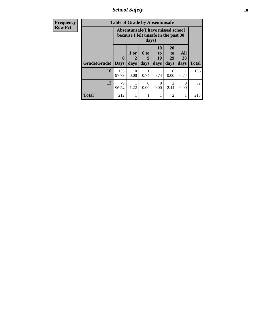*School Safety* **18**

| <b>Frequency</b> |              | <b>Table of Grade by Absentunsafe</b> |                             |                          |                                                                           |                                           |                   |              |
|------------------|--------------|---------------------------------------|-----------------------------|--------------------------|---------------------------------------------------------------------------|-------------------------------------------|-------------------|--------------|
| <b>Row Pct</b>   |              |                                       |                             | days)                    | Absentunsafe(I have missed school<br>because I felt unsafe in the past 30 |                                           |                   |              |
|                  | Grade(Grade) | $\mathbf 0$<br><b>Days</b>            | 1 or<br>$\mathbf 2$<br>days | <b>6 to</b><br>9<br>days | <b>10</b><br>to<br>19<br>days                                             | <b>20</b><br>t <sub>0</sub><br>29<br>days | All<br>30<br>days | <b>Total</b> |
|                  | 10           | 133<br>97.79                          | $\Omega$<br>0.00            | 0.74                     | 0.74                                                                      | 0<br>0.00                                 | 0.74              | 136          |
|                  | 12           | 79<br>96.34                           | 1.22                        | 0<br>0.00                | 0<br>0.00                                                                 | $\mathcal{D}_{\mathcal{L}}$<br>2.44       | $\Omega$<br>0.00  | 82           |
|                  | <b>Total</b> | 212                                   |                             |                          |                                                                           | 2                                         | 1                 | 218          |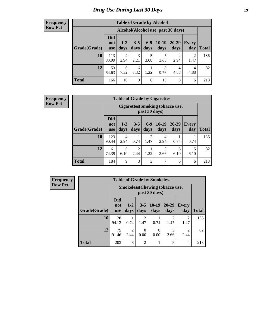### *Drug Use During Last 30 Days* **19**

#### **Frequency Row Pct**

| <b>Table of Grade by Alcohol</b> |                                 |                                    |                 |               |                 |               |                        |              |  |  |  |
|----------------------------------|---------------------------------|------------------------------------|-----------------|---------------|-----------------|---------------|------------------------|--------------|--|--|--|
|                                  |                                 | Alcohol(Alcohol use, past 30 days) |                 |               |                 |               |                        |              |  |  |  |
| Grade(Grade)                     | <b>Did</b><br>not<br><b>use</b> | $1-2$<br>days                      | $3 - 5$<br>days | $6-9$<br>days | $10-19$<br>days | 20-29<br>days | Every<br>day           | <b>Total</b> |  |  |  |
| 10                               | 113<br>83.09                    | 4<br>2.94                          | 3<br>2.21       | 5<br>3.68     | 5<br>3.68       | 4<br>2.94     | $\overline{2}$<br>1.47 | 136          |  |  |  |
| 12                               | 53<br>64.63                     | 6<br>7.32                          | 6<br>7.32       | 1<br>1.22     | 8<br>9.76       | 4<br>4.88     | 4<br>4.88              | 82           |  |  |  |
| <b>Total</b>                     | 166                             | 10                                 | 9               | 6             | 13              | 8             | 6                      | 218          |  |  |  |

#### **Frequency Row Pct**

| <b>Table of Grade by Cigarettes</b> |                                                                                                                                                |                                                          |           |                        |           |           |           |     |  |  |  |
|-------------------------------------|------------------------------------------------------------------------------------------------------------------------------------------------|----------------------------------------------------------|-----------|------------------------|-----------|-----------|-----------|-----|--|--|--|
|                                     |                                                                                                                                                | <b>Cigarettes (Smoking tobacco use,</b><br>past 30 days) |           |                        |           |           |           |     |  |  |  |
| Grade(Grade)                        | Did<br>$10-19$<br>$6-9$<br>$20 - 29$<br>$3 - 5$<br>$1 - 2$<br><b>Every</b><br>not<br>days<br>days<br>days<br>days<br>day<br>days<br><b>use</b> |                                                          |           |                        |           |           |           |     |  |  |  |
| 10                                  | 123<br>90.44                                                                                                                                   | 4<br>2.94                                                | 0.74      | $\overline{2}$<br>1.47 | 4<br>2.94 | 0.74      | 0.74      | 136 |  |  |  |
| 12                                  | 61<br>74.39                                                                                                                                    | 5<br>6.10                                                | 2<br>2.44 | 1.22                   | 3<br>3.66 | 5<br>6.10 | 5<br>6.10 | 82  |  |  |  |
| <b>Total</b>                        | 184                                                                                                                                            | 9                                                        | 3         | 3                      | 7         | 6         | 6         | 218 |  |  |  |

**Frequency Row Pct**

| <b>Table of Grade by Smokeless</b> |                                                                                                        |                                                        |                 |                 |                        |                     |              |  |  |  |  |
|------------------------------------|--------------------------------------------------------------------------------------------------------|--------------------------------------------------------|-----------------|-----------------|------------------------|---------------------|--------------|--|--|--|--|
|                                    |                                                                                                        | <b>Smokeless</b> (Chewing tobaccouse,<br>past 30 days) |                 |                 |                        |                     |              |  |  |  |  |
| Grade(Grade)                       | <b>Did</b><br>not<br><b>use</b>                                                                        | $1-2$<br>days                                          | $3 - 5$<br>days | $10-19$<br>days | $20 - 29$<br>days      | <b>Every</b><br>day | <b>Total</b> |  |  |  |  |
| 10                                 | 128<br>94.12                                                                                           | 0.74                                                   | 2<br>1.47       | 0.74            | $\mathfrak{D}$<br>1.47 | 2<br>1.47           | 136          |  |  |  |  |
| 12                                 | 75<br>3<br>$\mathfrak{D}$<br>$\mathfrak{D}$<br>0<br>0<br>0.00<br>0.00<br>91.46<br>2.44<br>3.66<br>2.44 |                                                        |                 |                 |                        |                     |              |  |  |  |  |
| <b>Total</b>                       | 203                                                                                                    | 3                                                      | $\overline{2}$  | 1               | 5                      | 4                   | 218          |  |  |  |  |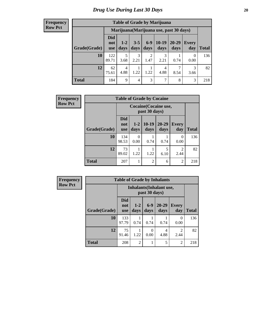#### **Frequency Row Pct**

| <b>Table of Grade by Marijuana</b> |                          |                                         |                 |                        |                 |               |              |       |  |  |  |
|------------------------------------|--------------------------|-----------------------------------------|-----------------|------------------------|-----------------|---------------|--------------|-------|--|--|--|
|                                    |                          | Marijuana (Marijuana use, past 30 days) |                 |                        |                 |               |              |       |  |  |  |
| Grade(Grade)                       | Did<br>not<br><b>use</b> | $1 - 2$<br>days                         | $3 - 5$<br>days | $6-9$<br>days          | $10-19$<br>days | 20-29<br>days | Every<br>day | Total |  |  |  |
| 10                                 | 122<br>89.71             | 5<br>3.68                               | 3<br>2.21       | $\overline{2}$<br>1.47 | 3<br>2.21       | 0.74          | 0<br>0.00    | 136   |  |  |  |
| 12                                 | 62<br>75.61              | 4<br>4.88                               | 1.22            | 1.22                   | 4<br>4.88       | 8.54          | 3<br>3.66    | 82    |  |  |  |
| <b>Total</b>                       | 184                      | 9                                       | 4               | 3                      | 7               | 8             | 3            | 218   |  |  |  |

| <b>Frequency</b> | <b>Table of Grade by Cocaine</b> |                                        |                 |                 |                   |                     |              |  |  |  |
|------------------|----------------------------------|----------------------------------------|-----------------|-----------------|-------------------|---------------------|--------------|--|--|--|
| <b>Row Pct</b>   |                                  | Cocaine (Cocaine use,<br>past 30 days) |                 |                 |                   |                     |              |  |  |  |
|                  | Grade(Grade)                     | <b>Did</b><br>not<br><b>use</b>        | $1 - 2$<br>days | $10-19$<br>days | $20 - 29$<br>days | <b>Every</b><br>day | <b>Total</b> |  |  |  |
|                  | 10                               | 134<br>98.53                           | 0.00            | 0.74            | 0.74              | $\Omega$<br>0.00    | 136          |  |  |  |
|                  | 12                               | 73<br>89.02                            | 1.22            | 1.22            | 5<br>6.10         | 2.44                | 82           |  |  |  |
|                  | <b>Total</b>                     | 207                                    |                 | $\overline{2}$  | 6                 | $\overline{2}$      | 218          |  |  |  |

| Frequency      | <b>Table of Grade by Inhalants</b> |                                                  |                 |               |                   |                        |              |
|----------------|------------------------------------|--------------------------------------------------|-----------------|---------------|-------------------|------------------------|--------------|
| <b>Row Pct</b> |                                    | <b>Inhalants</b> (Inhalant use,<br>past 30 days) |                 |               |                   |                        |              |
|                | Grade(Grade)                       | <b>Did</b><br>not<br><b>use</b>                  | $1 - 2$<br>days | $6-9$<br>days | $20 - 29$<br>days | Every<br>day           | <b>Total</b> |
|                | <b>10</b>                          | 133<br>97.79                                     | 0.74            | 0.74          | 0.74              | 0<br>0.00              | 136          |
|                | 12                                 | 75<br>91.46                                      | 1.22            | 0<br>0.00     | 4<br>4.88         | $\mathfrak{D}$<br>2.44 | 82           |
|                | <b>Total</b>                       | 208                                              | $\overline{2}$  |               | 5                 | $\overline{2}$         | 218          |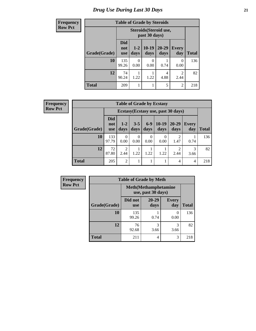#### *Drug Use During Last 30 Days* **21**

#### **Frequency Row Pct Table of Grade by Steroids Grade(Grade) Steroids(Steroid use, past 30 days) Total Did not use 1-2 days 10-19 days 20-29 days Every day 10** 135 99.26 0 0.00 0 0.00 1 0.74 0 0.00 136 **12** 74 90.24 1 1.22 1 1.22 4 4.88 2 2.44 82 **Total** 209 1 1 5 2 218

**Frequency Row Pct**

| <b>Table of Grade by Ecstasy</b> |                                 |                                     |                 |               |                 |                        |              |              |  |
|----------------------------------|---------------------------------|-------------------------------------|-----------------|---------------|-----------------|------------------------|--------------|--------------|--|
|                                  |                                 | Ecstasy (Ecstasy use, past 30 days) |                 |               |                 |                        |              |              |  |
| Grade(Grade)                     | <b>Did</b><br>not<br><b>use</b> | $1-2$<br>days                       | $3 - 5$<br>days | $6-9$<br>days | $10-19$<br>days | $20 - 29$<br>days      | Every<br>day | <b>Total</b> |  |
| 10                               | 133<br>97.79                    | $\Omega$<br>0.00                    | 0<br>0.00       | 0<br>0.00     | 0<br>0.00       | $\mathfrak{D}$<br>1.47 | 0.74         | 136          |  |
| 12                               | 72<br>87.80                     | $\mathcal{D}_{\mathcal{L}}$<br>2.44 | 1.22            | 1.22          | 1.22            | っ<br>2.44              | 3<br>3.66    | 82           |  |
| <b>Total</b>                     | 205                             | 2                                   | 1               | 1             | 1               | 4                      | 4            | 218          |  |

| Frequency      | <b>Table of Grade by Meth</b> |                       |                                                    |                     |              |
|----------------|-------------------------------|-----------------------|----------------------------------------------------|---------------------|--------------|
| <b>Row Pct</b> |                               |                       | <b>Meth</b> (Methamphetamine<br>use, past 30 days) |                     |              |
|                | Grade(Grade)                  | Did not<br><b>use</b> | $20 - 29$<br>days                                  | <b>Every</b><br>day | <b>Total</b> |
|                | 10                            | 135<br>99.26          | 0.74                                               | 0<br>0.00           | 136          |
|                | 12                            | 76<br>92.68           | 3<br>3.66                                          | 3<br>3.66           | 82           |
|                | <b>Total</b>                  | 211                   | 4                                                  | 3                   | 218          |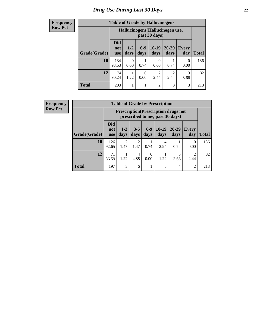### *Drug Use During Last 30 Days* **22**

#### **Frequency Row Pct**

| <b>Table of Grade by Hallucinogens</b> |                                 |                                                   |               |                          |                        |                     |              |  |  |
|----------------------------------------|---------------------------------|---------------------------------------------------|---------------|--------------------------|------------------------|---------------------|--------------|--|--|
|                                        |                                 | Hallucinogens (Hallucinogen use,<br>past 30 days) |               |                          |                        |                     |              |  |  |
| Grade(Grade)                           | <b>Did</b><br>not<br><b>use</b> | $1 - 2$<br>days                                   | $6-9$<br>days | $10-19$<br>days          | 20-29<br>days          | <b>Every</b><br>day | <b>Total</b> |  |  |
| 10                                     | 134<br>98.53                    | 0.00                                              | 0.74          | $\left( \right)$<br>0.00 | 0.74                   | 0<br>0.00           | 136          |  |  |
| 12                                     | 74<br>90.24                     | 1.22                                              | 0<br>0.00     | $\overline{2}$<br>2.44   | $\overline{2}$<br>2.44 | 3<br>3.66           | 82           |  |  |
| <b>Total</b>                           | 208                             |                                                   |               | $\overline{2}$           | 3                      | 3                   | 218          |  |  |

**Frequency Row Pct**

| <b>Table of Grade by Prescription</b> |                                 |                                                                                |                        |                  |                 |               |                       |              |  |
|---------------------------------------|---------------------------------|--------------------------------------------------------------------------------|------------------------|------------------|-----------------|---------------|-----------------------|--------------|--|
|                                       |                                 | <b>Prescription</b> (Prescription drugs not<br>prescribed to me, past 30 days) |                        |                  |                 |               |                       |              |  |
| Grade(Grade)                          | <b>Did</b><br>not<br><b>use</b> | $1-2$<br>days                                                                  | $3 - 5$<br>days        | $6 - 9$<br>days  | $10-19$<br>days | 20-29<br>days | Every<br>day          | <b>Total</b> |  |
| 10                                    | 126<br>92.65                    | $\mathcal{D}$<br>1.47                                                          | $\mathfrak{D}$<br>1.47 | 0.74             | 4<br>2.94       | 0.74          | 0<br>0.00             | 136          |  |
| 12                                    | 71<br>86.59                     | 1.22                                                                           | 4<br>4.88              | $\theta$<br>0.00 | 1.22            | 3<br>3.66     | $\mathcal{D}$<br>2.44 | 82           |  |
| <b>Total</b>                          | 197                             | 3                                                                              | 6                      |                  | 5               | 4             | $\overline{2}$        | 218          |  |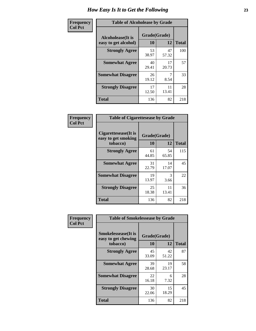| Frequency      | <b>Table of Alcoholease by Grade</b>              |                    |             |              |  |  |
|----------------|---------------------------------------------------|--------------------|-------------|--------------|--|--|
| <b>Col Pct</b> | <b>Alcoholease</b> (It is<br>easy to get alcohol) | Grade(Grade)<br>10 | 12          | <b>Total</b> |  |  |
|                | <b>Strongly Agree</b>                             | 53<br>38.97        | 47<br>57.32 | 100          |  |  |
|                | <b>Somewhat Agree</b>                             | 40<br>29.41        | 17<br>20.73 | 57           |  |  |
|                | <b>Somewhat Disagree</b>                          | 26<br>19.12        | 8.54        | 33           |  |  |
|                | <b>Strongly Disagree</b>                          | 17<br>12.50        | 11<br>13.41 | 28           |  |  |
|                | <b>Total</b>                                      | 136                | 82          | 218          |  |  |

| Frequency      |                                                         | <b>Table of Cigarettesease by Grade</b> |             |              |  |  |
|----------------|---------------------------------------------------------|-----------------------------------------|-------------|--------------|--|--|
| <b>Col Pct</b> | Cigarettesease(It is<br>easy to get smoking<br>tobacco) | Grade(Grade)<br>10                      | 12          | <b>Total</b> |  |  |
|                | <b>Strongly Agree</b>                                   | 61<br>44.85                             | 54<br>65.85 | 115          |  |  |
|                | <b>Somewhat Agree</b>                                   | 31<br>22.79                             | 14<br>17.07 | 45           |  |  |
|                | <b>Somewhat Disagree</b>                                | 19<br>13.97                             | 3<br>3.66   | 22           |  |  |
|                | <b>Strongly Disagree</b>                                | 25<br>18.38                             | 11<br>13.41 | 36           |  |  |
|                | Total                                                   | 136                                     | 82          | 218          |  |  |

| Frequency      | <b>Table of Smokelessease by Grade</b>                         |                    |             |              |  |  |  |
|----------------|----------------------------------------------------------------|--------------------|-------------|--------------|--|--|--|
| <b>Col Pct</b> | <b>Smokelessease</b> (It is<br>easy to get chewing<br>tobacco) | Grade(Grade)<br>10 | 12          | <b>Total</b> |  |  |  |
|                | <b>Strongly Agree</b>                                          | 45<br>33.09        | 42<br>51.22 | 87           |  |  |  |
|                | <b>Somewhat Agree</b>                                          | 39<br>28.68        | 19<br>23.17 | 58           |  |  |  |
|                | <b>Somewhat Disagree</b>                                       | 22<br>16.18        | 6<br>7.32   | 28           |  |  |  |
|                | <b>Strongly Disagree</b>                                       | 30<br>22.06        | 15<br>18.29 | 45           |  |  |  |
|                | <b>Total</b>                                                   | 136                | 82          | 218          |  |  |  |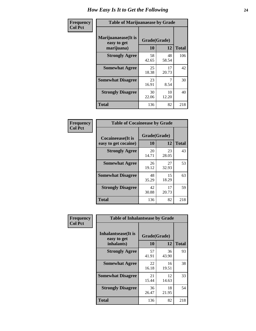| Frequency      | <b>Table of Marijuanaease by Grade</b>           |                           |             |              |  |  |
|----------------|--------------------------------------------------|---------------------------|-------------|--------------|--|--|
| <b>Col Pct</b> | Marijuanaease(It is<br>easy to get<br>marijuana) | Grade(Grade)<br><b>10</b> | 12          | <b>Total</b> |  |  |
|                | <b>Strongly Agree</b>                            | 58<br>42.65               | 48<br>58.54 | 106          |  |  |
|                | <b>Somewhat Agree</b>                            | 25<br>18.38               | 17<br>20.73 | 42           |  |  |
|                | <b>Somewhat Disagree</b>                         | 23<br>16.91               | 8.54        | 30           |  |  |
|                | <b>Strongly Disagree</b>                         | 30<br>22.06               | 10<br>12.20 | 40           |  |  |
|                | <b>Total</b>                                     | 136                       | 82          | 218          |  |  |

| <b>Table of Cocaineease by Grade</b>              |                    |             |              |  |  |  |  |
|---------------------------------------------------|--------------------|-------------|--------------|--|--|--|--|
| <b>Cocaineease</b> (It is<br>easy to get cocaine) | Grade(Grade)<br>10 | 12          | <b>Total</b> |  |  |  |  |
| <b>Strongly Agree</b>                             | 20<br>14.71        | 23<br>28.05 | 43           |  |  |  |  |
| <b>Somewhat Agree</b>                             | 26<br>19.12        | 27<br>32.93 | 53           |  |  |  |  |
| <b>Somewhat Disagree</b>                          | 48<br>35.29        | 15<br>18.29 | 63           |  |  |  |  |
| <b>Strongly Disagree</b>                          | 42<br>30.88        | 17<br>20.73 | 59           |  |  |  |  |
| <b>Total</b>                                      | 136                | 82          | 218          |  |  |  |  |

| Frequency      | <b>Table of Inhalantsease by Grade</b>                   |                    |             |              |
|----------------|----------------------------------------------------------|--------------------|-------------|--------------|
| <b>Col Pct</b> | <b>Inhalantsease</b> (It is<br>easy to get<br>inhalants) | Grade(Grade)<br>10 | 12          | <b>Total</b> |
|                | <b>Strongly Agree</b>                                    | 57<br>41.91        | 36<br>43.90 | 93           |
|                | <b>Somewhat Agree</b>                                    | 22<br>16.18        | 16<br>19.51 | 38           |
|                | <b>Somewhat Disagree</b>                                 | 21<br>15.44        | 12<br>14.63 | 33           |
|                | <b>Strongly Disagree</b>                                 | 36<br>26.47        | 18<br>21.95 | 54           |
|                | <b>Total</b>                                             | 136                | 82          | 218          |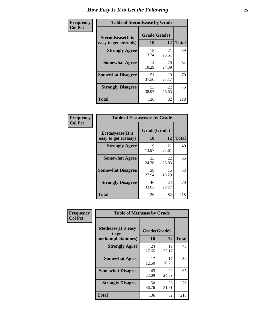| Frequency      | <b>Table of Steroidsease by Grade</b>               |                    |             |              |  |  |
|----------------|-----------------------------------------------------|--------------------|-------------|--------------|--|--|
| <b>Col Pct</b> | <b>Steroidsease</b> (It is<br>easy to get steroids) | Grade(Grade)<br>10 | 12          | <b>Total</b> |  |  |
|                | <b>Strongly Agree</b>                               | 18<br>13.24        | 21<br>25.61 | 39           |  |  |
|                | <b>Somewhat Agree</b>                               | 14<br>10.29        | 20<br>24.39 | 34           |  |  |
|                | <b>Somewhat Disagree</b>                            | 51<br>37.50        | 19<br>23.17 | 70           |  |  |
|                | <b>Strongly Disagree</b>                            | 53<br>38.97        | 22<br>26.83 | 75           |  |  |
|                | <b>Total</b>                                        | 136                | 82          | 218          |  |  |

| Frequency      | <b>Table of Ecstasyease by Grade</b>              |                    |              |     |  |  |  |  |  |  |
|----------------|---------------------------------------------------|--------------------|--------------|-----|--|--|--|--|--|--|
| <b>Col Pct</b> | <b>Ecstasyease</b> (It is<br>easy to get ecstasy) | Grade(Grade)<br>10 | <b>Total</b> |     |  |  |  |  |  |  |
|                | <b>Strongly Agree</b>                             | 19<br>13.97        | 21<br>25.61  | 40  |  |  |  |  |  |  |
|                | <b>Somewhat Agree</b>                             | 33<br>24.26        | 22<br>26.83  | 55  |  |  |  |  |  |  |
|                | <b>Somewhat Disagree</b>                          | 38<br>27.94        | 15<br>18.29  | 53  |  |  |  |  |  |  |
|                | <b>Strongly Disagree</b>                          | 46<br>33.82        | 24<br>29.27  | 70  |  |  |  |  |  |  |
|                | <b>Total</b>                                      | 136                | 82           | 218 |  |  |  |  |  |  |

| Frequency      | <b>Table of Methease by Grade</b>                          |                    |              |     |
|----------------|------------------------------------------------------------|--------------------|--------------|-----|
| <b>Col Pct</b> | <b>Methease</b> (It is easy<br>to get<br>methamphetamines) | Grade(Grade)<br>10 | <b>Total</b> |     |
|                | <b>Strongly Agree</b>                                      | 24<br>17.65        | 19<br>23.17  | 43  |
|                | <b>Somewhat Agree</b>                                      | 17<br>12.50        | 17<br>20.73  | 34  |
|                | <b>Somewhat Disagree</b>                                   | 45<br>33.09        | 20<br>24.39  | 65  |
|                | <b>Strongly Disagree</b>                                   | 50<br>36.76        | 26<br>31.71  | 76  |
|                | <b>Total</b>                                               | 136                | 82           | 218 |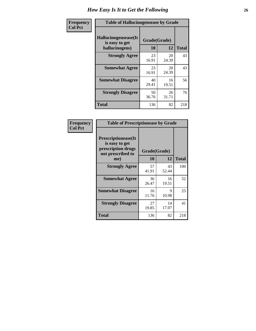| <b>Frequency</b> | <b>Table of Hallucinogensease by Grade</b>               |                    |             |              |  |  |  |  |  |  |
|------------------|----------------------------------------------------------|--------------------|-------------|--------------|--|--|--|--|--|--|
| <b>Col Pct</b>   | Hallucinogensease(It<br>is easy to get<br>hallucinogens) | Grade(Grade)<br>10 | 12          | <b>Total</b> |  |  |  |  |  |  |
|                  | <b>Strongly Agree</b>                                    | 23<br>16.91        | 20<br>24.39 | 43           |  |  |  |  |  |  |
|                  | <b>Somewhat Agree</b>                                    | 23<br>16.91        | 20<br>24.39 | 43           |  |  |  |  |  |  |
|                  | <b>Somewhat Disagree</b>                                 | 40<br>29.41        | 16<br>19.51 | 56           |  |  |  |  |  |  |
|                  | <b>Strongly Disagree</b>                                 | 50<br>36.76        | 26<br>31.71 | 76           |  |  |  |  |  |  |
|                  | <b>Total</b>                                             | 136                | 82          | 218          |  |  |  |  |  |  |

| Frequency<br>Col Pct |
|----------------------|
|                      |

| <b>Table of Prescriptionease by Grade</b>                                                |             |              |              |  |  |  |  |  |  |
|------------------------------------------------------------------------------------------|-------------|--------------|--------------|--|--|--|--|--|--|
| <b>Prescriptionease</b> (It<br>is easy to get<br>prescription drugs<br>not prescribed to |             | Grade(Grade) |              |  |  |  |  |  |  |
| me)                                                                                      | 10          | 12           | <b>Total</b> |  |  |  |  |  |  |
| <b>Strongly Agree</b>                                                                    | 57<br>41.91 | 43<br>52.44  | 100          |  |  |  |  |  |  |
| <b>Somewhat Agree</b>                                                                    | 36<br>26.47 | 16<br>19.51  | 52           |  |  |  |  |  |  |
| <b>Somewhat Disagree</b>                                                                 | 16<br>11.76 | Q<br>10.98   | 25           |  |  |  |  |  |  |
| <b>Strongly Disagree</b>                                                                 | 27<br>19.85 | 14<br>17.07  | 41           |  |  |  |  |  |  |
| Total                                                                                    | 136         | 82           | 218          |  |  |  |  |  |  |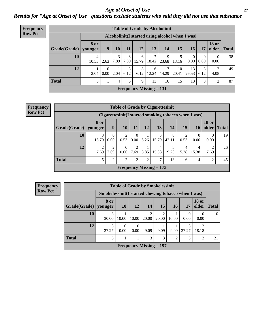#### *Age at Onset of Use* **27** *Results for "Age at Onset of Use" questions exclude students who said they did not use that substance*

| <b>Frequency</b> | <b>Table of Grade by Alcoholinit</b> |                                                  |                  |           |           |            |                           |            |                          |                  |                  |                       |              |
|------------------|--------------------------------------|--------------------------------------------------|------------------|-----------|-----------|------------|---------------------------|------------|--------------------------|------------------|------------------|-----------------------|--------------|
| <b>Row Pct</b>   |                                      | Alcoholinit (I started using alcohol when I was) |                  |           |           |            |                           |            |                          |                  |                  |                       |              |
|                  | Grade(Grade)                         | <b>8 or</b><br>  younger                         | 9                | 10        | 11        | 12         | 13                        | 14         | 15                       | 16 <sup>1</sup>  | 17               | <b>18 or</b><br>older | <b>Total</b> |
|                  | 10                                   | 4<br>10.53                                       | 2.63             | 3<br>7.89 | 7.89      | 6<br>15.79 | 7<br>18.42                | 9<br>23.68 | 13.16                    | $\theta$<br>0.00 | $\theta$<br>0.00 | 0.00                  | 38           |
|                  | 12                                   | 2.04                                             | $\Omega$<br>0.00 | 2.04      | 3<br>6.12 | 3<br>6.12  | 6<br>12.24                | 7<br>14.29 | 10 <sup>1</sup><br>20.41 | 13<br>26.53      | 3<br>6.12        | 2<br>4.08             | 49           |
|                  | <b>Total</b>                         | 5                                                | 1                | 4         | 6         | 9          | 13                        | 16         | 15                       | 13               | 3                | 2                     | 87           |
|                  |                                      |                                                  |                  |           |           |            | Frequency Missing $= 131$ |            |                          |                  |                  |                       |              |

| <b>Frequency</b> |
|------------------|
| <b>Row Pct</b>   |

| <b>Table of Grade by Cigarettesinit</b> |                                                      |                  |                        |                  |           |                           |            |            |                 |                       |              |  |
|-----------------------------------------|------------------------------------------------------|------------------|------------------------|------------------|-----------|---------------------------|------------|------------|-----------------|-----------------------|--------------|--|
|                                         | Cigarettesinit(I started smoking tobacco when I was) |                  |                        |                  |           |                           |            |            |                 |                       |              |  |
| Grade(Grade)   younger                  | 8 or                                                 | 9                | <b>10</b>              | 11               | <b>12</b> | 13                        | 14         | 15         | 16 <sup>1</sup> | <b>18 or</b><br>older | <b>Total</b> |  |
| 10                                      | 3<br>15.79                                           | $\Omega$<br>0.00 | 2<br>10.53             | $\Omega$<br>0.00 | 5.26      | 3<br>15.79                | 8<br>42.11 | 2<br>10.53 | 0<br>0.00       | 0.00                  | 19           |  |
| 12                                      | 2<br>7.69                                            | 2<br>7.69        | $\overline{0}$<br>0.00 | 2<br>7.69        | 3.85      | 4<br>15.38                | 19.23      | 4<br>15.38 | 4<br>15.38      | 7.69                  | 26           |  |
| <b>Total</b>                            | 5                                                    | 2                | $\overline{2}$         | $\overline{2}$   | 2         | 7                         | 13         | 6          | 4               | ി                     | 45           |  |
|                                         |                                                      |                  |                        |                  |           | Frequency Missing $= 173$ |            |            |                 |                       |              |  |

| <b>Frequency</b><br><b>Row Pct</b> |  |
|------------------------------------|--|
|                                    |  |
|                                    |  |
|                                    |  |
|                                    |  |
|                                    |  |

| <b>Table of Grade by Smokelessinit</b> |                                                      |                  |                  |                                |                        |                |            |                         |              |  |  |
|----------------------------------------|------------------------------------------------------|------------------|------------------|--------------------------------|------------------------|----------------|------------|-------------------------|--------------|--|--|
|                                        | Smokelessinit (I started chewing tobacco when I was) |                  |                  |                                |                        |                |            |                         |              |  |  |
| Grade(Grade)                           | 8 or<br>younger                                      | <b>10</b>        | 12               | 14                             | 15                     | 16             | 17         | <b>18 or</b><br>older   | <b>Total</b> |  |  |
| 10                                     | 3<br>30.00                                           | 10.00            | 10.00            | $\mathfrak{D}$<br>20.00        | $\mathcal{D}$<br>20.00 | 10.00          | 0<br>0.00  | $\theta$<br>0.00        | 10           |  |  |
| 12                                     | 3<br>27.27                                           | $\Omega$<br>0.00 | $\Omega$<br>0.00 | 9.09                           | 9.09                   | 9.09           | 3<br>27.27 | $\overline{c}$<br>18.18 | 11           |  |  |
| <b>Total</b>                           | 6                                                    |                  |                  | 3                              | 3                      | $\overline{2}$ | 3          | $\overline{2}$          | 21           |  |  |
|                                        |                                                      |                  |                  | <b>Frequency Missing = 197</b> |                        |                |            |                         |              |  |  |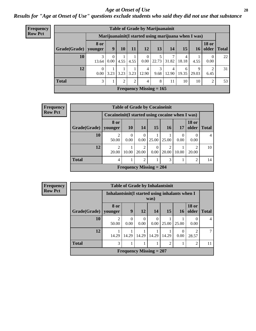#### *Age at Onset of Use* **28**

*Results for "Age at Onset of Use" questions exclude students who said they did not use that substance*

| <b>Frequency</b> |                                                      | <b>Table of Grade by Marijuanainit</b> |      |         |               |                           |           |            |            |            |                        |               |  |  |
|------------------|------------------------------------------------------|----------------------------------------|------|---------|---------------|---------------------------|-----------|------------|------------|------------|------------------------|---------------|--|--|
| <b>Row Pct</b>   | Marijuanainit (I started using marijuana when I was) |                                        |      |         |               |                           |           |            |            |            |                        |               |  |  |
|                  | Grade(Grade)                                         | <b>8 or</b><br>younger                 | 9    | 10      | 11            | <b>12</b>                 | 13        | 14         | 15         | 16         | <b>18 or</b>           | older   Total |  |  |
|                  | 10                                                   | 13.64                                  | 0.00 | 4.55    | 4.55          | $\overline{0}$<br>0.00    | 22.73     | 31.82      | 18.18      | 4.55       | $\Omega$<br>0.00       | 22            |  |  |
|                  | 12                                                   | 0.00                                   | 3.23 |         | $3.23$   3.23 | 4<br>12.90                | 3<br>9.68 | 4<br>12.90 | 6<br>19.35 | 9<br>29.03 | $\mathfrak{D}$<br>6.45 | 31            |  |  |
|                  | <b>Total</b>                                         | 3                                      |      | $2^{1}$ | 2             | $\overline{4}$            | 8         | 11         | 10         | 10         | 2                      | 53            |  |  |
|                  |                                                      |                                        |      |         |               | Frequency Missing $= 165$ |           |            |            |            |                        |               |  |  |

| <b>Frequency</b> |                        |                                                  | <b>Table of Grade by Cocaineinit</b> |                         |                  |                 |       |                         |              |
|------------------|------------------------|--------------------------------------------------|--------------------------------------|-------------------------|------------------|-----------------|-------|-------------------------|--------------|
| <b>Row Pct</b>   |                        | Cocaineinit (I started using cocaine when I was) |                                      |                         |                  |                 |       |                         |              |
|                  | Grade(Grade)   younger | 8 or                                             | <b>10</b>                            | 14                      | 15               | 16 <sup>1</sup> | 17    | <b>18 or</b><br>older   | <b>Total</b> |
|                  | 10                     | 50.00                                            | $\boldsymbol{0}$<br>0.00             | 0<br>0.00               | 25.00            | 25.00           | 0.00  | 0.00                    | 4            |
|                  | 12                     | $\overline{2}$<br>20.00                          | 10.00                                | $\overline{c}$<br>20.00 | $\Omega$<br>0.00 | 20.00           | 10.00 | $\mathfrak{D}$<br>20.00 | 10           |
|                  | <b>Total</b>           | $\overline{4}$                                   |                                      | $\overline{c}$          |                  | 3               |       | $\overline{2}$          | 14           |
|                  |                        |                                                  | Frequency Missing $= 204$            |                         |                  |                 |       |                         |              |

| <b>Frequency</b> | <b>Table of Grade by Inhalantsinit</b> |                                                 |                  |                  |                           |                |                  |                       |                |  |
|------------------|----------------------------------------|-------------------------------------------------|------------------|------------------|---------------------------|----------------|------------------|-----------------------|----------------|--|
| <b>Row Pct</b>   |                                        | Inhalantsinit (I started using inhalants when I |                  |                  | was)                      |                |                  |                       |                |  |
|                  | Grade(Grade)                           | 8 or<br>younger                                 | 9                | <b>12</b>        | 14                        | <b>15</b>      | <b>16</b>        | <b>18 or</b><br>older | <b>Total</b>   |  |
|                  | 10                                     | $\mathfrak{D}$<br>50.00                         | $\Omega$<br>0.00 | $\Omega$<br>0.00 | 0<br>0.00                 | 25.00          | 25.00            | $\theta$<br>0.00      | $\overline{4}$ |  |
|                  | 12                                     | 14.29                                           | 14.29            | 14.29            | 14.29                     | 14.29          | $\Omega$<br>0.00 | っ<br>28.57            |                |  |
|                  | <b>Total</b>                           | 3                                               | 1                |                  |                           | $\overline{c}$ |                  | $\overline{c}$        | 11             |  |
|                  |                                        |                                                 |                  |                  | Frequency Missing $= 207$ |                |                  |                       |                |  |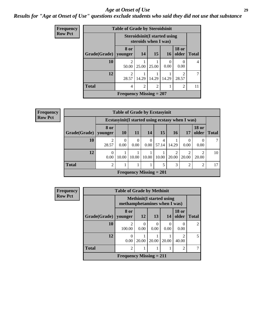#### *Age at Onset of Use* **29**

### *Results for "Age at Onset of Use" questions exclude students who said they did not use that substance*

| Frequency      |              | <b>Table of Grade by Steroidsinit</b> |                |                                                              |                  |                         |              |
|----------------|--------------|---------------------------------------|----------------|--------------------------------------------------------------|------------------|-------------------------|--------------|
| <b>Row Pct</b> |              |                                       |                | <b>Steroidsinit (I started using</b><br>steroids when I was) |                  |                         |              |
|                | Grade(Grade) | 8 or<br>younger                       | <b>14</b>      | <b>15</b>                                                    | <b>16</b>        | <b>18 or</b><br>older   | <b>Total</b> |
|                | 10           | $\mathfrak{D}$<br>50.00               | 25.00          | 25.00                                                        | $\Omega$<br>0.00 | $\theta$<br>0.00        | 4            |
|                | 12           | $\mathfrak{D}$<br>28.57               | 14.29          | 14.29                                                        | 14.29            | $\mathfrak{D}$<br>28.57 |              |
|                | <b>Total</b> | 4                                     | $\mathfrak{D}$ | $\overline{c}$                                               |                  | $\overline{2}$          | 11           |
|                |              | <b>Frequency Missing = 207</b>        |                |                                                              |                  |                         |              |

| <b>Frequency</b> | <b>Table of Grade by Ecstasyinit</b> |                          |                  |                                |                  |            |               |                                                  |                       |              |
|------------------|--------------------------------------|--------------------------|------------------|--------------------------------|------------------|------------|---------------|--------------------------------------------------|-----------------------|--------------|
| <b>Row Pct</b>   |                                      |                          |                  |                                |                  |            |               | Ecstasyinit (I started using ecstasy when I was) |                       |              |
|                  | Grade(Grade)   younger               | <b>8 or</b>              | <b>10</b>        | <b>11</b>                      | <b>14</b>        | 15         | <b>16</b>     | 17                                               | <b>18 or</b><br>older | <b>Total</b> |
|                  | 10                                   | 28.57                    | $\Omega$<br>0.00 | $\theta$<br>0.00               | $\Omega$<br>0.00 | 4<br>57.14 | 14.29         | 0<br>0.00                                        | 0.00                  |              |
|                  | 12                                   | $\boldsymbol{0}$<br>0.00 | 10.00            | 10.00                          | 10.00            | 10.00      | 20.00         | $\mathfrak{D}$<br>20.00                          | ി<br>20.00            | 10           |
|                  | <b>Total</b>                         | $\mathfrak{D}$           |                  |                                |                  | 5          | $\mathcal{F}$ | $\overline{2}$                                   | $\overline{c}$        | 17           |
|                  |                                      |                          |                  | <b>Frequency Missing = 201</b> |                  |            |               |                                                  |                       |              |

| <b>Frequency</b> | <b>Table of Grade by Methinit</b> |                                       |                 |           |                                  |                         |                |
|------------------|-----------------------------------|---------------------------------------|-----------------|-----------|----------------------------------|-------------------------|----------------|
| <b>Row Pct</b>   |                                   | methamphetamines when I was)          |                 |           | <b>Methinit</b> (I started using |                         |                |
|                  | Grade(Grade)   younger            | 8 or                                  | 12 <sub>l</sub> | 13        | 14                               | <b>18 or</b><br>older   | <b>Total</b>   |
|                  | 10                                | $\mathcal{D}_{\mathcal{L}}$<br>100.00 | 0<br>0.00       | 0<br>0.00 | $\Omega$<br>0.00                 | 0<br>0.00               | $\mathfrak{D}$ |
|                  | 12                                | 0<br>0.00                             | 20.00           | 20.00     | 20.00                            | $\mathfrak{D}$<br>40.00 | 5              |
|                  | <b>Total</b>                      | $\overline{c}$                        |                 |           |                                  | $\overline{2}$          |                |
|                  |                                   | <b>Frequency Missing = 211</b>        |                 |           |                                  |                         |                |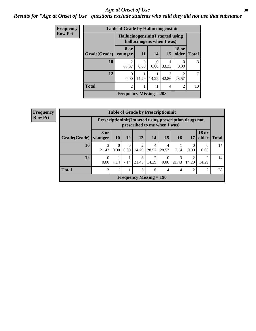#### Age at Onset of Use **30**

### *Results for "Age at Onset of Use" questions exclude students who said they did not use that substance*

| Frequency      |                     | <b>Table of Grade by Hallucinogensinit</b> |           |           |                           |                                                                                                                                                                          |              |
|----------------|---------------------|--------------------------------------------|-----------|-----------|---------------------------|--------------------------------------------------------------------------------------------------------------------------------------------------------------------------|--------------|
| <b>Row Pct</b> |                     | Hallucinogensinit (I started using         |           |           | hallucinogens when I was) |                                                                                                                                                                          |              |
|                | <b>Grade(Grade)</b> | 8 or<br>vounger                            | 11        | 14        | 15                        | <b>18 or</b><br>older                                                                                                                                                    | <b>Total</b> |
|                | 10                  | 2<br>66.67                                 | 0<br>0.00 | 0<br>0.00 | 33.33                     | 0<br>0.00                                                                                                                                                                | 3            |
|                | 12                  | 0<br>0.00                                  | 14.29     | 14.29     | 3<br>42.86                | $\mathcal{D}_{\mathcal{A}}^{\mathcal{A}}(\mathcal{A})=\mathcal{D}_{\mathcal{A}}^{\mathcal{A}}(\mathcal{A})\mathcal{D}_{\mathcal{A}}^{\mathcal{A}}(\mathcal{A})$<br>28.57 | $\tau$       |
|                | <b>Total</b>        | $\overline{c}$                             |           |           | $\overline{4}$            | 2                                                                                                                                                                        | 10           |
|                |                     | Frequency Missing $= 208$                  |           |           |                           |                                                                                                                                                                          |              |

| <b>Frequency</b> |              |                 |                                                                                            |                 |                | <b>Table of Grade by Prescriptioninit</b> |                        |                 |                |                         |              |
|------------------|--------------|-----------------|--------------------------------------------------------------------------------------------|-----------------|----------------|-------------------------------------------|------------------------|-----------------|----------------|-------------------------|--------------|
| <b>Row Pct</b>   |              |                 | Prescription in it (I started using prescription drugs not<br>prescribed to me when I was) |                 |                |                                           |                        |                 |                |                         |              |
|                  | Grade(Grade) | 8 or<br>younger | <b>10</b>                                                                                  | 12 <sup>1</sup> | 13             | 14                                        | <b>15</b>              | 16 <sup>1</sup> | 17             | <b>18 or</b><br>older   | <b>Total</b> |
|                  | <b>10</b>    | 3<br>21.43      | $\Omega$<br>0.00                                                                           | 0.00            | 14.29          | 28.57                                     | 4<br>28.57             | 7.14            | 0.00           | $\Omega$<br>0.00        | 14           |
|                  | 12           | 0.00            | 7.14                                                                                       |                 | $7.14$   21.43 | 14.29                                     | $\overline{0}$<br>0.00 | 21.43           | 14.29          | $\mathfrak{D}$<br>14.29 | 14           |
|                  | <b>Total</b> | 3               |                                                                                            |                 |                | 6                                         | 4                      | 4               | $\mathfrak{D}$ | $\overline{2}$          | 28           |
|                  |              |                 |                                                                                            |                 |                | Frequency Missing $= 190$                 |                        |                 |                |                         |              |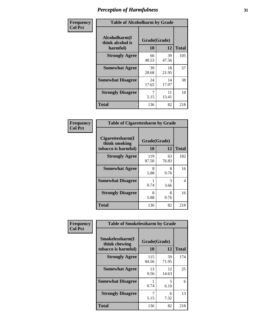| Frequency      | <b>Table of Alcoholharm by Grade</b>          |                    |             |              |  |  |  |
|----------------|-----------------------------------------------|--------------------|-------------|--------------|--|--|--|
| <b>Col Pct</b> | Alcoholharm(I<br>think alcohol is<br>harmful) | Grade(Grade)<br>10 | 12          | <b>Total</b> |  |  |  |
|                | <b>Strongly Agree</b>                         | 66<br>48.53        | 39<br>47.56 | 105          |  |  |  |
|                | <b>Somewhat Agree</b>                         | 39<br>28.68        | 18<br>21.95 | 57           |  |  |  |
|                | <b>Somewhat Disagree</b>                      | 24<br>17.65        | 14<br>17.07 | 38           |  |  |  |
|                | <b>Strongly Disagree</b>                      | 5.15               | 11<br>13.41 | 18           |  |  |  |
|                | <b>Total</b>                                  | 136                | 82          | 218          |  |  |  |

| <b>Table of Cigarettesharm by Grade</b>                  |                    |             |              |  |  |  |  |  |
|----------------------------------------------------------|--------------------|-------------|--------------|--|--|--|--|--|
| Cigarettesharm(I<br>think smoking<br>tobacco is harmful) | Grade(Grade)<br>10 | 12          | <b>Total</b> |  |  |  |  |  |
| <b>Strongly Agree</b>                                    | 119<br>87.50       | 63<br>76.83 | 182          |  |  |  |  |  |
| <b>Somewhat Agree</b>                                    | 8<br>5.88          | 8<br>9.76   | 16           |  |  |  |  |  |
| <b>Somewhat Disagree</b>                                 | 1<br>0.74          | 3<br>3.66   | 4            |  |  |  |  |  |
| <b>Strongly Disagree</b>                                 | 8<br>5.88          | 8<br>9.76   | 16           |  |  |  |  |  |
| <b>Total</b>                                             | 136                | 82          | 218          |  |  |  |  |  |

| Frequency      | <b>Table of Smokelessharm by Grade</b>                  |                           |             |              |
|----------------|---------------------------------------------------------|---------------------------|-------------|--------------|
| <b>Col Pct</b> | Smokelessharm(I<br>think chewing<br>tobacco is harmful) | Grade(Grade)<br><b>10</b> | 12          | <b>Total</b> |
|                | <b>Strongly Agree</b>                                   | 115<br>84.56              | 59<br>71.95 | 174          |
|                | <b>Somewhat Agree</b>                                   | 13<br>9.56                | 12<br>14.63 | 25           |
|                | <b>Somewhat Disagree</b>                                | 0.74                      | 5<br>6.10   | 6            |
|                | <b>Strongly Disagree</b>                                | 5.15                      | 6<br>7.32   | 13           |
|                | Total                                                   | 136                       | 82          | 218          |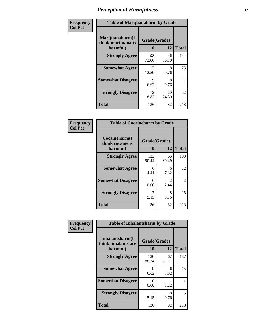| Frequency      | <b>Table of Marijuanaharm by Grade</b>            |                    |             |              |  |  |  |
|----------------|---------------------------------------------------|--------------------|-------------|--------------|--|--|--|
| <b>Col Pct</b> | Marijuanaharm(I<br>think marijuana is<br>harmful) | Grade(Grade)<br>10 | 12          | <b>Total</b> |  |  |  |
|                | <b>Strongly Agree</b>                             | 98<br>72.06        | 46<br>56.10 | 144          |  |  |  |
|                | <b>Somewhat Agree</b>                             | 17<br>12.50        | 8<br>9.76   | 25           |  |  |  |
|                | <b>Somewhat Disagree</b>                          | 9<br>6.62          | 8<br>9.76   | 17           |  |  |  |
|                | <b>Strongly Disagree</b>                          | 12<br>8.82         | 20<br>24.39 | 32           |  |  |  |
|                | <b>Total</b>                                      | 136                | 82          | 218          |  |  |  |

| <b>Table of Cocaineharm by Grade</b>          |              |                        |     |  |  |  |  |  |
|-----------------------------------------------|--------------|------------------------|-----|--|--|--|--|--|
| Cocaineharm(I<br>think cocaine is<br>harmful) | 10           | Grade(Grade)<br>12     |     |  |  |  |  |  |
| <b>Strongly Agree</b>                         | 123<br>90.44 | 66<br>80.49            | 189 |  |  |  |  |  |
| <b>Somewhat Agree</b>                         | 6<br>4.41    | 6<br>7.32              | 12  |  |  |  |  |  |
| <b>Somewhat Disagree</b>                      | 0<br>0.00    | $\mathfrak{D}$<br>2.44 | 2   |  |  |  |  |  |
| <b>Strongly Disagree</b>                      | 7<br>5.15    | 8<br>9.76              | 15  |  |  |  |  |  |
| <b>Total</b>                                  | 136          | 82                     | 218 |  |  |  |  |  |

| Frequency      | <b>Table of Inhalantsharm by Grade</b>             |                           |             |              |  |  |  |  |
|----------------|----------------------------------------------------|---------------------------|-------------|--------------|--|--|--|--|
| <b>Col Pct</b> | Inhalantsharm(I<br>think inhalants are<br>harmful) | Grade(Grade)<br><b>10</b> | 12          | <b>Total</b> |  |  |  |  |
|                | <b>Strongly Agree</b>                              | 120<br>88.24              | 67<br>81.71 | 187          |  |  |  |  |
|                | <b>Somewhat Agree</b>                              | 9<br>6.62                 | 6<br>7.32   | 15           |  |  |  |  |
|                | <b>Somewhat Disagree</b>                           | 0<br>0.00                 | 1.22        |              |  |  |  |  |
|                | <b>Strongly Disagree</b>                           | 7<br>5.15                 | 8<br>9.76   | 15           |  |  |  |  |
|                | <b>Total</b>                                       | 136                       | 82          | 218          |  |  |  |  |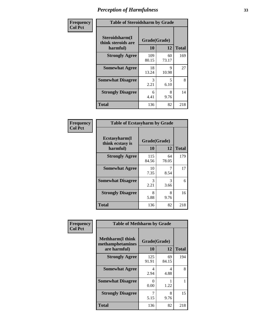| Frequency      | <b>Table of Steroidsharm by Grade</b>            |                    |             |              |
|----------------|--------------------------------------------------|--------------------|-------------|--------------|
| <b>Col Pct</b> | Steroidsharm(I<br>think steroids are<br>harmful) | Grade(Grade)<br>10 | 12          | <b>Total</b> |
|                | <b>Strongly Agree</b>                            | 109<br>80.15       | 60<br>73.17 | 169          |
|                | <b>Somewhat Agree</b>                            | 18<br>13.24        | 9<br>10.98  | 27           |
|                | <b>Somewhat Disagree</b>                         | 3<br>2.21          | 5<br>6.10   | 8            |
|                | <b>Strongly Disagree</b>                         | 6<br>4.41          | 8<br>9.76   | 14           |
|                | <b>Total</b>                                     | 136                | 82          | 218          |

| <b>Table of Ecstasyharm by Grade</b>                |                    |              |     |  |  |
|-----------------------------------------------------|--------------------|--------------|-----|--|--|
| $E$ cstasyharm $(I$<br>think ecstasy is<br>harmful) | Grade(Grade)<br>10 | <b>Total</b> |     |  |  |
| <b>Strongly Agree</b>                               | 115<br>84.56       | 64<br>78.05  | 179 |  |  |
| <b>Somewhat Agree</b>                               | 10<br>7.35         | 7<br>8.54    | 17  |  |  |
| <b>Somewhat Disagree</b>                            | 3<br>2.21          | 3<br>3.66    | 6   |  |  |
| <b>Strongly Disagree</b>                            | 8<br>5.88          | 8<br>9.76    | 16  |  |  |
| Total                                               | 136                | 82           | 218 |  |  |

| Frequency      | <b>Table of Methharm by Grade</b>                            |                           |             |              |
|----------------|--------------------------------------------------------------|---------------------------|-------------|--------------|
| <b>Col Pct</b> | <b>Methharm</b> (I think<br>methamphetamines<br>are harmful) | Grade(Grade)<br><b>10</b> | 12          | <b>Total</b> |
|                | <b>Strongly Agree</b>                                        | 125<br>91.91              | 69<br>84.15 | 194          |
|                | <b>Somewhat Agree</b>                                        | 4<br>2.94                 | 4<br>4.88   | 8            |
|                | <b>Somewhat Disagree</b>                                     | 0<br>0.00                 | 1.22        |              |
|                | <b>Strongly Disagree</b>                                     | 5.15                      | 8<br>9.76   | 15           |
|                | <b>Total</b>                                                 | 136                       | 82          | 218          |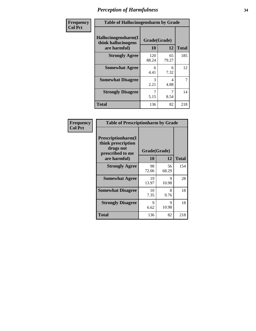| Frequency      | <b>Table of Hallucinogensharm by Grade</b>                 |                    |             |              |
|----------------|------------------------------------------------------------|--------------------|-------------|--------------|
| <b>Col Pct</b> | Hallucinogensharm(I<br>think hallucinogens<br>are harmful) | Grade(Grade)<br>10 | 12          | <b>Total</b> |
|                | <b>Strongly Agree</b>                                      | 120<br>88.24       | 65<br>79.27 | 185          |
|                | <b>Somewhat Agree</b>                                      | 6<br>4.41          | 6<br>7.32   | 12           |
|                | <b>Somewhat Disagree</b>                                   | 3<br>2.21          | 4<br>4.88   | 7            |
|                | <b>Strongly Disagree</b>                                   | 5.15               | 7<br>8.54   | 14           |
|                | <b>Total</b>                                               | 136                | 82          | 218          |

| <b>Table of Prescriptionharm by Grade</b>                                         |              |             |              |  |
|-----------------------------------------------------------------------------------|--------------|-------------|--------------|--|
| <b>Prescriptionharm</b> (I<br>think prescription<br>drugs not<br>prescribed to me | Grade(Grade) |             |              |  |
| are harmful)                                                                      | 10           | 12          | <b>Total</b> |  |
| <b>Strongly Agree</b>                                                             | 98<br>72.06  | 56<br>68.29 | 154          |  |
| <b>Somewhat Agree</b>                                                             | 19<br>13.97  | 9<br>10.98  | 28           |  |
| <b>Somewhat Disagree</b>                                                          | 10<br>7.35   | 8<br>9.76   | 18           |  |
| <b>Strongly Disagree</b>                                                          | 9<br>6.62    | Q<br>10.98  | 18           |  |
| Total                                                                             | 136          | 82          | 218          |  |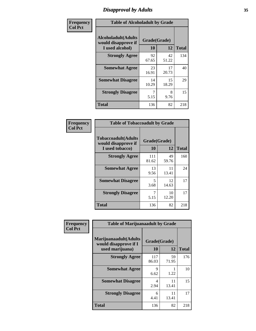### *Disapproval by Adults* **35**

| Frequency      | <b>Table of Alcoholadult by Grade</b>                                 |             |                    |              |
|----------------|-----------------------------------------------------------------------|-------------|--------------------|--------------|
| <b>Col Pct</b> | <b>Alcoholadult</b> (Adults<br>would disapprove if<br>I used alcohol) | 10          | Grade(Grade)<br>12 | <b>Total</b> |
|                | <b>Strongly Agree</b>                                                 | 92<br>67.65 | 42<br>51.22        | 134          |
|                | <b>Somewhat Agree</b>                                                 | 23<br>16.91 | 17<br>20.73        | 40           |
|                | <b>Somewhat Disagree</b>                                              | 14<br>10.29 | 15<br>18.29        | 29           |
|                | <b>Strongly Disagree</b>                                              | 7<br>5.15   | 8<br>9.76          | 15           |
|                | <b>Total</b>                                                          | 136         | 82                 | 218          |

| <b>Table of Tobaccoadult by Grade</b>                                |              |             |     |  |  |
|----------------------------------------------------------------------|--------------|-------------|-----|--|--|
| <b>Tobaccoadult(Adults</b><br>would disapprove if<br>I used tobacco) | <b>Total</b> |             |     |  |  |
| <b>Strongly Agree</b>                                                | 111<br>81.62 | 49<br>59.76 | 160 |  |  |
| <b>Somewhat Agree</b>                                                | 13<br>9.56   | 11<br>13.41 | 24  |  |  |
| <b>Somewhat Disagree</b>                                             | 5<br>3.68    | 12<br>14.63 | 17  |  |  |
| <b>Strongly Disagree</b>                                             | 7<br>5.15    | 10<br>12.20 | 17  |  |  |
| <b>Total</b>                                                         | 136          | 82          | 218 |  |  |

| Frequency      | <b>Table of Marijuanaadult by Grade</b>                           |                    |             |              |
|----------------|-------------------------------------------------------------------|--------------------|-------------|--------------|
| <b>Col Pct</b> | Marijuanaadult(Adults<br>would disapprove if I<br>used marijuana) | Grade(Grade)<br>10 | 12          | <b>Total</b> |
|                | <b>Strongly Agree</b>                                             | 117<br>86.03       | 59<br>71.95 | 176          |
|                | <b>Somewhat Agree</b>                                             | 9<br>6.62          | 1<br>1.22   | 10           |
|                | <b>Somewhat Disagree</b>                                          | 4<br>2.94          | 11<br>13.41 | 15           |
|                | <b>Strongly Disagree</b>                                          | 6<br>4.41          | 11<br>13.41 | 17           |
|                | <b>Total</b>                                                      | 136                | 82          | 218          |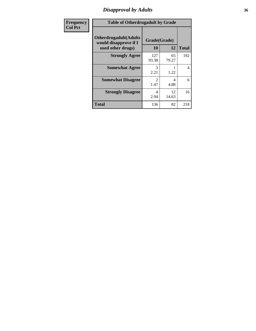### *Disapproval by Adults* **36**

| <b>Frequency</b> | <b>Table of Otherdrugadult by Grade</b>                                     |                        |             |              |
|------------------|-----------------------------------------------------------------------------|------------------------|-------------|--------------|
| <b>Col Pct</b>   | <b>Otherdrugadult</b> (Adults<br>would disapprove if I<br>used other drugs) | Grade(Grade)<br>10     | 12          | <b>Total</b> |
|                  | <b>Strongly Agree</b>                                                       | 127<br>93.38           | 65<br>79.27 | 192          |
|                  | <b>Somewhat Agree</b>                                                       | 3<br>2.21              | 1.22        | 4            |
|                  | <b>Somewhat Disagree</b>                                                    | $\mathfrak{D}$<br>1.47 | 4<br>4.88   | 6            |
|                  | <b>Strongly Disagree</b>                                                    | 4<br>2.94              | 12<br>14.63 | 16           |
|                  | <b>Total</b>                                                                | 136                    | 82          | 218          |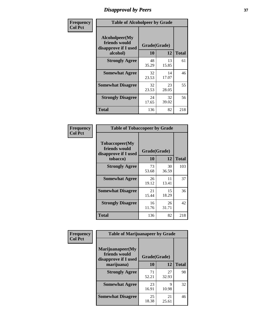# *Disapproval by Peers* **37**

| Frequency      | <b>Table of Alcoholpeer by Grade</b>                    |              |             |              |  |
|----------------|---------------------------------------------------------|--------------|-------------|--------------|--|
| <b>Col Pct</b> | Alcoholpeer(My<br>friends would<br>disapprove if I used | Grade(Grade) |             |              |  |
|                | alcohol)                                                | 10           | 12          | <b>Total</b> |  |
|                | <b>Strongly Agree</b>                                   | 48<br>35.29  | 13<br>15.85 | 61           |  |
|                | <b>Somewhat Agree</b>                                   | 32<br>23.53  | 14<br>17.07 | 46           |  |
|                | <b>Somewhat Disagree</b>                                | 32<br>23.53  | 23<br>28.05 | 55           |  |
|                | <b>Strongly Disagree</b>                                | 24<br>17.65  | 32<br>39.02 | 56           |  |
|                | Total                                                   | 136          | 82          | 218          |  |

| Frequency      | <b>Table of Tobaccopeer by Grade</b>                                |                    |             |              |
|----------------|---------------------------------------------------------------------|--------------------|-------------|--------------|
| <b>Col Pct</b> | Tobaccopeer(My<br>friends would<br>disapprove if I used<br>tobacco) | Grade(Grade)<br>10 | 12          | <b>Total</b> |
|                | <b>Strongly Agree</b>                                               | 73<br>53.68        | 30<br>36.59 | 103          |
|                | <b>Somewhat Agree</b>                                               | 26<br>19.12        | 11<br>13.41 | 37           |
|                | <b>Somewhat Disagree</b>                                            | 21<br>15.44        | 15<br>18.29 | 36           |
|                | <b>Strongly Disagree</b>                                            | 16<br>11.76        | 26<br>31.71 | 42           |
|                | <b>Total</b>                                                        | 136                | 82          | 218          |

| Frequency<br><b>Col Pct</b> | <b>Table of Marijuanapeer by Grade</b>                    |              |             |              |
|-----------------------------|-----------------------------------------------------------|--------------|-------------|--------------|
|                             | Marijuanapeer(My<br>friends would<br>disapprove if I used | Grade(Grade) |             |              |
|                             | marijuana)                                                | 10           | 12          | <b>Total</b> |
|                             | <b>Strongly Agree</b>                                     | 71<br>52.21  | 27<br>32.93 | 98           |
|                             | <b>Somewhat Agree</b>                                     | 23<br>16.91  | Q<br>10.98  | 32           |
|                             | <b>Somewhat Disagree</b>                                  | 25<br>18.38  | 21<br>25.61 | 46           |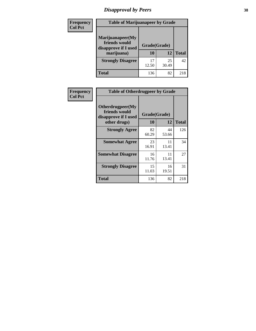# *Disapproval by Peers* **38**

| <b>Frequency</b> | <b>Table of Marijuanapeer by Grade</b>                                  |                           |             |              |  |
|------------------|-------------------------------------------------------------------------|---------------------------|-------------|--------------|--|
| <b>Col Pct</b>   | Marijuanapeer(My<br>friends would<br>disapprove if I used<br>marijuana) | Grade(Grade)<br><b>10</b> | 12          | <b>Total</b> |  |
|                  | <b>Strongly Disagree</b>                                                | 17<br>12.50               | 25<br>30.49 | 42           |  |
|                  | <b>Total</b>                                                            | 136                       | 82          | 218          |  |

| <b>Frequency</b> | <b>Table of Otherdrugpeer by Grade</b>                                    |                           |             |              |
|------------------|---------------------------------------------------------------------------|---------------------------|-------------|--------------|
| <b>Col Pct</b>   | Otherdrugpeer(My<br>friends would<br>disapprove if I used<br>other drugs) | Grade(Grade)<br><b>10</b> | 12          | <b>Total</b> |
|                  |                                                                           |                           |             |              |
|                  | <b>Strongly Agree</b>                                                     | 82<br>60.29               | 44<br>53.66 | 126          |
|                  | <b>Somewhat Agree</b>                                                     | 23<br>16.91               | 11<br>13.41 | 34           |
|                  | <b>Somewhat Disagree</b>                                                  | 16<br>11.76               | 11<br>13.41 | 27           |
|                  | <b>Strongly Disagree</b>                                                  | 15<br>11.03               | 16<br>19.51 | 31           |
|                  | <b>Total</b>                                                              | 136                       | 82          | 218          |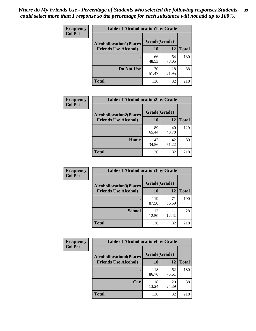| Frequency<br><b>Col Pct</b> | <b>Table of Alcohollocation1 by Grade</b>      |             |             |              |  |
|-----------------------------|------------------------------------------------|-------------|-------------|--------------|--|
|                             | Grade(Grade)<br><b>Alcohollocation1(Places</b> |             |             |              |  |
|                             | <b>Friends Use Alcohol)</b>                    | 10          | 12          | <b>Total</b> |  |
|                             |                                                | 66<br>48.53 | 64<br>78.05 | 130          |  |
|                             | Do Not Use                                     | 70<br>51.47 | 18<br>21.95 | 88           |  |
|                             | <b>Total</b>                                   | 136         | 82          | 218          |  |

| Frequency      | <b>Table of Alcohollocation2 by Grade</b>                     |                           |             |              |
|----------------|---------------------------------------------------------------|---------------------------|-------------|--------------|
| <b>Col Pct</b> | <b>Alcohollocation2(Places</b><br><b>Friends Use Alcohol)</b> | Grade(Grade)<br><b>10</b> | <b>12</b>   | <b>Total</b> |
|                |                                                               | 89<br>65.44               | 40<br>48.78 | 129          |
|                | Home                                                          | 47<br>34.56               | 42<br>51.22 | 89           |
|                | Total                                                         | 136                       | 82          | 218          |

| Frequency<br><b>Col Pct</b> | <b>Table of Alcohollocation 3 by Grade</b>                    |                    |             |              |
|-----------------------------|---------------------------------------------------------------|--------------------|-------------|--------------|
|                             | <b>Alcohollocation3(Places</b><br><b>Friends Use Alcohol)</b> | Grade(Grade)<br>10 | 12          | <b>Total</b> |
|                             |                                                               | 119<br>87.50       | 71<br>86.59 | 190          |
|                             | <b>School</b>                                                 | 17<br>12.50        | 11<br>13.41 | 28           |
|                             | <b>Total</b>                                                  | 136                | 82          | 218          |

| <b>Frequency</b> | <b>Table of Alcohollocation4 by Grade</b> |              |             |              |  |
|------------------|-------------------------------------------|--------------|-------------|--------------|--|
| <b>Col Pct</b>   | <b>Alcohollocation4(Places</b>            | Grade(Grade) |             |              |  |
|                  | <b>Friends Use Alcohol)</b>               | 10           | 12          | <b>Total</b> |  |
|                  |                                           | 118<br>86.76 | 62<br>75.61 | 180          |  |
|                  | Car                                       | 18<br>13.24  | 20<br>24.39 | 38           |  |
|                  | <b>Total</b>                              | 136          | 82          | 218          |  |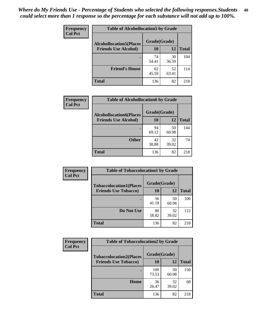| Frequency<br><b>Col Pct</b> | <b>Table of Alcohollocation5 by Grade</b>      |             |             |              |  |
|-----------------------------|------------------------------------------------|-------------|-------------|--------------|--|
|                             | Grade(Grade)<br><b>Alcohollocation5(Places</b> |             |             |              |  |
|                             | <b>Friends Use Alcohol)</b>                    | 10          | 12          | <b>Total</b> |  |
|                             |                                                | 74<br>54.41 | 30<br>36.59 | 104          |  |
|                             | <b>Friend's House</b>                          | 62<br>45.59 | 52<br>63.41 | 114          |  |
|                             | <b>Total</b>                                   | 136         | 82          | 218          |  |

| <b>Frequency</b> | <b>Table of Alcohollocation6 by Grade</b> |              |             |              |
|------------------|-------------------------------------------|--------------|-------------|--------------|
| <b>Col Pct</b>   | <b>Alcohollocation6(Places</b>            | Grade(Grade) |             |              |
|                  | <b>Friends Use Alcohol)</b>               | 10           | 12          | <b>Total</b> |
|                  |                                           | 94<br>69.12  | 50<br>60.98 | 144          |
|                  | <b>Other</b>                              | 42<br>30.88  | 32<br>39.02 | 74           |
|                  | <b>Total</b>                              | 136          | 82          | 218          |

| Frequency      | <b>Table of Tobaccolocation1 by Grade</b> |              |             |              |
|----------------|-------------------------------------------|--------------|-------------|--------------|
| <b>Col Pct</b> | <b>Tobaccolocation1(Places</b>            | Grade(Grade) |             |              |
|                | <b>Friends Use Tobacco)</b>               | 10           | 12          | <b>Total</b> |
|                |                                           | 56<br>41.18  | 50<br>60.98 | 106          |
|                | Do Not Use                                | 80<br>58.82  | 32<br>39.02 | 112          |
|                | <b>Total</b>                              | 136          | 82          | 218          |

| <b>Frequency</b> | <b>Table of Tobaccolocation2 by Grade</b> |              |             |              |  |
|------------------|-------------------------------------------|--------------|-------------|--------------|--|
| <b>Col Pct</b>   | <b>Tobaccolocation2(Places</b>            | Grade(Grade) |             |              |  |
|                  | <b>Friends Use Tobacco)</b>               | 10           | 12          | <b>Total</b> |  |
|                  |                                           | 100<br>73.53 | 50<br>60.98 | 150          |  |
|                  | Home                                      | 36<br>26.47  | 32<br>39.02 | 68           |  |
|                  | <b>Total</b>                              | 136          | 82          | 218          |  |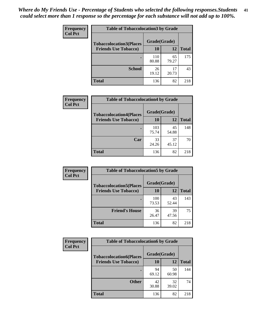| Frequency      | <b>Table of Tobaccolocation 3 by Grade</b> |              |             |              |
|----------------|--------------------------------------------|--------------|-------------|--------------|
| <b>Col Pct</b> | <b>Tobaccolocation3(Places</b>             | Grade(Grade) |             |              |
|                | <b>Friends Use Tobacco)</b>                | 10           | 12          | <b>Total</b> |
|                |                                            | 110<br>80.88 | 65<br>79.27 | 175          |
|                | <b>School</b>                              | 26<br>19.12  | 17<br>20.73 | 43           |
|                | <b>Total</b>                               | 136          | 82          | 218          |

| Frequency<br><b>Col Pct</b> | <b>Table of Tobaccolocation4 by Grade</b> |              |             |              |
|-----------------------------|-------------------------------------------|--------------|-------------|--------------|
|                             | <b>Tobaccolocation4(Places</b>            | Grade(Grade) |             |              |
|                             | <b>Friends Use Tobacco)</b>               | 10           | 12          | <b>Total</b> |
|                             |                                           | 103<br>75.74 | 45<br>54.88 | 148          |
|                             | Car                                       | 33<br>24.26  | 37<br>45.12 | 70           |
|                             | <b>Total</b>                              | 136          | 82          | 218          |

| Frequency<br><b>Col Pct</b> | <b>Table of Tobaccolocation5 by Grade</b> |              |             |              |
|-----------------------------|-------------------------------------------|--------------|-------------|--------------|
|                             | <b>Tobaccolocation5(Places</b>            | Grade(Grade) |             |              |
|                             | <b>Friends Use Tobacco)</b>               | 10           | <b>12</b>   | <b>Total</b> |
|                             |                                           | 100<br>73.53 | 43<br>52.44 | 143          |
|                             | <b>Friend's House</b>                     | 36<br>26.47  | 39<br>47.56 | 75           |
|                             | <b>Total</b>                              | 136          | 82          | 218          |

| <b>Frequency</b> | <b>Table of Tobaccolocation6 by Grade</b> |              |             |              |  |
|------------------|-------------------------------------------|--------------|-------------|--------------|--|
| <b>Col Pct</b>   | <b>Tobaccolocation6(Places</b>            | Grade(Grade) |             |              |  |
|                  | <b>Friends Use Tobacco)</b>               | 10           | 12          | <b>Total</b> |  |
|                  |                                           | 94<br>69.12  | 50<br>60.98 | 144          |  |
|                  | <b>Other</b>                              | 42<br>30.88  | 32<br>39.02 | 74           |  |
|                  | <b>Total</b>                              | 136          | 82          | 218          |  |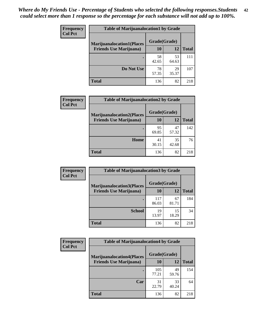| <b>Frequency</b> | <b>Table of Marijuanalocation1 by Grade</b> |              |             |              |
|------------------|---------------------------------------------|--------------|-------------|--------------|
| <b>Col Pct</b>   | <b>Marijuanalocation1(Places</b>            | Grade(Grade) |             |              |
|                  | <b>Friends Use Marijuana</b> )              | 10           | 12          | <b>Total</b> |
|                  |                                             | 58<br>42.65  | 53<br>64.63 | 111          |
|                  | Do Not Use                                  | 78<br>57.35  | 29<br>35.37 | 107          |
|                  | <b>Total</b>                                | 136          | 82          | 218          |

| <b>Frequency</b> | <b>Table of Marijuanalocation2 by Grade</b>                        |                    |             |              |
|------------------|--------------------------------------------------------------------|--------------------|-------------|--------------|
| <b>Col Pct</b>   | <b>Marijuanalocation2(Places</b><br><b>Friends Use Marijuana</b> ) | Grade(Grade)<br>10 | 12          | <b>Total</b> |
|                  |                                                                    | 95<br>69.85        | 47<br>57.32 | 142          |
|                  | Home                                                               | 41<br>30.15        | 35<br>42.68 | 76           |
|                  | <b>Total</b>                                                       | 136                | 82          | 218          |

| Frequency<br><b>Col Pct</b> | <b>Table of Marijuanalocation3 by Grade</b> |              |             |              |
|-----------------------------|---------------------------------------------|--------------|-------------|--------------|
|                             | <b>Marijuanalocation3</b> (Places           | Grade(Grade) |             |              |
|                             | <b>Friends Use Marijuana</b> )              | 10           | 12          | <b>Total</b> |
|                             |                                             | 117<br>86.03 | 67<br>81.71 | 184          |
|                             | <b>School</b>                               | 19<br>13.97  | 15<br>18.29 | 34           |
|                             | <b>Total</b>                                | 136          | 82          | 218          |

| <b>Frequency</b> | <b>Table of Marijuanalocation4 by Grade</b> |              |             |              |  |
|------------------|---------------------------------------------|--------------|-------------|--------------|--|
| <b>Col Pct</b>   | <b>Marijuanalocation4(Places</b>            | Grade(Grade) |             |              |  |
|                  | <b>Friends Use Marijuana</b> )              | <b>10</b>    | 12          | <b>Total</b> |  |
|                  |                                             | 105<br>77.21 | 49<br>59.76 | 154          |  |
|                  | Car                                         | 31<br>22.79  | 33<br>40.24 | 64           |  |
|                  | <b>Total</b>                                | 136          | 82          | 218          |  |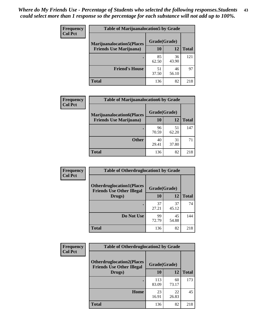| <b>Frequency</b> | <b>Table of Marijuanalocation5 by Grade</b> |              |             |              |
|------------------|---------------------------------------------|--------------|-------------|--------------|
| <b>Col Pct</b>   | <b>Marijuanalocation5</b> (Places           | Grade(Grade) |             |              |
|                  | <b>Friends Use Marijuana</b> )              | 10           | 12          | <b>Total</b> |
|                  |                                             | 85<br>62.50  | 36<br>43.90 | 121          |
|                  | <b>Friend's House</b>                       | 51<br>37.50  | 46<br>56.10 | 97           |
|                  | <b>Total</b>                                | 136          | 82          | 218          |

| <b>Frequency</b> | <b>Table of Marijuanalocation6 by Grade</b>                        |                    |             |              |
|------------------|--------------------------------------------------------------------|--------------------|-------------|--------------|
| <b>Col Pct</b>   | <b>Marijuanalocation6(Places</b><br><b>Friends Use Marijuana</b> ) | Grade(Grade)<br>10 | 12          | <b>Total</b> |
|                  |                                                                    | 96<br>70.59        | 51<br>62.20 | 147          |
|                  | <b>Other</b>                                                       | 40<br>29.41        | 31<br>37.80 | 71           |
|                  | <b>Total</b>                                                       | 136                | 82          | 218          |

| Frequency      | <b>Table of Otherdruglocation1 by Grade</b>                          |              |             |              |
|----------------|----------------------------------------------------------------------|--------------|-------------|--------------|
| <b>Col Pct</b> | <b>Otherdruglocation1(Places</b><br><b>Friends Use Other Illegal</b> | Grade(Grade) |             |              |
|                | Drugs)                                                               | 10           | 12          | <b>Total</b> |
|                |                                                                      | 37<br>27.21  | 37<br>45.12 | 74           |
|                | Do Not Use                                                           | 99<br>72.79  | 45<br>54.88 | 144          |
|                | <b>Total</b>                                                         | 136          | 82          | 218          |

| Frequency      | <b>Table of Otherdruglocation2 by Grade</b>                          |              |             |              |
|----------------|----------------------------------------------------------------------|--------------|-------------|--------------|
| <b>Col Pct</b> | <b>Otherdruglocation2(Places</b><br><b>Friends Use Other Illegal</b> | Grade(Grade) |             |              |
|                | Drugs)                                                               | 10           | 12          | <b>Total</b> |
|                |                                                                      | 113<br>83.09 | 60<br>73.17 | 173          |
|                | Home                                                                 | 23<br>16.91  | 22<br>26.83 | 45           |
|                | <b>Total</b>                                                         | 136          | 82          | 218          |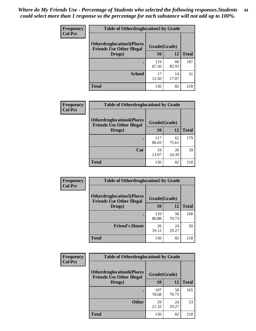| <b>Frequency</b> | <b>Table of Otherdruglocation 3 by Grade</b>                         |              |             |              |
|------------------|----------------------------------------------------------------------|--------------|-------------|--------------|
| <b>Col Pct</b>   | <b>Otherdruglocation3(Places</b><br><b>Friends Use Other Illegal</b> | Grade(Grade) |             |              |
|                  | Drugs)                                                               | 10           | 12          | <b>Total</b> |
|                  |                                                                      | 119<br>87.50 | 68<br>82.93 | 187          |
|                  | <b>School</b>                                                        | 17<br>12.50  | 14<br>17.07 | 31           |
|                  | <b>Total</b>                                                         | 136          | 82          | 218          |

| Frequency      | <b>Table of Otherdruglocation4 by Grade</b>                          |              |             |              |
|----------------|----------------------------------------------------------------------|--------------|-------------|--------------|
| <b>Col Pct</b> | <b>Otherdruglocation4(Places</b><br><b>Friends Use Other Illegal</b> | Grade(Grade) |             |              |
|                | Drugs)                                                               | 10           | 12          | <b>Total</b> |
|                |                                                                      | 117<br>86.03 | 62<br>75.61 | 179          |
|                | Car                                                                  | 19<br>13.97  | 20<br>24.39 | 39           |
|                | <b>Total</b>                                                         | 136          | 82          | 218          |

| <b>Frequency</b> | <b>Table of Otherdruglocation5 by Grade</b>                          |              |             |              |
|------------------|----------------------------------------------------------------------|--------------|-------------|--------------|
| <b>Col Pct</b>   | <b>Otherdruglocation5(Places</b><br><b>Friends Use Other Illegal</b> | Grade(Grade) |             |              |
|                  | Drugs)                                                               | 10           | 12          | <b>Total</b> |
|                  |                                                                      | 110<br>80.88 | 58<br>70.73 | 168          |
|                  | <b>Friend's House</b>                                                | 26<br>19.12  | 24<br>29.27 | 50           |
|                  | <b>Total</b>                                                         | 136          | 82          | 218          |

| <b>Frequency</b> | <b>Table of Otherdruglocation6 by Grade</b>                           |              |             |              |
|------------------|-----------------------------------------------------------------------|--------------|-------------|--------------|
| <b>Col Pct</b>   | <b>Otherdruglocation6(Places)</b><br><b>Friends Use Other Illegal</b> | Grade(Grade) |             |              |
|                  | Drugs)                                                                | 10           | 12          | <b>Total</b> |
|                  |                                                                       | 107<br>78.68 | 58<br>70.73 | 165          |
|                  | <b>Other</b>                                                          | 29<br>21.32  | 24<br>29.27 | 53           |
|                  | <b>Total</b>                                                          | 136          | 82          | 218          |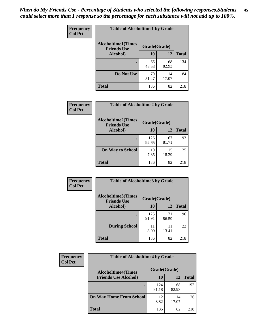| Frequency      | <b>Table of Alcoholtime1 by Grade</b>           |              |             |              |
|----------------|-------------------------------------------------|--------------|-------------|--------------|
| <b>Col Pct</b> | <b>Alcoholtime1(Times</b><br><b>Friends Use</b> | Grade(Grade) |             |              |
|                | Alcohol)                                        | 10           | 12          | <b>Total</b> |
|                |                                                 | 66<br>48.53  | 68<br>82.93 | 134          |
|                | Do Not Use                                      | 70<br>51.47  | 14<br>17.07 | 84           |
|                | <b>Total</b>                                    | 136          | 82          | 218          |

| Frequency      | <b>Table of Alcoholtime2 by Grade</b>           |              |             |              |
|----------------|-------------------------------------------------|--------------|-------------|--------------|
| <b>Col Pct</b> | <b>Alcoholtime2(Times</b><br><b>Friends Use</b> | Grade(Grade) |             |              |
|                | Alcohol)                                        | 10           | 12          | <b>Total</b> |
|                |                                                 | 126<br>92.65 | 67<br>81.71 | 193          |
|                | <b>On Way to School</b>                         | 10<br>7.35   | 15<br>18.29 | 25           |
|                | <b>Total</b>                                    | 136          | 82          | 218          |

| Frequency      | <b>Table of Alcoholtime3 by Grade</b>           |              |             |              |
|----------------|-------------------------------------------------|--------------|-------------|--------------|
| <b>Col Pct</b> | <b>Alcoholtime3(Times</b><br><b>Friends Use</b> | Grade(Grade) |             |              |
|                | Alcohol)                                        | 10           | 12          | <b>Total</b> |
|                |                                                 | 125<br>91.91 | 71<br>86.59 | 196          |
|                | <b>During School</b>                            | 11<br>8.09   | 11<br>13.41 | 22           |
|                | <b>Total</b>                                    | 136          | 82          | 218          |

| <b>Frequency</b> | <b>Table of Alcoholtime4 by Grade</b> |              |             |              |
|------------------|---------------------------------------|--------------|-------------|--------------|
| <b>Col Pct</b>   | <b>Alcoholtime4(Times</b>             | Grade(Grade) |             |              |
|                  | <b>Friends Use Alcohol)</b>           | 10           | 12          | <b>Total</b> |
|                  |                                       | 124<br>91.18 | 68<br>82.93 | 192          |
|                  | <b>On Way Home From School</b>        | 12<br>8.82   | 14<br>17.07 | 26           |
|                  | <b>Total</b>                          | 136          | 82          | 218          |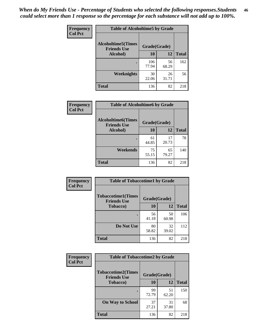*When do My Friends Use - Percentage of Students who selected the following responses.Students could select more than 1 response so the percentage for each substance will not add up to 100%.* **46**

| Frequency      | <b>Table of Alcoholtime5 by Grade</b>           |              |             |              |
|----------------|-------------------------------------------------|--------------|-------------|--------------|
| <b>Col Pct</b> | <b>Alcoholtime5(Times</b><br><b>Friends Use</b> | Grade(Grade) |             |              |
|                | Alcohol)                                        | 10           | 12          | <b>Total</b> |
|                |                                                 | 106<br>77.94 | 56<br>68.29 | 162          |
|                | Weeknights                                      | 30<br>22.06  | 26<br>31.71 | 56           |
|                | <b>Total</b>                                    | 136          | 82          | 218          |

| <b>Frequency</b> |                                                 | <b>Table of Alcoholtime6 by Grade</b> |             |              |  |
|------------------|-------------------------------------------------|---------------------------------------|-------------|--------------|--|
| <b>Col Pct</b>   | <b>Alcoholtime6(Times</b><br><b>Friends Use</b> | Grade(Grade)                          |             |              |  |
|                  | Alcohol)                                        | 10                                    | 12          | <b>Total</b> |  |
|                  |                                                 | 61<br>44.85                           | 17<br>20.73 | 78           |  |
|                  | Weekends                                        | 75<br>55.15                           | 65<br>79.27 | 140          |  |
|                  | <b>Total</b>                                    | 136                                   | 82          | 218          |  |

| Frequency      | <b>Table of Tobaccotime1 by Grade</b>           |              |             |              |
|----------------|-------------------------------------------------|--------------|-------------|--------------|
| <b>Col Pct</b> | <b>Tobaccotime1(Times</b><br><b>Friends Use</b> | Grade(Grade) |             |              |
|                | <b>Tobacco</b> )                                | 10           | 12          | <b>Total</b> |
|                | ٠                                               | 56<br>41.18  | 50<br>60.98 | 106          |
|                | Do Not Use                                      | 80<br>58.82  | 32<br>39.02 | 112          |
|                | <b>Total</b>                                    | 136          | 82          | 218          |

| <b>Frequency</b> | <b>Table of Tobaccotime2 by Grade</b>           |              |             |              |  |
|------------------|-------------------------------------------------|--------------|-------------|--------------|--|
| <b>Col Pct</b>   | <b>Tobaccotime2(Times</b><br><b>Friends Use</b> | Grade(Grade) |             |              |  |
|                  | <b>Tobacco</b> )                                | <b>10</b>    | 12          | <b>Total</b> |  |
|                  |                                                 | 99<br>72.79  | 51<br>62.20 | 150          |  |
|                  | <b>On Way to School</b>                         | 37<br>27.21  | 31<br>37.80 | 68           |  |
|                  | <b>Total</b>                                    | 136          | 82          | 218          |  |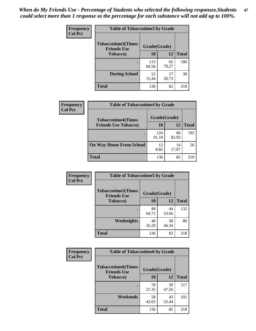*When do My Friends Use - Percentage of Students who selected the following responses.Students could select more than 1 response so the percentage for each substance will not add up to 100%.* **47**

| <b>Frequency</b> | <b>Table of Tobaccotime3 by Grade</b>           |              |              |              |  |
|------------------|-------------------------------------------------|--------------|--------------|--------------|--|
| <b>Col Pct</b>   | <b>Tobaccotime3(Times</b><br><b>Friends Use</b> |              | Grade(Grade) |              |  |
|                  | <b>Tobacco</b> )                                | 10           | 12           | <b>Total</b> |  |
|                  |                                                 | 115<br>84.56 | 65<br>79.27  | 180          |  |
|                  | <b>During School</b>                            | 21<br>15.44  | 17<br>20.73  | 38           |  |
|                  | <b>Total</b>                                    | 136          | 82           | 218          |  |

| Frequency<br><b>Col Pct</b> | <b>Table of Tobaccotime4 by Grade</b> |              |             |              |
|-----------------------------|---------------------------------------|--------------|-------------|--------------|
|                             | <b>Tobaccotime4(Times</b>             | Grade(Grade) |             |              |
|                             | <b>Friends Use Tobacco)</b>           | 10           | 12          | <b>Total</b> |
|                             |                                       | 124<br>91.18 | 68<br>82.93 | 192          |
|                             | <b>On Way Home From School</b>        | 12<br>8.82   | 14<br>17.07 | 26           |
|                             | Total                                 | 136          | 82          | 218          |

| Frequency      | <b>Table of Tobaccotime5 by Grade</b>           |              |             |              |
|----------------|-------------------------------------------------|--------------|-------------|--------------|
| <b>Col Pct</b> | <b>Tobaccotime5(Times</b><br><b>Friends Use</b> | Grade(Grade) |             |              |
|                | <b>Tobacco</b> )                                | 10           | 12          | <b>Total</b> |
|                | ٠                                               | 88<br>64.71  | 44<br>53.66 | 132          |
|                | Weeknights                                      | 48<br>35.29  | 38<br>46.34 | 86           |
|                | <b>Total</b>                                    | 136          | 82          | 218          |

| Frequency      | <b>Table of Tobaccotime6 by Grade</b>           |              |             |              |  |
|----------------|-------------------------------------------------|--------------|-------------|--------------|--|
| <b>Col Pct</b> | <b>Tobaccotime6(Times</b><br><b>Friends Use</b> | Grade(Grade) |             |              |  |
|                | <b>Tobacco</b> )                                | 10           | 12          | <b>Total</b> |  |
|                |                                                 | 78<br>57.35  | 39<br>47.56 | 117          |  |
|                | Weekends                                        | 58<br>42.65  | 43<br>52.44 | 101          |  |
|                | Total                                           | 136          | 82          | 218          |  |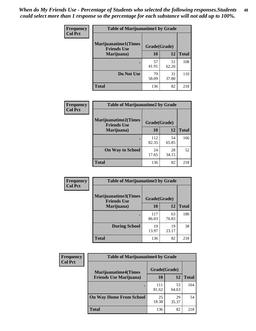| Frequency      | <b>Table of Marijuanatime1 by Grade</b>           |              |             |              |  |
|----------------|---------------------------------------------------|--------------|-------------|--------------|--|
| <b>Col Pct</b> | <b>Marijuanatime1(Times</b><br><b>Friends Use</b> | Grade(Grade) |             |              |  |
|                | Marijuana)                                        | 10           | 12          | <b>Total</b> |  |
|                |                                                   | 57<br>41.91  | 51<br>62.20 | 108          |  |
|                | Do Not Use                                        | 79<br>58.09  | 31<br>37.80 | 110          |  |
|                | <b>Total</b>                                      | 136          | 82          | 218          |  |

| <b>Frequency</b> | <b>Table of Marijuanatime2 by Grade</b>           |              |             |              |
|------------------|---------------------------------------------------|--------------|-------------|--------------|
| <b>Col Pct</b>   | <b>Marijuanatime2(Times</b><br><b>Friends Use</b> | Grade(Grade) |             |              |
|                  | Marijuana)                                        | 10           | 12          | <b>Total</b> |
|                  | ٠                                                 | 112<br>82.35 | 54<br>65.85 | 166          |
|                  | <b>On Way to School</b>                           | 24<br>17.65  | 28<br>34.15 | 52           |
|                  | <b>Total</b>                                      | 136          | 82          | 218          |

| Frequency      | <b>Table of Marijuanatime3 by Grade</b>    |              |             |              |
|----------------|--------------------------------------------|--------------|-------------|--------------|
| <b>Col Pct</b> | Marijuanatime3(Times<br><b>Friends Use</b> | Grade(Grade) |             |              |
|                | Marijuana)                                 | 10           | 12          | <b>Total</b> |
|                |                                            | 117<br>86.03 | 63<br>76.83 | 180          |
|                | <b>During School</b>                       | 19<br>13.97  | 19<br>23.17 | 38           |
|                | <b>Total</b>                               | 136          | 82          | 218          |

| Frequency      | <b>Table of Marijuanatime4 by Grade</b> |              |             |              |
|----------------|-----------------------------------------|--------------|-------------|--------------|
| <b>Col Pct</b> | <b>Marijuanatime4(Times</b>             | Grade(Grade) |             |              |
|                | <b>Friends Use Marijuana</b> )          | 10           | 12          | <b>Total</b> |
|                |                                         | 111<br>81.62 | 53<br>64.63 | 164          |
|                | <b>On Way Home From School</b>          | 25<br>18.38  | 29<br>35.37 | 54           |
|                | <b>Total</b>                            | 136          | 82          | 218          |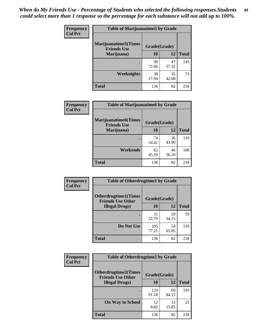| Frequency      | <b>Table of Marijuanatime5 by Grade</b>            |              |             |              |
|----------------|----------------------------------------------------|--------------|-------------|--------------|
| <b>Col Pct</b> | <b>Marijuanatime5</b> (Times<br><b>Friends Use</b> | Grade(Grade) |             |              |
|                | Marijuana)                                         | 10           | 12          | <b>Total</b> |
|                |                                                    | 98<br>72.06  | 47<br>57.32 | 145          |
|                | Weeknights                                         | 38<br>27.94  | 35<br>42.68 | 73           |
|                | <b>Total</b>                                       | 136          | 82          | 218          |

| <b>Frequency</b> | <b>Table of Marijuanatime6 by Grade</b>            |              |             |              |
|------------------|----------------------------------------------------|--------------|-------------|--------------|
| <b>Col Pct</b>   | <b>Marijuanatime6</b> (Times<br><b>Friends Use</b> | Grade(Grade) |             |              |
|                  | Marijuana)                                         | 10           | 12          | <b>Total</b> |
|                  |                                                    | 74<br>54.41  | 36<br>43.90 | 110          |
|                  | Weekends                                           | 62<br>45.59  | 46<br>56.10 | 108          |
|                  | <b>Total</b>                                       | 136          | 82          | 218          |

| <b>Frequency</b> | <b>Table of Otherdrugtime1 by Grade</b>                  |              |             |              |  |
|------------------|----------------------------------------------------------|--------------|-------------|--------------|--|
| <b>Col Pct</b>   | <b>Otherdrugtime1</b> (Times<br><b>Friends Use Other</b> | Grade(Grade) |             |              |  |
|                  | <b>Illegal Drugs</b> )                                   | 10           | 12          | <b>Total</b> |  |
|                  |                                                          | 31<br>22.79  | 28<br>34.15 | 59           |  |
|                  | Do Not Use                                               | 105<br>77.21 | 54<br>65.85 | 159          |  |
|                  | <b>Total</b>                                             | 136          | 82          | 218          |  |

| <b>Frequency</b> | <b>Table of Otherdrugtime2 by Grade</b>                 |              |             |              |  |  |
|------------------|---------------------------------------------------------|--------------|-------------|--------------|--|--|
| <b>Col Pct</b>   | <b>Otherdrugtime2(Times</b><br><b>Friends Use Other</b> | Grade(Grade) |             |              |  |  |
|                  | <b>Illegal Drugs</b> )                                  | 10           | 12          | <b>Total</b> |  |  |
|                  |                                                         | 124<br>91.18 | 69<br>84.15 | 193          |  |  |
|                  | <b>On Way to School</b>                                 | 12<br>8.82   | 13<br>15.85 | 25           |  |  |
|                  | Total                                                   | 136          | 82          | 218          |  |  |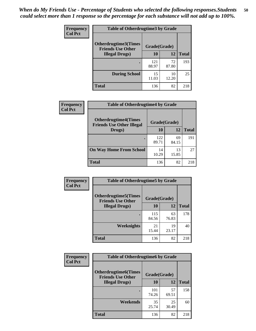| <b>Frequency</b><br><b>Col Pct</b> | <b>Table of Otherdrugtime3 by Grade</b>          |              |             |              |  |  |
|------------------------------------|--------------------------------------------------|--------------|-------------|--------------|--|--|
|                                    | Otherdrugtime3(Times<br><b>Friends Use Other</b> | Grade(Grade) |             |              |  |  |
|                                    | <b>Illegal Drugs</b> )                           | 10           | 12          | <b>Total</b> |  |  |
|                                    |                                                  | 121<br>88.97 | 72<br>87.80 | 193          |  |  |
|                                    | <b>During School</b>                             | 15<br>11.03  | 10<br>12.20 | 25           |  |  |
|                                    | Total                                            | 136          | 82          | 218          |  |  |

| <b>Frequency</b> | <b>Table of Otherdrugtime4 by Grade</b>                         |              |             |              |  |  |
|------------------|-----------------------------------------------------------------|--------------|-------------|--------------|--|--|
| <b>Col Pct</b>   | <b>Otherdrugtime4(Times</b><br><b>Friends Use Other Illegal</b> | Grade(Grade) |             |              |  |  |
|                  | Drugs)                                                          | 10           | 12          | <b>Total</b> |  |  |
|                  |                                                                 | 122<br>89.71 | 69<br>84.15 | 191          |  |  |
|                  | <b>On Way Home From School</b>                                  | 14<br>10.29  | 13<br>15.85 | 27           |  |  |
|                  | <b>Total</b>                                                    | 136          | 82          | 218          |  |  |

| Frequency      | <b>Table of Otherdrugtime5 by Grade</b>                  |              |             |              |  |  |
|----------------|----------------------------------------------------------|--------------|-------------|--------------|--|--|
| <b>Col Pct</b> | <b>Otherdrugtime5</b> (Times<br><b>Friends Use Other</b> | Grade(Grade) |             |              |  |  |
|                | <b>Illegal Drugs</b> )                                   | 10           | 12          | <b>Total</b> |  |  |
|                |                                                          | 115<br>84.56 | 63<br>76.83 | 178          |  |  |
|                | Weeknights                                               | 21<br>15.44  | 19<br>23.17 | 40           |  |  |
|                | Total                                                    | 136          | 82          | 218          |  |  |

| <b>Frequency</b> | <b>Table of Otherdrugtime6 by Grade</b>                 |              |             |              |  |  |
|------------------|---------------------------------------------------------|--------------|-------------|--------------|--|--|
| <b>Col Pct</b>   | <b>Otherdrugtime6(Times</b><br><b>Friends Use Other</b> | Grade(Grade) |             |              |  |  |
|                  | <b>Illegal Drugs</b> )                                  | 10           | 12          | <b>Total</b> |  |  |
|                  |                                                         | 101<br>74.26 | 57<br>69.51 | 158          |  |  |
|                  | Weekends                                                | 35<br>25.74  | 25<br>30.49 | 60           |  |  |
|                  | Total                                                   | 136          | 82          | 218          |  |  |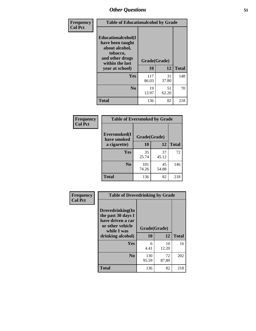| Frequency      | <b>Table of Educationalcohol by Grade</b>                                                                  |              |             |              |  |
|----------------|------------------------------------------------------------------------------------------------------------|--------------|-------------|--------------|--|
| <b>Col Pct</b> | Educationalcohol(I<br>have been taught<br>about alcohol,<br>tobacco,<br>and other drugs<br>within the last | Grade(Grade) |             |              |  |
|                | year at school)                                                                                            | 10           | 12          | <b>Total</b> |  |
|                | <b>Yes</b>                                                                                                 | 117<br>86.03 | 31<br>37.80 | 148          |  |
|                | N <sub>0</sub>                                                                                             | 19<br>13.97  | 51<br>62.20 | 70           |  |
|                | <b>Total</b>                                                                                               | 136          | 82          | 218          |  |

| Frequency      | <b>Table of Eversmoked by Grade</b> |              |             |              |  |  |  |
|----------------|-------------------------------------|--------------|-------------|--------------|--|--|--|
| <b>Col Pct</b> | Eversmoked(I<br>have smoked         | Grade(Grade) |             |              |  |  |  |
|                | a cigarette)                        | 10           | 12          | <b>Total</b> |  |  |  |
|                | Yes                                 | 35<br>25.74  | 37<br>45.12 | 72           |  |  |  |
|                | N <sub>0</sub>                      | 101<br>74.26 | 45<br>54.88 | 146          |  |  |  |
|                | <b>Total</b>                        | 136          | 82          | 218          |  |  |  |

| Frequency<br><b>Col Pct</b> | <b>Table of Drovedrinking by Grade</b>                                                                              |                    |              |     |  |
|-----------------------------|---------------------------------------------------------------------------------------------------------------------|--------------------|--------------|-----|--|
|                             | Drovedrinking(In<br>the past 30 days I<br>have driven a car<br>or other vehicle<br>while I was<br>drinking alcohol) | Grade(Grade)<br>10 | <b>Total</b> |     |  |
|                             |                                                                                                                     |                    | 12           |     |  |
|                             | <b>Yes</b>                                                                                                          | 6<br>4.41          | 10<br>12.20  | 16  |  |
|                             | N <sub>0</sub>                                                                                                      | 130<br>95.59       | 72<br>87.80  | 202 |  |
|                             | <b>Total</b>                                                                                                        | 136                | 82           | 218 |  |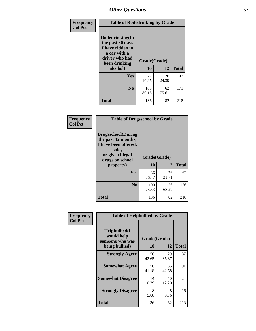| Frequency      | <b>Table of Rodedrinking by Grade</b>                                                                                  |                          |             |              |  |  |
|----------------|------------------------------------------------------------------------------------------------------------------------|--------------------------|-------------|--------------|--|--|
| <b>Col Pct</b> | Rodedrinking(In<br>the past 30 days<br>I have ridden in<br>a car with a<br>driver who had<br>been drinking<br>alcohol) | Grade(Grade)<br>10<br>12 |             | <b>Total</b> |  |  |
|                |                                                                                                                        |                          |             |              |  |  |
|                | <b>Yes</b>                                                                                                             | 27<br>19.85              | 20<br>24.39 | 47           |  |  |
|                | N <sub>0</sub>                                                                                                         | 109<br>80.15             | 62<br>75.61 | 171          |  |  |
|                | <b>Total</b>                                                                                                           | 136                      | 82          | 218          |  |  |

### **Frequency Col Pct**

| <b>Table of Drugsschool by Grade</b>                                                                                      |              |             |              |  |  |  |
|---------------------------------------------------------------------------------------------------------------------------|--------------|-------------|--------------|--|--|--|
| <b>Drugsschool</b> (During<br>the past 12 months,<br>I have been offered,<br>sold,<br>or given illegal<br>drugs on school | Grade(Grade) |             |              |  |  |  |
| property)                                                                                                                 | 10           | 12          | <b>Total</b> |  |  |  |
| Yes                                                                                                                       | 36<br>26.47  | 26<br>31.71 | 62           |  |  |  |
| N <sub>0</sub>                                                                                                            | 100<br>73.53 | 56<br>68.29 | 156          |  |  |  |
| <b>Total</b>                                                                                                              | 136          | 82          | 218          |  |  |  |

| Frequency      | <b>Table of Helpbullied by Grade</b>                 |              |             |              |  |  |  |
|----------------|------------------------------------------------------|--------------|-------------|--------------|--|--|--|
| <b>Col Pct</b> | $Helpb$ ullied $(I$<br>would help<br>someone who was | Grade(Grade) |             |              |  |  |  |
|                | being bullied)                                       | <b>10</b>    | 12          | <b>Total</b> |  |  |  |
|                | <b>Strongly Agree</b>                                | 58<br>42.65  | 29<br>35.37 | 87           |  |  |  |
|                | <b>Somewhat Agree</b>                                | 56<br>41.18  | 35<br>42.68 | 91           |  |  |  |
|                | <b>Somewhat Disagree</b>                             | 14<br>10.29  | 10<br>12.20 | 24           |  |  |  |
|                | <b>Strongly Disagree</b>                             | 8<br>5.88    | 8<br>9.76   | 16           |  |  |  |
|                | Total                                                | 136          | 82          | 218          |  |  |  |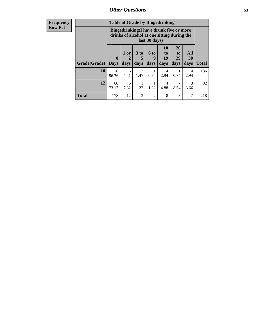| <b>Frequency</b> |                                                                                                         | <b>Table of Grade by Bingedrinking</b> |                                  |                         |                             |                        |                               |                       |              |
|------------------|---------------------------------------------------------------------------------------------------------|----------------------------------------|----------------------------------|-------------------------|-----------------------------|------------------------|-------------------------------|-----------------------|--------------|
| <b>Row Pct</b>   | Bingedrinking(I have drunk five or more<br>drinks of alcohol at one sitting during the<br>last 30 days) |                                        |                                  |                         |                             |                        |                               |                       |              |
|                  | Grade(Grade)   Days                                                                                     | $\bf{0}$                               | $1$ or<br>$\overline{2}$<br>days | 3 <sub>to</sub><br>days | $6 \text{ to}$<br>9<br>days | 10<br>to<br>19<br>days | <b>20</b><br>to<br>29<br>days | All<br>30<br>days     | <b>Total</b> |
|                  | 10                                                                                                      | 118<br>86.76                           | 6<br>4.41                        | 2<br>1.47               | 0.74                        | 4<br>2.94              | 0.74                          | 4<br>2.94             | 136          |
|                  | 12                                                                                                      | 60<br>73.17                            | 6<br>7.32                        | 1.22                    | 1.22                        | 4<br>4.88              | 8.54                          | $\mathcal{R}$<br>3.66 | 82           |
|                  | <b>Total</b>                                                                                            | 178                                    | 12                               | 3                       | $\mathcal{D}$               | 8                      | 8                             | 7                     | 218          |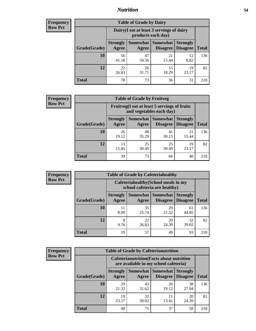## *Nutrition* **54**

| <b>Frequency</b> |
|------------------|
| <b>Row Pct</b>   |

| <b>Table of Grade by Dairy</b> |                                                                                                                                    |                                                                 |             |             |     |  |  |  |
|--------------------------------|------------------------------------------------------------------------------------------------------------------------------------|-----------------------------------------------------------------|-------------|-------------|-----|--|--|--|
|                                |                                                                                                                                    | Dairy (I eat at least 3 servings of dairy<br>products each day) |             |             |     |  |  |  |
| Grade(Grade)                   | Somewhat<br><b>Somewhat</b><br><b>Strongly</b><br><b>Strongly</b><br><b>Disagree</b><br>Disagree<br><b>Total</b><br>Agree<br>Agree |                                                                 |             |             |     |  |  |  |
| 10                             | 56<br>41.18                                                                                                                        | 47<br>34.56                                                     | 21<br>15.44 | 12<br>8.82  | 136 |  |  |  |
| 12                             | 22<br>26.83                                                                                                                        | 26<br>31.71                                                     | 15<br>18.29 | 19<br>23.17 | 82  |  |  |  |
| <b>Total</b>                   | 78                                                                                                                                 | 73                                                              | 36          | 31          | 218 |  |  |  |

| <b>Frequency</b> |  |
|------------------|--|
| <b>Row Pct</b>   |  |

| <b>Table of Grade by Fruitveg</b> |                          |                                                                          |                                        |                                    |              |  |  |
|-----------------------------------|--------------------------|--------------------------------------------------------------------------|----------------------------------------|------------------------------------|--------------|--|--|
|                                   |                          | Fruitveg(I eat at least 5 servings of fruits<br>and vegetables each day) |                                        |                                    |              |  |  |
| Grade(Grade)                      | <b>Strongly</b><br>Agree | Agree                                                                    | <b>Somewhat   Somewhat</b><br>Disagree | <b>Strongly</b><br><b>Disagree</b> | <b>Total</b> |  |  |
| 10                                | 26<br>19.12              | 48<br>35.29                                                              | 41<br>30.15                            | 21<br>15.44                        | 136          |  |  |
| 12                                | 13<br>15.85              | 25<br>30.49                                                              | 25<br>30.49                            | 19<br>23.17                        | 82           |  |  |
| <b>Total</b>                      | 39                       | 73                                                                       | 66                                     | 40                                 | 218          |  |  |

| <b>Frequency</b> | <b>Table of Grade by Cafeteriahealthy</b> |                                                                       |                     |                             |                                    |              |  |
|------------------|-------------------------------------------|-----------------------------------------------------------------------|---------------------|-----------------------------|------------------------------------|--------------|--|
| <b>Row Pct</b>   |                                           | Cafeteriahealthy (School meals in my<br>school cafeteria are healthy) |                     |                             |                                    |              |  |
|                  | Grade(Grade)                              | <b>Strongly</b><br>Agree                                              | Somewhat  <br>Agree | Somewhat<br><b>Disagree</b> | <b>Strongly</b><br><b>Disagree</b> | <b>Total</b> |  |
|                  | 10                                        | 11<br>8.09                                                            | 35<br>25.74         | 29<br>21.32                 | 61<br>44.85                        | 136          |  |
|                  | 12                                        | 8<br>9.76                                                             | 22<br>26.83         | 20<br>24.39                 | 32<br>39.02                        | 82           |  |
|                  | Total                                     | 19                                                                    | 57                  | 49                          | 93                                 | 218          |  |

| <b>Frequency</b> |
|------------------|
| <b>Row Pct</b>   |

| <b>Table of Grade by Cafeterianutrition</b> |                          |                                                                                           |                                 |                                    |              |  |  |
|---------------------------------------------|--------------------------|-------------------------------------------------------------------------------------------|---------------------------------|------------------------------------|--------------|--|--|
|                                             |                          | <b>Cafeterianutrition</b> (Facts about nutrition<br>are available in my school cafeteria) |                                 |                                    |              |  |  |
| Grade(Grade)                                | <b>Strongly</b><br>Agree | Agree                                                                                     | Somewhat   Somewhat<br>Disagree | <b>Strongly</b><br><b>Disagree</b> | <b>Total</b> |  |  |
| 10                                          | 29<br>21.32              | 43<br>31.62                                                                               | 26<br>19.12                     | 38<br>27.94                        | 136          |  |  |
| 12                                          | 19<br>23.17              | 32<br>39.02                                                                               | 11<br>13.41                     | 20<br>24.39                        | 82           |  |  |
| <b>Total</b>                                | 48                       | 75                                                                                        | 37                              | 58                                 | 218          |  |  |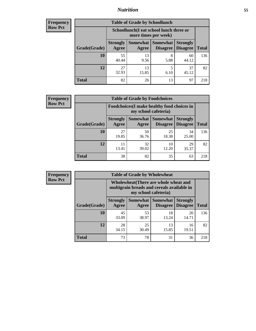## *Nutrition* **55**

| <b>Frequency</b> |
|------------------|
| Row Pct          |

| <b>Table of Grade by Schoollunch</b> |                          |                                                                                              |           |             |     |  |  |  |
|--------------------------------------|--------------------------|----------------------------------------------------------------------------------------------|-----------|-------------|-----|--|--|--|
|                                      |                          | Schoollunch(I eat school lunch three or<br>more times per week)                              |           |             |     |  |  |  |
| Grade(Grade)                         | <b>Strongly</b><br>Agree | Somewhat Somewhat<br><b>Strongly</b><br><b>Disagree</b><br>Disagree<br><b>Total</b><br>Agree |           |             |     |  |  |  |
| 10                                   | 55<br>40.44              | 13<br>9.56                                                                                   | 8<br>5.88 | 60<br>44.12 | 136 |  |  |  |
| 12                                   | 27<br>32.93              | 13<br>15.85                                                                                  | 5<br>6.10 | 37<br>45.12 | 82  |  |  |  |
| <b>Total</b>                         | 82                       | 26                                                                                           | 13        | 97          | 218 |  |  |  |

| <b>Frequency</b> |  |
|------------------|--|
| <b>Row Pct</b>   |  |

| <b>Table of Grade by Foodchoices</b> |                          |                                                                            |                                        |                                    |              |  |  |
|--------------------------------------|--------------------------|----------------------------------------------------------------------------|----------------------------------------|------------------------------------|--------------|--|--|
|                                      |                          | <b>Foodchoices</b> (I make healthy food choices in<br>my school cafeteria) |                                        |                                    |              |  |  |
| Grade(Grade)                         | <b>Strongly</b><br>Agree | Agree                                                                      | Somewhat   Somewhat<br><b>Disagree</b> | <b>Strongly</b><br><b>Disagree</b> | <b>Total</b> |  |  |
| 10                                   | 27<br>19.85              | 50<br>36.76                                                                | 25<br>18.38                            | 34<br>25.00                        | 136          |  |  |
| 12                                   | 11<br>13.41              | 32<br>39.02                                                                | 10<br>12.20                            | 29<br>35.37                        | 82           |  |  |
| <b>Total</b>                         | 38                       | 82                                                                         | 35                                     | 63                                 | 218          |  |  |

| <b>Frequency</b> | <b>Table of Grade by Wholewheat</b> |                                                                                                             |             |                                        |                                    |              |  |  |  |
|------------------|-------------------------------------|-------------------------------------------------------------------------------------------------------------|-------------|----------------------------------------|------------------------------------|--------------|--|--|--|
| <b>Row Pct</b>   |                                     | Wholewheat (There are whole wheat and<br>multigrain breads and cereals available in<br>my school cafeteria) |             |                                        |                                    |              |  |  |  |
|                  | Grade(Grade)                        | <b>Strongly</b><br>Agree                                                                                    | Agree       | Somewhat   Somewhat<br><b>Disagree</b> | <b>Strongly</b><br><b>Disagree</b> | <b>Total</b> |  |  |  |
|                  | 10                                  | 45<br>33.09                                                                                                 | 53<br>38.97 | 18<br>13.24                            | 20<br>14.71                        | 136          |  |  |  |
|                  | 12                                  | 28<br>34.15                                                                                                 | 25<br>30.49 | 13<br>15.85                            | 16<br>19.51                        | 82           |  |  |  |
|                  | <b>Total</b>                        | 73                                                                                                          | 78          | 31                                     | 36                                 | 218          |  |  |  |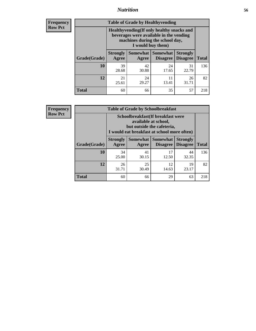## *Nutrition* **56**

**Frequency Row Pct**

| <b>Table of Grade by Healthyvending</b> |                                                                                                                                               |                          |                                    |                                    |              |  |
|-----------------------------------------|-----------------------------------------------------------------------------------------------------------------------------------------------|--------------------------|------------------------------------|------------------------------------|--------------|--|
|                                         | Healthyvending (If only healthy snacks and<br>beverages were available in the vending<br>machines during the school day,<br>I would buy them) |                          |                                    |                                    |              |  |
| Grade(Grade)                            | <b>Strongly</b><br>Agree                                                                                                                      | <b>Somewhat</b><br>Agree | <b>Somewhat</b><br><b>Disagree</b> | <b>Strongly</b><br><b>Disagree</b> | <b>Total</b> |  |
| 10                                      | 39<br>28.68                                                                                                                                   | 42<br>30.88              | 24<br>17.65                        | 31<br>22.79                        | 136          |  |
| 12                                      | 21<br>25.61                                                                                                                                   | 24<br>29.27              | 11<br>13.41                        | 26<br>31.71                        | 82           |  |
| <b>Total</b>                            | 60                                                                                                                                            | 66                       | 35                                 | 57                                 | 218          |  |

**Frequency Row Pct**

| <b>Table of Grade by Schoolbreakfast</b> |                                                                                                                                        |             |                               |                                    |              |  |
|------------------------------------------|----------------------------------------------------------------------------------------------------------------------------------------|-------------|-------------------------------|------------------------------------|--------------|--|
|                                          | Schoolbreakfast(If breakfast were<br>available at school,<br>but outside the cafeteria,<br>I would eat breakfast at school more often) |             |                               |                                    |              |  |
| Grade(Grade)                             | <b>Strongly</b><br>Agree                                                                                                               | Agree       | Somewhat Somewhat<br>Disagree | <b>Strongly</b><br><b>Disagree</b> | <b>Total</b> |  |
| 10                                       | 34<br>25.00                                                                                                                            | 41<br>30.15 | 17<br>12.50                   | 44<br>32.35                        | 136          |  |
| 12                                       | 26<br>31.71                                                                                                                            | 25<br>30.49 | 12<br>14.63                   | 19<br>23.17                        | 82           |  |
| <b>Total</b>                             | 60                                                                                                                                     | 66          | 29                            | 63                                 | 218          |  |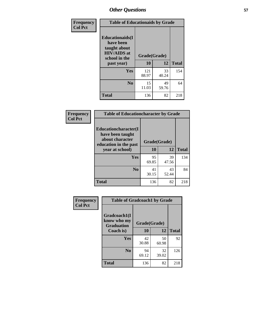| Frequency<br><b>Col Pct</b> | <b>Table of Educationaids by Grade</b>                                                                    |                    |             |              |
|-----------------------------|-----------------------------------------------------------------------------------------------------------|--------------------|-------------|--------------|
|                             | <b>Educationaids</b> (I<br>have been<br>taught about<br><b>HIV/AIDS</b> at<br>school in the<br>past year) | Grade(Grade)<br>10 | 12          | <b>Total</b> |
|                             | Yes                                                                                                       | 121<br>88.97       | 33<br>40.24 | 154          |
|                             | N <sub>0</sub>                                                                                            | 15<br>11.03        | 49<br>59.76 | 64           |
|                             | <b>Total</b>                                                                                              | 136                | 82          | 218          |

| Frequency      | <b>Table of Educationcharacter by Grade</b>      |              |             |              |
|----------------|--------------------------------------------------|--------------|-------------|--------------|
| <b>Col Pct</b> | <b>Educationcharacter(I)</b><br>have been taught |              |             |              |
|                | about character<br>education in the past         | Grade(Grade) |             |              |
|                | year at school)                                  | 10           | 12          | <b>Total</b> |
|                | Yes                                              | 95<br>69.85  | 39<br>47.56 | 134          |
|                | N <sub>0</sub>                                   | 41<br>30.15  | 43<br>52.44 | 84           |
|                | <b>Total</b>                                     | 136          | 82          | 218          |

| Frequency      | <b>Table of Gradcoach1 by Grade</b>              |              |             |              |
|----------------|--------------------------------------------------|--------------|-------------|--------------|
| <b>Col Pct</b> | Gradcoach1(I<br>know who my<br><b>Graduation</b> | Grade(Grade) |             |              |
|                | Coach is)                                        | 10           | 12          | <b>Total</b> |
|                | Yes                                              | 42<br>30.88  | 50<br>60.98 | 92           |
|                | N <sub>0</sub>                                   | 94<br>69.12  | 32<br>39.02 | 126          |
|                | <b>Total</b>                                     | 136          | 82          | 218          |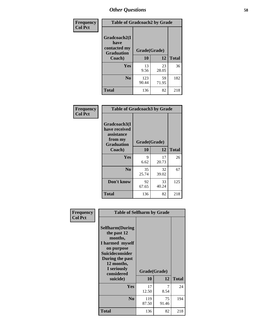| Frequency      | <b>Table of Gradcoach2 by Grade</b> |              |             |              |
|----------------|-------------------------------------|--------------|-------------|--------------|
| <b>Col Pct</b> |                                     |              |             |              |
|                | Gradcoach2(I<br>have                |              |             |              |
|                | contacted my<br><b>Graduation</b>   | Grade(Grade) |             |              |
|                | Coach)                              | 10           | 12          | <b>Total</b> |
|                | Yes                                 | 13<br>9.56   | 23<br>28.05 | 36           |
|                |                                     |              |             |              |
|                | N <sub>0</sub>                      | 123<br>90.44 | 59<br>71.95 | 182          |
|                | <b>Total</b>                        | 136          | 82          | 218          |

| Frequency<br><b>Col Pct</b> | <b>Table of Gradcoach3 by Grade</b>                                         |              |             |              |
|-----------------------------|-----------------------------------------------------------------------------|--------------|-------------|--------------|
|                             | Gradcoach3(I<br>have received<br>assistance<br>from my<br><b>Graduation</b> | Grade(Grade) |             |              |
|                             | Coach)                                                                      | 10           | 12          | <b>Total</b> |
|                             | Yes                                                                         | 9<br>6.62    | 17<br>20.73 | 26           |
|                             | N <sub>0</sub>                                                              | 35<br>25.74  | 32<br>39.02 | 67           |
|                             | Don't know                                                                  | 92<br>67.65  | 33<br>40.24 | 125          |
|                             | <b>Total</b>                                                                | 136          | 82          | 218          |

| <b>Selfharm</b> (During<br>the past 12<br>months,<br>I harmed myself<br>on purpose<br><b>Suicideconsider</b><br>During the past<br>12 months,<br>I seriously<br>considered |              |             |                                                         |
|----------------------------------------------------------------------------------------------------------------------------------------------------------------------------|--------------|-------------|---------------------------------------------------------|
|                                                                                                                                                                            |              |             | <b>Total</b>                                            |
| Yes                                                                                                                                                                        | 17<br>12.50  | 7<br>8.54   | 24                                                      |
| N <sub>0</sub>                                                                                                                                                             | 119<br>87.50 | 75<br>91.46 | 194                                                     |
| Total                                                                                                                                                                      | 136          | 82          | 218                                                     |
|                                                                                                                                                                            | suicide)     | 10          | <b>Table of Selfharm by Grade</b><br>Grade(Grade)<br>12 |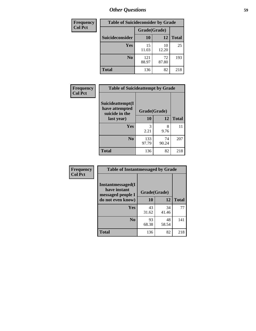| <b>Frequency</b> | <b>Table of Suicideconsider by Grade</b> |              |             |              |  |
|------------------|------------------------------------------|--------------|-------------|--------------|--|
| <b>Col Pct</b>   |                                          | Grade(Grade) |             |              |  |
|                  | Suicideconsider                          | <b>10</b>    | 12          | <b>Total</b> |  |
|                  | Yes                                      | 15<br>11.03  | 10<br>12.20 | 25           |  |
|                  | N <sub>0</sub>                           | 121<br>88.97 | 72<br>87.80 | 193          |  |
|                  | <b>Total</b>                             | 136          | 82          | 218          |  |

| Frequency      | <b>Table of Suicideattempt by Grade</b>              |              |             |              |
|----------------|------------------------------------------------------|--------------|-------------|--------------|
| <b>Col Pct</b> | Suicideattempt(I<br>have attempted<br>suicide in the | Grade(Grade) |             |              |
|                | last year)                                           | 10           | 12          | <b>Total</b> |
|                | Yes                                                  | 3<br>2.21    | 8<br>9.76   | 11           |
|                | N <sub>0</sub>                                       | 133<br>97.79 | 74<br>90.24 | 207          |
|                | <b>Total</b>                                         | 136          | 82          | 218          |

| Frequency      | <b>Table of Instantmessaged by Grade</b>               |              |             |              |
|----------------|--------------------------------------------------------|--------------|-------------|--------------|
| <b>Col Pct</b> | Instantmessaged(I<br>have instant<br>messaged people I | Grade(Grade) |             |              |
|                | do not even know)                                      | 10           | 12          | <b>Total</b> |
|                | Yes                                                    | 43<br>31.62  | 34<br>41.46 | 77           |
|                | N <sub>0</sub>                                         | 93<br>68.38  | 48<br>58.54 | 141          |
|                | <b>Total</b>                                           | 136          | 82          | 218          |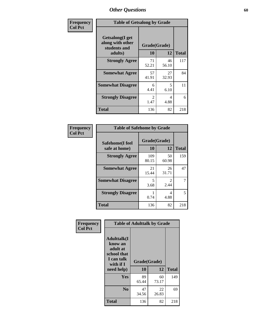| Frequency      | <b>Table of Getsalong by Grade</b>                          |                       |             |              |
|----------------|-------------------------------------------------------------|-----------------------|-------------|--------------|
| <b>Col Pct</b> | <b>Getsalong</b> (I get<br>along with other<br>students and | Grade(Grade)          |             |              |
|                | adults)                                                     | 10                    | 12          | <b>Total</b> |
|                | <b>Strongly Agree</b>                                       | 71<br>52.21           | 46<br>56.10 | 117          |
|                | <b>Somewhat Agree</b>                                       | 57<br>41.91           | 27<br>32.93 | 84           |
|                | <b>Somewhat Disagree</b>                                    | 6<br>4.41             | 5<br>6.10   | 11           |
|                | <b>Strongly Disagree</b>                                    | $\mathcal{L}$<br>1.47 | 4<br>4.88   | 6            |
|                | <b>Total</b>                                                | 136                   | 82          | 218          |

| Frequency      | <b>Table of Safehome by Grade</b> |                    |             |              |
|----------------|-----------------------------------|--------------------|-------------|--------------|
| <b>Col Pct</b> | Safehome(I feel<br>safe at home)  | Grade(Grade)<br>10 | 12          | <b>Total</b> |
|                | <b>Strongly Agree</b>             | 109<br>80.15       | 50<br>60.98 | 159          |
|                | <b>Somewhat Agree</b>             | 21<br>15.44        | 26<br>31.71 | 47           |
|                | <b>Somewhat Disagree</b>          | 5<br>3.68          | 2.44        | 7            |
|                | <b>Strongly Disagree</b>          | 0.74               | 4<br>4.88   | 5            |
|                | <b>Total</b>                      | 136                | 82          | 218          |

| Frequency      |                                                                                                   | <b>Table of Adulttalk by Grade</b> |             |              |
|----------------|---------------------------------------------------------------------------------------------------|------------------------------------|-------------|--------------|
| <b>Col Pct</b> | <b>Adulttalk(I</b><br>know an<br>adult at<br>school that<br>I can talk<br>with if I<br>need help) | Grade(Grade)<br>10                 | 12          | <b>Total</b> |
|                | <b>Yes</b>                                                                                        | 89<br>65.44                        | 60<br>73.17 | 149          |
|                | N <sub>0</sub>                                                                                    | 47<br>34.56                        | 22<br>26.83 | 69           |
|                | <b>Total</b>                                                                                      | 136                                | 82          | 218          |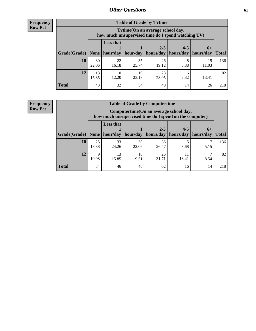**Frequency Row Pct**

| <b>Table of Grade by Tytime</b> |             |                                                                                                                                                                                                                       |             |             |           |             |     |  |  |
|---------------------------------|-------------|-----------------------------------------------------------------------------------------------------------------------------------------------------------------------------------------------------------------------|-------------|-------------|-----------|-------------|-----|--|--|
|                                 |             | Tvtime(On an average school day,<br>how much unsupervised time do I spend watching TV)<br><b>Less that</b><br>$2 - 3$<br>$4 - 5$<br>$6+$<br>$hour/day$   hour/day   hours/day   hours/day   hours/day<br><b>Total</b> |             |             |           |             |     |  |  |
| Grade(Grade)   None             |             |                                                                                                                                                                                                                       |             |             |           |             |     |  |  |
| 10                              | 30<br>22.06 | 22<br>16.18                                                                                                                                                                                                           | 35<br>25.74 | 26<br>19.12 | 5.88      | 15<br>11.03 | 136 |  |  |
| 12                              | 13<br>15.85 | 10<br>12.20                                                                                                                                                                                                           | 19<br>23.17 | 23<br>28.05 | 6<br>7.32 | 13.41       | 82  |  |  |
| <b>Total</b>                    | 43          | 32                                                                                                                                                                                                                    | 54          | 49          | 14        | 26          | 218 |  |  |

**Frequency Row Pct**

| <b>Table of Grade by Computertime</b> |             |                                                                                                   |             |                      |                      |                   |              |  |  |
|---------------------------------------|-------------|---------------------------------------------------------------------------------------------------|-------------|----------------------|----------------------|-------------------|--------------|--|--|
|                                       |             | Computertime (On an average school day,<br>how much unsupervised time do I spend on the computer) |             |                      |                      |                   |              |  |  |
| Grade(Grade)                          | None $ $    | <b>Less that</b><br>hour/day                                                                      | hour/day    | $2 - 3$<br>hours/day | $4 - 5$<br>hours/day | $6+$<br>hours/day | <b>Total</b> |  |  |
| 10                                    | 25<br>18.38 | 33<br>24.26                                                                                       | 30<br>22.06 | 36<br>26.47          | 3.68                 | 5.15              | 136          |  |  |
| 12                                    | Q<br>10.98  | 13<br>26<br>16<br>11<br>13.41<br>15.85<br>31.71<br>8.54<br>19.51                                  |             |                      |                      |                   |              |  |  |
| <b>Total</b>                          | 34          | 46                                                                                                | 46          | 62                   | 16                   | 14                | 218          |  |  |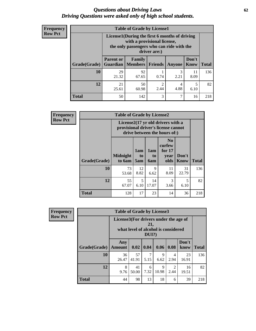## *Questions about Driving Laws* **62** *Driving Questions were asked only of high school students.*

| <b>Frequency</b> |
|------------------|
| <b>Row Pct</b>   |

| <b>Table of Grade by License1</b> |                                                                   |                                                                                                                                           |         |           |                      |              |  |  |  |
|-----------------------------------|-------------------------------------------------------------------|-------------------------------------------------------------------------------------------------------------------------------------------|---------|-----------|----------------------|--------------|--|--|--|
|                                   |                                                                   | License1(During the first 6 months of driving<br>with a provisional license,<br>the only passengers who can ride with the<br>driver are:) |         |           |                      |              |  |  |  |
| <b>Grade</b> (Grade)              | <b>Parent or</b><br><b>Guardian</b>                               | Family<br>Members                                                                                                                         | Friends | Anyone    | Don't<br><b>Know</b> | <b>Total</b> |  |  |  |
| 10                                | 29<br>21.32                                                       | 92<br>67.65                                                                                                                               | 0.74    | 3<br>2.21 | 11<br>8.09           | 136          |  |  |  |
| 12                                | 50<br>2<br>21<br>5<br>4<br>2.44<br>4.88<br>25.61<br>60.98<br>6.10 |                                                                                                                                           |         |           |                      |              |  |  |  |
| <b>Total</b>                      | 50                                                                | 142                                                                                                                                       | 3       | 7         | 16                   | 218          |  |  |  |

| Frequency      |              | <b>Table of Grade by License2</b>                                                                        |                  |                  |                                                      |                      |              |  |  |
|----------------|--------------|----------------------------------------------------------------------------------------------------------|------------------|------------------|------------------------------------------------------|----------------------|--------------|--|--|
| <b>Row Pct</b> |              | License2(17 yr old drivers with a<br>provisional driver's license cannot<br>drive between the hours of:) |                  |                  |                                                      |                      |              |  |  |
|                | Grade(Grade) | <b>Midnight</b><br>to 6am                                                                                | 1am<br>to<br>5am | 1am<br>to<br>6am | N <sub>0</sub><br>curfew<br>for $17$<br>year<br>olds | Don't<br><b>Know</b> | <b>Total</b> |  |  |
|                | 10           | 73<br>53.68                                                                                              | 12<br>8.82       | 9<br>6.62        | 11<br>8.09                                           | 31<br>22.79          | 136          |  |  |
|                | 12           | 55<br>67.07                                                                                              | 5<br>6.10        | 14<br>17.07      | 3<br>3.66                                            | 5<br>6.10            | 82           |  |  |
|                | <b>Total</b> | 128                                                                                                      | 17               | 23               | 14                                                   | 36                   | 218          |  |  |

| <b>Frequency</b> | <b>Table of Grade by License3</b> |                                       |                                     |                 |            |           |               |              |
|------------------|-----------------------------------|---------------------------------------|-------------------------------------|-----------------|------------|-----------|---------------|--------------|
| <b>Row Pct</b>   |                                   | License3(For drivers under the age of | what level of alcohol is considered | 21,<br>$DUI$ ?) |            |           |               |              |
|                  | Grade(Grade)                      | Any<br><b>Amount</b>                  | $\vert 0.02 \vert$                  | 0.04            | 0.06       | 0.08      | Don't<br>know | <b>Total</b> |
|                  | 10                                | 36<br>26.47                           | 57<br>41.91                         | 5.15            | Q<br>6.62  | 4<br>2.94 | 23<br>16.91   | 136          |
|                  | 12                                | 8<br>9.76                             | 41<br>50.00                         | 6<br>7.32       | 9<br>10.98 | 2<br>2.44 | 16<br>19.51   | 82           |
|                  | <b>Total</b>                      | 44                                    | 98                                  | 13              | 18         | 6         | 39            | 218          |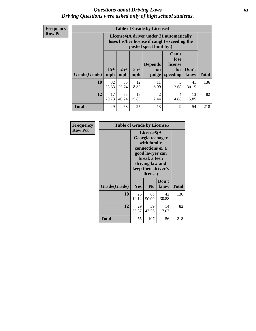## *Questions about Driving Laws* **63** *Driving Questions were asked only of high school students.*

**Frequency Row Pct**

| <b>Table of Grade by License4</b> |             |                                                                                                                                                                                                                                                                                       |            |            |           |             |     |  |  |
|-----------------------------------|-------------|---------------------------------------------------------------------------------------------------------------------------------------------------------------------------------------------------------------------------------------------------------------------------------------|------------|------------|-----------|-------------|-----|--|--|
|                                   |             | License4(A driver under 21 automatically<br>loses his/her license if caught exceeding the<br>posted speet limit by:)<br>Can't<br>lose<br><b>Depends</b><br>license<br>$15+$<br>$25+$<br>$35+$<br>Don't<br>for<br><b>on</b><br>mph<br>speeding<br><b>Total</b><br>know<br>mph<br>judge |            |            |           |             |     |  |  |
| <b>Grade(Grade)</b>               | mph         |                                                                                                                                                                                                                                                                                       |            |            |           |             |     |  |  |
| 10                                | 32<br>23.53 | 35<br>25.74                                                                                                                                                                                                                                                                           | 12<br>8.82 | 11<br>8.09 | 5<br>3.68 | 41<br>30.15 | 136 |  |  |
| 12                                | 17<br>20.73 | 33<br>13<br>$\mathfrak{D}$<br>13<br>4<br>40.24<br>15.85<br>4.88<br>2.44<br>15.85                                                                                                                                                                                                      |            |            |           |             |     |  |  |
| <b>Total</b>                      | 49          | 68                                                                                                                                                                                                                                                                                    | 25         | 13         | 9         | 54          | 218 |  |  |

| Frequency<br><b>Row Pct</b> | <b>Table of Grade by License5</b> |             | License5(A<br>Georgia teenager<br>with family                                                             |               |       |  |  |  |
|-----------------------------|-----------------------------------|-------------|-----------------------------------------------------------------------------------------------------------|---------------|-------|--|--|--|
|                             |                                   |             | connections or a<br>good lawyer can<br>break a teen<br>driving law and<br>keep their driver's<br>license) |               |       |  |  |  |
|                             | Grade(Grade)                      | <b>Yes</b>  | N <sub>0</sub>                                                                                            | Don't<br>know | Total |  |  |  |
|                             | 10                                | 26<br>19.12 | 68<br>50.00                                                                                               | 42<br>30.88   | 136   |  |  |  |
|                             | 12                                | 29<br>35.37 | 39<br>47.56                                                                                               | 14<br>17.07   | 82    |  |  |  |
|                             | Total                             | 55          | 107                                                                                                       | 56            | 218   |  |  |  |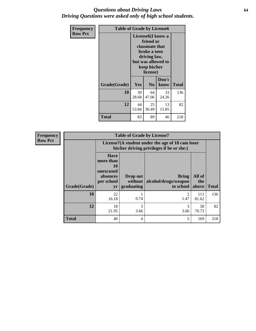## *Questions about Driving Laws* **64** *Driving Questions were asked only of high school students.*

| <b>Frequency</b> | <b>Table of Grade by License6</b> |             |                                                                                                                           |                    |              |  |
|------------------|-----------------------------------|-------------|---------------------------------------------------------------------------------------------------------------------------|--------------------|--------------|--|
| <b>Row Pct</b>   |                                   |             | License <sub>6</sub> (I know a<br>friend or<br>classmate that<br>broke a teen<br>driving law,<br>keep his/her<br>license) | but was allowed to |              |  |
|                  | Grade(Grade)                      | Yes         | N <sub>0</sub>                                                                                                            | Don't<br>know      | <b>Total</b> |  |
|                  | 10                                | 39<br>28.68 | 64<br>47.06                                                                                                               | 33<br>24.26        | 136          |  |
|                  | 12                                | 44<br>53.66 | 25<br>30.49                                                                                                               | 13<br>15.85        | 82           |  |
|                  | <b>Total</b>                      | 83          | 89                                                                                                                        | 46                 | 218          |  |

| <b>Frequency</b> | <b>Table of Grade by License7</b> |                                                                             |                                     |                                                                                               |                        |              |  |  |
|------------------|-----------------------------------|-----------------------------------------------------------------------------|-------------------------------------|-----------------------------------------------------------------------------------------------|------------------------|--------------|--|--|
| <b>Row Pct</b>   |                                   |                                                                             |                                     | License7(A student under the age of 18 cam loser<br>his/her driving privileges if he or she:) |                        |              |  |  |
|                  | Grade(Grade)                      | <b>Have</b><br>more than<br>10<br>unexcused<br>absences<br>per school<br>yr | Drop out<br>without  <br>graduating | <b>Bring</b><br>alcohol/drugs/weapon<br>to school                                             | All of<br>the<br>above | <b>Total</b> |  |  |
|                  | 10                                | 22<br>16.18                                                                 | 0.74                                | ာ<br>1.47                                                                                     | 111<br>81.62           | 136          |  |  |
|                  | 12                                | 18<br>21.95                                                                 | 3<br>3.66                           | 3<br>3.66                                                                                     | 58<br>70.73            | 82           |  |  |
|                  | <b>Total</b>                      | 40                                                                          | 4                                   | 5                                                                                             | 169                    | 218          |  |  |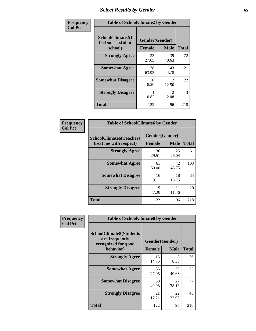# *Select Results by Gender* **65**

| Frequency      | <b>Table of SchoolClimate2 by Gender</b>          |               |                                     |              |
|----------------|---------------------------------------------------|---------------|-------------------------------------|--------------|
| <b>Col Pct</b> | SchoolClimate2(I<br>feel successful at<br>school) | <b>Female</b> | Gender(Gender)<br><b>Male</b>       | <b>Total</b> |
|                | <b>Strongly Agree</b>                             | 33<br>27.05   | 39<br>40.63                         | 72           |
|                | <b>Somewhat Agree</b>                             | 78<br>63.93   | 43<br>44.79                         | 121          |
|                | <b>Somewhat Disagree</b>                          | 10<br>8.20    | 12<br>12.50                         | 22           |
|                | <b>Strongly Disagree</b>                          | 0.82          | $\mathcal{D}_{\mathcal{L}}$<br>2.08 | 3            |
|                | <b>Total</b>                                      | 122           | 96                                  | 218          |

| Frequency      | <b>Table of SchoolClimate6 by Gender</b>                 |               |                               |              |  |
|----------------|----------------------------------------------------------|---------------|-------------------------------|--------------|--|
| <b>Col Pct</b> | <b>SchoolClimate6(Teachers</b><br>treat me with respect) | <b>Female</b> | Gender(Gender)<br><b>Male</b> | <b>Total</b> |  |
|                | <b>Strongly Agree</b>                                    | 36<br>29.51   | 25<br>26.04                   | 61           |  |
|                | <b>Somewhat Agree</b>                                    | 61<br>50.00   | 42<br>43.75                   | 103          |  |
|                | <b>Somewhat Disagree</b>                                 | 16<br>13.11   | 18<br>18.75                   | 34           |  |
|                | <b>Strongly Disagree</b>                                 | 9<br>7.38     | 11<br>11.46                   | 20           |  |
|                | <b>Total</b>                                             | 122           | 96                            | 218          |  |

| <b>Frequency</b> | <b>Table of SchoolClimate8 by Gender</b>                                             |               |                               |              |
|------------------|--------------------------------------------------------------------------------------|---------------|-------------------------------|--------------|
| <b>Col Pct</b>   | <b>SchoolClimate8(Students</b><br>are frequently<br>recognized for good<br>behavior) | <b>Female</b> | Gender(Gender)<br><b>Male</b> | <b>Total</b> |
|                  | <b>Strongly Agree</b>                                                                | 18            | 8                             | 26           |
|                  |                                                                                      | 14.75         | 8.33                          |              |
|                  | <b>Somewhat Agree</b>                                                                | 33<br>27.05   | 39<br>40.63                   | 72           |
|                  | <b>Somewhat Disagree</b>                                                             | 50<br>40.98   | 27<br>28.13                   | 77           |
|                  | <b>Strongly Disagree</b>                                                             | 21<br>17.21   | 22<br>22.92                   | 43           |
|                  | Total                                                                                | 122           | 96                            | 218          |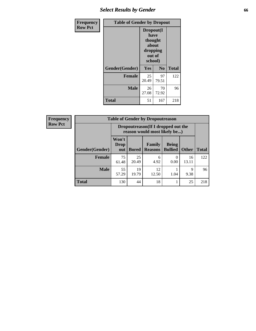# *Select Results by Gender* **66**

| Frequency      | <b>Table of Gender by Dropout</b> |                                                                        |                |              |
|----------------|-----------------------------------|------------------------------------------------------------------------|----------------|--------------|
| <b>Row Pct</b> |                                   | Dropout(I<br>have<br>thought<br>about<br>dropping<br>out of<br>school) |                |              |
|                | Gender(Gender)                    | Yes                                                                    | N <sub>0</sub> | <b>Total</b> |
|                | <b>Female</b>                     | 25<br>20.49                                                            | 97<br>79.51    | 122          |
|                | <b>Male</b>                       | 26<br>27.08                                                            | 70<br>72.92    | 96           |
|                | <b>Total</b>                      | 51                                                                     | 167            | 218          |

| <b>Frequency</b> |                       | <b>Table of Gender by Dropoutreason</b>                             |              |                                 |                                |              |              |
|------------------|-----------------------|---------------------------------------------------------------------|--------------|---------------------------------|--------------------------------|--------------|--------------|
| <b>Row Pct</b>   |                       | Dropoutreason (If I dropped out the<br>reason would most likely be) |              |                                 |                                |              |              |
|                  | <b>Gender(Gender)</b> | Won't<br>Drop<br>out                                                | <b>Bored</b> | <b>Family</b><br><b>Reasons</b> | <b>Being</b><br><b>Bullied</b> | <b>Other</b> | <b>Total</b> |
|                  | <b>Female</b>         | 75<br>61.48                                                         | 25<br>20.49  | 6<br>4.92                       | 0.00                           | 16<br>13.11  | 122          |
|                  | <b>Male</b>           | 55<br>57.29                                                         | 19<br>19.79  | 12<br>12.50                     | 1.04                           | 9<br>9.38    | 96           |
|                  | Total                 | 130                                                                 | 44           | 18                              |                                | 25           | 218          |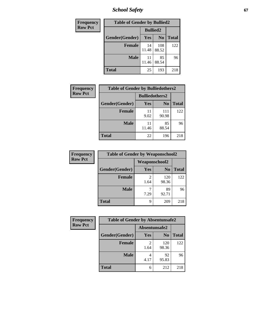*School Safety* **67**

| Frequency      | <b>Table of Gender by Bullied2</b> |                 |                |              |
|----------------|------------------------------------|-----------------|----------------|--------------|
| <b>Row Pct</b> |                                    | <b>Bullied2</b> |                |              |
|                | Gender(Gender)                     | <b>Yes</b>      | N <sub>0</sub> | <b>Total</b> |
|                | <b>Female</b>                      | 14<br>11.48     | 108<br>88.52   | 122          |
|                | <b>Male</b>                        | 11<br>11.46     | 85<br>88.54    | 96           |
|                | <b>Total</b>                       | 25              | 193            | 218          |

| Frequency      | <b>Table of Gender by Bulliedothers2</b> |                       |                |              |
|----------------|------------------------------------------|-----------------------|----------------|--------------|
| <b>Row Pct</b> |                                          | <b>Bulliedothers2</b> |                |              |
|                | Gender(Gender)                           | <b>Yes</b>            | N <sub>0</sub> | <b>Total</b> |
|                | <b>Female</b>                            | 11<br>9.02            | 111<br>90.98   | 122          |
|                | <b>Male</b>                              | 11<br>11.46           | 85<br>88.54    | 96           |
|                | <b>Total</b>                             | 22                    | 196            | 218          |

| Frequency      | <b>Table of Gender by Weaponschool2</b> |                      |                |              |
|----------------|-----------------------------------------|----------------------|----------------|--------------|
| <b>Row Pct</b> |                                         | <b>Weaponschool2</b> |                |              |
|                | Gender(Gender)                          | Yes                  | N <sub>0</sub> | <b>Total</b> |
|                | <b>Female</b>                           | 1.64                 | 120<br>98.36   | 122          |
|                | <b>Male</b>                             | 7.29                 | 89<br>92.71    | 96           |
|                | <b>Total</b>                            | 9                    | 209            | 218          |

| Frequency      | <b>Table of Gender by Absentunsafe2</b> |               |                |              |
|----------------|-----------------------------------------|---------------|----------------|--------------|
| <b>Row Pct</b> |                                         | Absentunsafe2 |                |              |
|                | Gender(Gender)                          | Yes           | N <sub>0</sub> | <b>Total</b> |
|                | <b>Female</b>                           | 1.64          | 120<br>98.36   | 122          |
|                | <b>Male</b>                             | 4.17          | 92<br>95.83    | 96           |
|                | <b>Total</b>                            | 6             | 212            | 218          |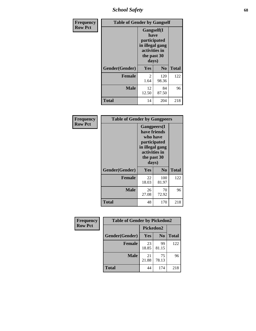*School Safety* **68**

| Frequency      | <b>Table of Gender by Gangself</b>                                                             |                        |                |              |
|----------------|------------------------------------------------------------------------------------------------|------------------------|----------------|--------------|
| <b>Row Pct</b> | Gangself(I<br>have<br>participated<br>in illegal gang<br>activities in<br>the past 30<br>days) |                        |                |              |
|                | Gender(Gender)                                                                                 | Yes                    | N <sub>0</sub> | <b>Total</b> |
|                | <b>Female</b>                                                                                  | $\overline{c}$<br>1.64 | 120<br>98.36   | 122          |
|                | <b>Male</b>                                                                                    | 12<br>12.50            | 84<br>87.50    | 96           |
|                | <b>Total</b>                                                                                   | 14                     | 204            | 218          |

| Frequency      |                | <b>Table of Gender by Gangpeers</b>                                                                                         |                |              |
|----------------|----------------|-----------------------------------------------------------------------------------------------------------------------------|----------------|--------------|
| <b>Row Pct</b> |                | <b>Gangpeers</b> (I<br>have friends<br>who have<br>participated<br>in illegal gang<br>activities in<br>the past 30<br>days) |                |              |
|                | Gender(Gender) | <b>Yes</b>                                                                                                                  | N <sub>0</sub> | <b>Total</b> |
|                | <b>Female</b>  | 22<br>18.03                                                                                                                 | 100<br>81.97   | 122          |
|                | <b>Male</b>    | 26<br>27.08                                                                                                                 | 70<br>72.92    | 96           |
|                | <b>Total</b>   | 48                                                                                                                          | 170            | 218          |

| Frequency      | <b>Table of Gender by Pickedon2</b> |             |                |              |
|----------------|-------------------------------------|-------------|----------------|--------------|
| <b>Row Pct</b> |                                     | Pickedon2   |                |              |
|                | Gender(Gender)                      | <b>Yes</b>  | N <sub>0</sub> | <b>Total</b> |
|                | <b>Female</b>                       | 23<br>18.85 | 99<br>81.15    | 122          |
|                | <b>Male</b>                         | 21<br>21.88 | 75<br>78.13    | 96           |
|                | <b>Total</b>                        | 44          | 174            | 218          |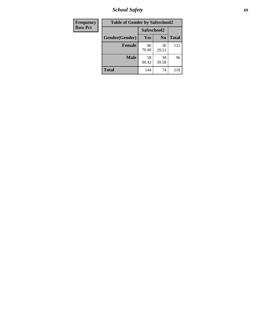*School Safety* **69**

| <b>Frequency</b> | <b>Table of Gender by Safeschool2</b> |             |                |              |  |
|------------------|---------------------------------------|-------------|----------------|--------------|--|
| <b>Row Pct</b>   |                                       | Safeschool2 |                |              |  |
|                  | Gender(Gender)                        | Yes         | N <sub>0</sub> | <b>Total</b> |  |
|                  | <b>Female</b>                         | 86<br>70.49 | 36<br>29.51    | 122          |  |
|                  | <b>Male</b>                           | 58<br>60.42 | 38<br>39.58    | 96           |  |
|                  | <b>Total</b>                          | 144         | 74             | 218          |  |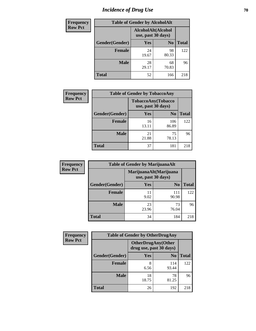# *Incidence of Drug Use* **70**

| Frequency      | <b>Table of Gender by AlcoholAlt</b> |                                          |                |              |
|----------------|--------------------------------------|------------------------------------------|----------------|--------------|
| <b>Row Pct</b> |                                      | AlcoholAlt(Alcohol<br>use, past 30 days) |                |              |
|                | Gender(Gender)                       | Yes                                      | N <sub>0</sub> | <b>Total</b> |
|                | <b>Female</b>                        | 24<br>19.67                              | 98<br>80.33    | 122          |
|                | <b>Male</b>                          | 28<br>29.17                              | 68<br>70.83    | 96           |
|                | <b>Total</b>                         | 52                                       | 166            | 218          |

| <b>Frequency</b> | <b>Table of Gender by TobaccoAny</b> |                    |                    |              |  |
|------------------|--------------------------------------|--------------------|--------------------|--------------|--|
| <b>Row Pct</b>   |                                      | use, past 30 days) | TobaccoAny(Tobacco |              |  |
|                  | Gender(Gender)                       | Yes                | N <sub>0</sub>     | <b>Total</b> |  |
|                  | <b>Female</b>                        | 16<br>13.11        | 106<br>86.89       | 122          |  |
|                  | <b>Male</b>                          | 21<br>21.88        | 75<br>78.13        | 96           |  |
|                  | <b>Total</b>                         | 37                 | 181                | 218          |  |

| <b>Frequency</b> | <b>Table of Gender by MarijuanaAlt</b> |                    |                        |              |
|------------------|----------------------------------------|--------------------|------------------------|--------------|
| <b>Row Pct</b>   |                                        | use, past 30 days) | MarijuanaAlt(Marijuana |              |
|                  | Gender(Gender)                         | <b>Yes</b>         | N <sub>0</sub>         | <b>Total</b> |
|                  | <b>Female</b>                          | 11<br>9.02         | 111<br>90.98           | 122          |
|                  | <b>Male</b>                            | 23<br>23.96        | 73<br>76.04            | 96           |
|                  | <b>Total</b>                           | 34                 | 184                    | 218          |

| <b>Frequency</b> | <b>Table of Gender by OtherDrugAny</b> |                                                      |                |              |
|------------------|----------------------------------------|------------------------------------------------------|----------------|--------------|
| <b>Row Pct</b>   |                                        | <b>OtherDrugAny(Other</b><br>drug use, past 30 days) |                |              |
|                  | Gender(Gender)                         | <b>Yes</b>                                           | N <sub>0</sub> | <b>Total</b> |
|                  | <b>Female</b>                          | 8<br>6.56                                            | 114<br>93.44   | 122          |
|                  | <b>Male</b>                            | 18<br>18.75                                          | 78<br>81.25    | 96           |
|                  | <b>Total</b>                           | 26                                                   | 192            | 218          |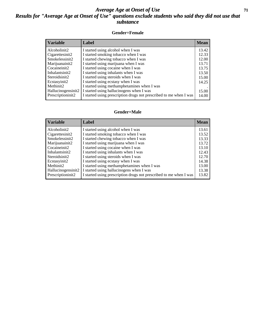## *Average Age at Onset of Use* **71** *Results for "Average Age at Onset of Use" questions exclude students who said they did not use that substance*

## **Gender=Female**

| <b>Variable</b>    | <b>Label</b>                                                       | <b>Mean</b> |
|--------------------|--------------------------------------------------------------------|-------------|
| Alcoholinit2       | I started using alcohol when I was                                 | 13.42       |
| Cigarettesinit2    | I started smoking tobacco when I was                               | 12.33       |
| Smokelessinit2     | I started chewing tobacco when I was                               | 12.00       |
| Marijuanainit2     | I started using marijuana when I was                               | 13.71       |
| Cocaineinit2       | I started using cocaine when I was                                 | 13.75       |
| Inhalantsinit2     | I started using inhalants when I was                               | 13.50       |
| Steroidsinit2      | I started using steroids when I was                                | 15.00       |
| Ecstasyinit2       | I started using ecstasy when I was                                 | 14.25       |
| Methinit2          | I started using methamphetamines when I was                        |             |
| Hallucinogensinit2 | I started using hallucinogens when I was                           | 15.00       |
| Prescription in t2 | I started using prescription drugs not prescribed to me when I was | 14.00       |
|                    |                                                                    |             |

### **Gender=Male**

| <b>Variable</b>    | Label                                                              | <b>Mean</b> |
|--------------------|--------------------------------------------------------------------|-------------|
| Alcoholinit2       | I started using alcohol when I was                                 | 13.61       |
| Cigarettesinit2    | I started smoking tobacco when I was                               | 13.52       |
| Smokelessinit2     | I started chewing tobacco when I was                               | 13.33       |
| Marijuanainit2     | I started using marijuana when I was                               | 13.72       |
| Cocaineinit2       | I started using cocaine when I was                                 | 13.10       |
| Inhalantsinit2     | I started using inhalants when I was                               | 12.43       |
| Steroidsinit2      | I started using steroids when I was                                | 12.70       |
| Ecstasyinit2       | I started using ecstasy when I was                                 | 14.38       |
| Methinit2          | I started using methamphetamines when I was                        | 13.00       |
| Hallucinogensinit2 | I started using hallucinogens when I was                           | 13.38       |
| Prescriptioninit2  | I started using prescription drugs not prescribed to me when I was | 13.82       |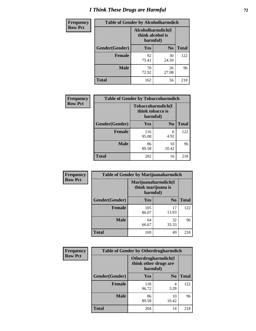# *I Think These Drugs are Harmful* **72**

| <b>Frequency</b> | <b>Table of Gender by Alcoholharmdich</b> |                                                   |                |              |
|------------------|-------------------------------------------|---------------------------------------------------|----------------|--------------|
| <b>Row Pct</b>   |                                           | Alcoholharmdich(I<br>think alcohol is<br>harmful) |                |              |
|                  | Gender(Gender)                            | Yes                                               | N <sub>0</sub> | <b>Total</b> |
|                  | <b>Female</b>                             | 92<br>75.41                                       | 30<br>24.59    | 122          |
|                  | <b>Male</b>                               | 70<br>72.92                                       | 26<br>27.08    | 96           |
|                  | <b>Total</b>                              | 162                                               | 56             | 218          |

| Frequency      | <b>Table of Gender by Tobaccoharmdich</b> |                  |                               |              |  |
|----------------|-------------------------------------------|------------------|-------------------------------|--------------|--|
| <b>Row Pct</b> |                                           | think tobacco is | Tobaccoharmdich(I<br>harmful) |              |  |
|                | Gender(Gender)                            | Yes              | N <sub>0</sub>                | <b>Total</b> |  |
|                | <b>Female</b>                             | 116<br>95.08     | 6<br>4.92                     | 122          |  |
|                | <b>Male</b>                               | 86<br>89.58      | 10<br>10.42                   | 96           |  |
|                | <b>Total</b>                              | 202              | 16                            | 218          |  |

| Frequency      | <b>Table of Gender by Marijuanaharmdich</b> |                                                       |                |              |  |
|----------------|---------------------------------------------|-------------------------------------------------------|----------------|--------------|--|
| <b>Row Pct</b> |                                             | Marijuanaharmdich(I<br>think marijuana is<br>harmful) |                |              |  |
|                | Gender(Gender)                              | <b>Yes</b>                                            | N <sub>0</sub> | <b>Total</b> |  |
|                | <b>Female</b>                               | 105<br>86.07                                          | 17<br>13.93    | 122          |  |
|                | <b>Male</b>                                 | 64<br>66.67                                           | 32<br>33.33    | 96           |  |
|                | <b>Total</b>                                | 169                                                   | 49             | 218          |  |

| Frequency      | <b>Table of Gender by Otherdrugharmdich</b> |                                                          |                |              |  |
|----------------|---------------------------------------------|----------------------------------------------------------|----------------|--------------|--|
| <b>Row Pct</b> |                                             | Otherdrugharmdich(I<br>think other drugs are<br>harmful) |                |              |  |
|                | Gender(Gender)                              | <b>Yes</b>                                               | N <sub>0</sub> | <b>Total</b> |  |
|                | <b>Female</b>                               | 118<br>96.72                                             | 4<br>3.28      | 122          |  |
|                | <b>Male</b>                                 | 86<br>89.58                                              | 10<br>10.42    | 96           |  |
|                | <b>Total</b>                                | 204                                                      | 14             | 218          |  |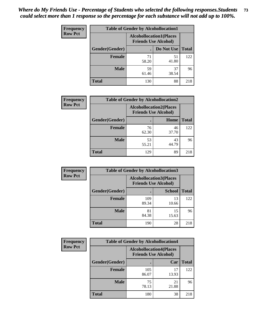| <b>Frequency</b> | <b>Table of Gender by Alcohollocation1</b> |                                                               |             |              |
|------------------|--------------------------------------------|---------------------------------------------------------------|-------------|--------------|
| <b>Row Pct</b>   |                                            | <b>Alcohollocation1(Places</b><br><b>Friends Use Alcohol)</b> |             |              |
|                  | Gender(Gender)                             |                                                               | Do Not Use  | <b>Total</b> |
|                  | <b>Female</b>                              | 71<br>58.20                                                   | 51<br>41.80 | 122          |
|                  | <b>Male</b>                                | 59<br>61.46                                                   | 37<br>38.54 | 96           |
|                  | <b>Total</b>                               | 130                                                           | 88          | 218          |

| <b>Frequency</b> | <b>Table of Gender by Alcohollocation2</b> |             |                                                               |              |
|------------------|--------------------------------------------|-------------|---------------------------------------------------------------|--------------|
| <b>Row Pct</b>   |                                            |             | <b>Alcohollocation2(Places</b><br><b>Friends Use Alcohol)</b> |              |
|                  | Gender(Gender)                             |             | Home                                                          | <b>Total</b> |
|                  | <b>Female</b>                              | 76<br>62.30 | 46<br>37.70                                                   | 122          |
|                  | <b>Male</b>                                | 53<br>55.21 | 43<br>44.79                                                   | 96           |
|                  | <b>Total</b>                               | 129         | 89                                                            | 218          |

| Frequency      | <b>Table of Gender by Alcohollocation3</b> |                                                               |               |              |
|----------------|--------------------------------------------|---------------------------------------------------------------|---------------|--------------|
| <b>Row Pct</b> |                                            | <b>Alcohollocation3(Places</b><br><b>Friends Use Alcohol)</b> |               |              |
|                | Gender(Gender)                             |                                                               | <b>School</b> | <b>Total</b> |
|                | <b>Female</b>                              | 109<br>89.34                                                  | 13<br>10.66   | 122          |
|                | <b>Male</b>                                | 81<br>84.38                                                   | 15<br>15.63   | 96           |
|                | <b>Total</b>                               | 190                                                           | 28            | 218          |

| Frequency      | <b>Table of Gender by Alcohollocation4</b> |                                                               |             |              |
|----------------|--------------------------------------------|---------------------------------------------------------------|-------------|--------------|
| <b>Row Pct</b> |                                            | <b>Alcohollocation4(Places</b><br><b>Friends Use Alcohol)</b> |             |              |
|                | Gender(Gender)                             |                                                               | Car         | <b>Total</b> |
|                | <b>Female</b>                              | 105<br>86.07                                                  | 17<br>13.93 | 122          |
|                | <b>Male</b>                                | 75<br>78.13                                                   | 21<br>21.88 | 96           |
|                | <b>Total</b>                               | 180                                                           | 38          | 218          |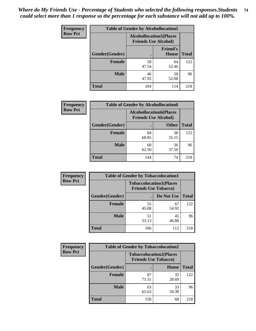| <b>Frequency</b> |                | <b>Table of Gender by Alcohollocation5</b> |                                                                |              |
|------------------|----------------|--------------------------------------------|----------------------------------------------------------------|--------------|
| <b>Row Pct</b>   |                |                                            | <b>Alcohollocation5</b> (Places<br><b>Friends Use Alcohol)</b> |              |
|                  | Gender(Gender) | $\bullet$                                  | <b>Friend's</b><br><b>House</b>                                | <b>Total</b> |
|                  | <b>Female</b>  | 58<br>47.54                                | 64<br>52.46                                                    | 122          |
|                  | <b>Male</b>    | 46<br>47.92                                | 50<br>52.08                                                    | 96           |
|                  | <b>Total</b>   | 104                                        | 114                                                            | 218          |

| <b>Frequency</b> | <b>Table of Gender by Alcohollocation6</b> |             |                                                               |              |
|------------------|--------------------------------------------|-------------|---------------------------------------------------------------|--------------|
| <b>Row Pct</b>   |                                            |             | <b>Alcohollocation6(Places</b><br><b>Friends Use Alcohol)</b> |              |
|                  | Gender(Gender)                             |             | <b>Other</b>                                                  | <b>Total</b> |
|                  | <b>Female</b>                              | 84<br>68.85 | 38<br>31.15                                                   | 122          |
|                  | <b>Male</b>                                | 60<br>62.50 | 36<br>37.50                                                   | 96           |
|                  | <b>Total</b>                               | 144         | 74                                                            | 218          |

| Frequency      | <b>Table of Gender by Tobaccolocation1</b> |                                                               |             |              |  |
|----------------|--------------------------------------------|---------------------------------------------------------------|-------------|--------------|--|
| <b>Row Pct</b> |                                            | <b>Tobaccolocation1(Places</b><br><b>Friends Use Tobacco)</b> |             |              |  |
|                | Gender(Gender)                             |                                                               | Do Not Use  | <b>Total</b> |  |
|                | Female                                     | 55<br>45.08                                                   | 67<br>54.92 | 122          |  |
|                | <b>Male</b>                                | 51<br>53.13                                                   | 45<br>46.88 | 96           |  |
|                | <b>Total</b>                               | 106                                                           | 112         | 218          |  |

| Frequency      | <b>Table of Gender by Tobaccolocation2</b> |                                                               |             |              |
|----------------|--------------------------------------------|---------------------------------------------------------------|-------------|--------------|
| <b>Row Pct</b> |                                            | <b>Tobaccolocation2(Places</b><br><b>Friends Use Tobacco)</b> |             |              |
|                | Gender(Gender)                             |                                                               | Home        | <b>Total</b> |
|                | Female                                     | 87<br>71.31                                                   | 35<br>28.69 | 122          |
|                | <b>Male</b>                                | 63<br>65.63                                                   | 33<br>34.38 | 96           |
|                | <b>Total</b>                               | 150                                                           | 68          | 218          |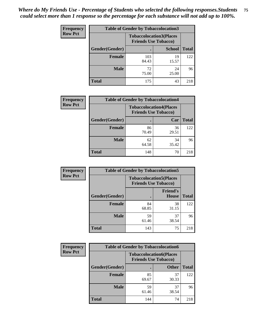| <b>Frequency</b> |                | <b>Table of Gender by Tobaccolocation3</b> |                                |              |
|------------------|----------------|--------------------------------------------|--------------------------------|--------------|
| <b>Row Pct</b>   |                | <b>Friends Use Tobacco)</b>                | <b>Tobaccolocation3(Places</b> |              |
|                  | Gender(Gender) |                                            | <b>School</b>                  | <b>Total</b> |
|                  | Female         | 103<br>84.43                               | 19<br>15.57                    | 122          |
|                  | <b>Male</b>    | 72<br>75.00                                | 24<br>25.00                    | 96           |
|                  | <b>Total</b>   | 175                                        | 43                             | 218          |

| <b>Frequency</b> | <b>Table of Gender by Tobaccolocation4</b> |             |                                                               |              |
|------------------|--------------------------------------------|-------------|---------------------------------------------------------------|--------------|
| <b>Row Pct</b>   |                                            |             | <b>Tobaccolocation4(Places</b><br><b>Friends Use Tobacco)</b> |              |
|                  | Gender(Gender)                             |             | Car                                                           | <b>Total</b> |
|                  | <b>Female</b>                              | 86<br>70.49 | 36<br>29.51                                                   | 122          |
|                  | <b>Male</b>                                | 62<br>64.58 | 34<br>35.42                                                   | 96           |
|                  | <b>Total</b>                               | 148         | 70                                                            | 218          |

| <b>Frequency</b> | <b>Table of Gender by Tobaccolocation5</b> |                             |                                 |              |
|------------------|--------------------------------------------|-----------------------------|---------------------------------|--------------|
| <b>Row Pct</b>   |                                            | <b>Friends Use Tobacco)</b> | <b>Tobaccolocation5(Places</b>  |              |
|                  | <b>Gender</b> (Gender)                     |                             | <b>Friend's</b><br><b>House</b> | <b>Total</b> |
|                  | <b>Female</b>                              | 84<br>68.85                 | 38<br>31.15                     | 122          |
|                  | <b>Male</b>                                | 59<br>61.46                 | 37<br>38.54                     | 96           |
|                  | <b>Total</b>                               | 143                         | 75                              | 218          |

| <b>Frequency</b> | <b>Table of Gender by Tobaccolocation6</b> |                                                               |              |              |
|------------------|--------------------------------------------|---------------------------------------------------------------|--------------|--------------|
| <b>Row Pct</b>   |                                            | <b>Tobaccolocation6(Places</b><br><b>Friends Use Tobacco)</b> |              |              |
|                  | Gender(Gender)                             |                                                               | <b>Other</b> | <b>Total</b> |
|                  | Female                                     | 85<br>69.67                                                   | 37<br>30.33  | 122          |
|                  | <b>Male</b>                                | 59<br>61.46                                                   | 37<br>38.54  | 96           |
|                  | <b>Total</b>                               | 144                                                           | 74           | 218          |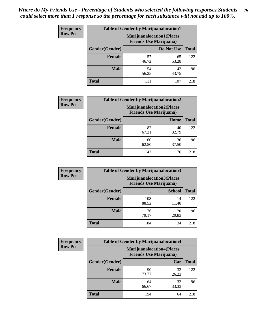| <b>Frequency</b> | <b>Table of Gender by Marijuanalocation1</b> |                                                                    |             |              |
|------------------|----------------------------------------------|--------------------------------------------------------------------|-------------|--------------|
| <b>Row Pct</b>   |                                              | <b>Marijuanalocation1(Places</b><br><b>Friends Use Marijuana</b> ) |             |              |
|                  | Gender(Gender)                               |                                                                    | Do Not Use  | <b>Total</b> |
|                  | <b>Female</b>                                | 57<br>46.72                                                        | 65<br>53.28 | 122          |
|                  | <b>Male</b>                                  | 54<br>56.25                                                        | 42<br>43.75 | 96           |
|                  | <b>Total</b>                                 | 111                                                                | 107         | 218          |

| <b>Frequency</b> | <b>Table of Gender by Marijuanalocation2</b> |                                                                    |             |              |  |
|------------------|----------------------------------------------|--------------------------------------------------------------------|-------------|--------------|--|
| <b>Row Pct</b>   |                                              | <b>Marijuanalocation2(Places</b><br><b>Friends Use Marijuana</b> ) |             |              |  |
|                  | Gender(Gender)                               |                                                                    | Home        | <b>Total</b> |  |
|                  | <b>Female</b>                                | 82<br>67.21                                                        | 40<br>32.79 | 122          |  |
|                  | <b>Male</b>                                  | 60<br>62.50                                                        | 36<br>37.50 | 96           |  |
|                  | <b>Total</b>                                 | 142                                                                | 76          | 218          |  |

| <b>Frequency</b> | <b>Table of Gender by Marijuanalocation3</b> |              |                                                                    |              |  |
|------------------|----------------------------------------------|--------------|--------------------------------------------------------------------|--------------|--|
| <b>Row Pct</b>   |                                              |              | <b>Marijuanalocation3(Places</b><br><b>Friends Use Marijuana</b> ) |              |  |
|                  | Gender(Gender)                               |              | <b>School</b>                                                      | <b>Total</b> |  |
|                  | Female                                       | 108<br>88.52 | 14<br>11.48                                                        | 122          |  |
|                  | <b>Male</b>                                  | 76<br>79.17  | 20<br>20.83                                                        | 96           |  |
|                  | <b>Total</b>                                 | 184          | 34                                                                 | 218          |  |

| <b>Frequency</b> | <b>Table of Gender by Marijuanalocation4</b> |                                |                                  |              |  |
|------------------|----------------------------------------------|--------------------------------|----------------------------------|--------------|--|
| <b>Row Pct</b>   |                                              | <b>Friends Use Marijuana</b> ) | <b>Marijuanalocation4(Places</b> |              |  |
|                  | Gender(Gender)                               |                                | Car                              | <b>Total</b> |  |
|                  | <b>Female</b>                                | 90<br>73.77                    | 32<br>26.23                      | 122          |  |
|                  | <b>Male</b>                                  | 64<br>66.67                    | 32<br>33.33                      | 96           |  |
|                  | <b>Total</b>                                 | 154                            | 64                               | 218          |  |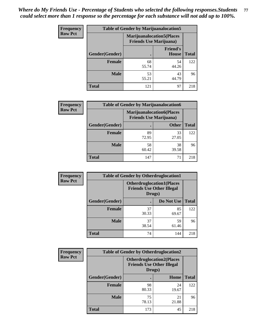| Frequency      | <b>Table of Gender by Marijuanalocation5</b> |                                                                    |                                 |              |
|----------------|----------------------------------------------|--------------------------------------------------------------------|---------------------------------|--------------|
| <b>Row Pct</b> |                                              | <b>Marijuanalocation5(Places</b><br><b>Friends Use Marijuana</b> ) |                                 |              |
|                | Gender(Gender)                               |                                                                    | <b>Friend's</b><br><b>House</b> | <b>Total</b> |
|                | <b>Female</b>                                | 68<br>55.74                                                        | 54<br>44.26                     | 122          |
|                | <b>Male</b>                                  | 53<br>55.21                                                        | 43<br>44.79                     | 96           |
|                | <b>Total</b>                                 | 121                                                                | 97                              | 218          |

| <b>Frequency</b> | <b>Table of Gender by Marijuanalocation6</b> |                                |                                  |              |  |
|------------------|----------------------------------------------|--------------------------------|----------------------------------|--------------|--|
| <b>Row Pct</b>   |                                              | <b>Friends Use Marijuana</b> ) | <b>Marijuanalocation6(Places</b> |              |  |
|                  | <b>Gender</b> (Gender)                       |                                | <b>Other</b>                     | <b>Total</b> |  |
|                  | <b>Female</b>                                | 89<br>72.95                    | 33<br>27.05                      | 122          |  |
|                  | <b>Male</b>                                  | 58<br>60.42                    | 38<br>39.58                      | 96           |  |
|                  | <b>Total</b>                                 | 147                            | 71                               | 218          |  |

| <b>Frequency</b> | <b>Table of Gender by Otherdruglocation1</b> |                                                                                |             |              |
|------------------|----------------------------------------------|--------------------------------------------------------------------------------|-------------|--------------|
| <b>Row Pct</b>   |                                              | <b>Otherdruglocation1(Places</b><br><b>Friends Use Other Illegal</b><br>Drugs) |             |              |
|                  | Gender(Gender)                               |                                                                                | Do Not Use  | <b>Total</b> |
|                  | <b>Female</b>                                | 37<br>30.33                                                                    | 85<br>69.67 | 122          |
|                  | <b>Male</b>                                  | 37<br>38.54                                                                    | 59<br>61.46 | 96           |
|                  | <b>Total</b>                                 | 74                                                                             | 144         | 218          |

| <b>Frequency</b> | <b>Table of Gender by Otherdruglocation2</b>                                   |             |             |              |
|------------------|--------------------------------------------------------------------------------|-------------|-------------|--------------|
| <b>Row Pct</b>   | <b>Otherdruglocation2(Places</b><br><b>Friends Use Other Illegal</b><br>Drugs) |             |             |              |
|                  | Gender(Gender)                                                                 |             | Home        | <b>Total</b> |
|                  | <b>Female</b>                                                                  | 98<br>80.33 | 24<br>19.67 | 122          |
|                  | <b>Male</b>                                                                    | 75<br>78.13 | 21<br>21.88 | 96           |
|                  | <b>Total</b>                                                                   | 173         | 45          | 218          |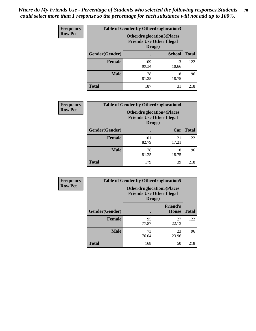| Frequency      | <b>Table of Gender by Otherdruglocation3</b> |                                                                                |               |              |
|----------------|----------------------------------------------|--------------------------------------------------------------------------------|---------------|--------------|
| <b>Row Pct</b> |                                              | <b>Otherdruglocation3(Places</b><br><b>Friends Use Other Illegal</b><br>Drugs) |               |              |
|                | Gender(Gender)                               |                                                                                | <b>School</b> | <b>Total</b> |
|                | <b>Female</b>                                | 109<br>89.34                                                                   | 13<br>10.66   | 122          |
|                | <b>Male</b>                                  | 78<br>81.25                                                                    | 18<br>18.75   | 96           |
|                | <b>Total</b>                                 | 187                                                                            | 31            | 218          |

| Frequency      | <b>Table of Gender by Otherdruglocation4</b> |                                                                                |             |              |
|----------------|----------------------------------------------|--------------------------------------------------------------------------------|-------------|--------------|
| <b>Row Pct</b> |                                              | <b>Otherdruglocation4(Places</b><br><b>Friends Use Other Illegal</b><br>Drugs) |             |              |
|                | Gender(Gender)                               |                                                                                | Car         | <b>Total</b> |
|                | <b>Female</b>                                | 101<br>82.79                                                                   | 21<br>17.21 | 122          |
|                | <b>Male</b>                                  | 78<br>81.25                                                                    | 18<br>18.75 | 96           |
|                | <b>Total</b>                                 | 179                                                                            | 39          | 218          |

| <b>Frequency</b> | <b>Table of Gender by Otherdruglocation5</b> |                                                                                |                                 |              |
|------------------|----------------------------------------------|--------------------------------------------------------------------------------|---------------------------------|--------------|
| <b>Row Pct</b>   |                                              | <b>Otherdruglocation5(Places</b><br><b>Friends Use Other Illegal</b><br>Drugs) |                                 |              |
|                  | Gender(Gender)                               |                                                                                | <b>Friend's</b><br><b>House</b> | <b>Total</b> |
|                  | <b>Female</b>                                | 95<br>77.87                                                                    | 27<br>22.13                     | 122          |
|                  | <b>Male</b>                                  | 73<br>76.04                                                                    | 23<br>23.96                     | 96           |
|                  | <b>Total</b>                                 | 168                                                                            | 50                              | 218          |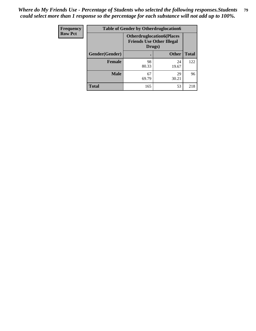| <b>Frequency</b> | <b>Table of Gender by Otherdruglocation6</b> |                                            |                                  |              |
|------------------|----------------------------------------------|--------------------------------------------|----------------------------------|--------------|
| <b>Row Pct</b>   |                                              | <b>Friends Use Other Illegal</b><br>Drugs) | <b>Otherdruglocation6(Places</b> |              |
|                  | Gender(Gender)                               |                                            | <b>Other</b>                     | <b>Total</b> |
|                  | <b>Female</b>                                | 98<br>80.33                                | 24<br>19.67                      | 122          |
|                  | <b>Male</b>                                  | 67<br>69.79                                | 29<br>30.21                      | 96           |
|                  | <b>Total</b>                                 | 165                                        | 53                               | 218          |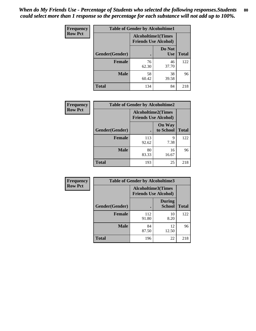| Frequency      | <b>Table of Gender by Alcoholtime1</b> |                                                          |                      |              |
|----------------|----------------------------------------|----------------------------------------------------------|----------------------|--------------|
| <b>Row Pct</b> |                                        | <b>Alcoholtime1(Times</b><br><b>Friends Use Alcohol)</b> |                      |              |
|                | Gender(Gender)                         | $\bullet$                                                | Do Not<br><b>Use</b> | <b>Total</b> |
|                | <b>Female</b>                          | 76<br>62.30                                              | 46<br>37.70          | 122          |
|                | <b>Male</b>                            | 58<br>60.42                                              | 38<br>39.58          | 96           |
|                | <b>Total</b>                           | 134                                                      | 84                   | 218          |

| Frequency      | <b>Table of Gender by Alcoholtime2</b> |                                                          |                            |              |
|----------------|----------------------------------------|----------------------------------------------------------|----------------------------|--------------|
| <b>Row Pct</b> |                                        | <b>Alcoholtime2(Times</b><br><b>Friends Use Alcohol)</b> |                            |              |
|                | Gender(Gender)                         |                                                          | <b>On Way</b><br>to School | <b>Total</b> |
|                | <b>Female</b>                          | 113<br>92.62                                             | 9<br>7.38                  | 122          |
|                | <b>Male</b>                            | 80<br>83.33                                              | 16<br>16.67                | 96           |
|                | <b>Total</b>                           | 193                                                      | 25                         | 218          |

| Frequency      | <b>Table of Gender by Alcoholtime3</b> |                                                   |                                |              |
|----------------|----------------------------------------|---------------------------------------------------|--------------------------------|--------------|
| <b>Row Pct</b> |                                        | Alcoholtime3(Times<br><b>Friends Use Alcohol)</b> |                                |              |
|                | Gender(Gender)                         |                                                   | <b>During</b><br><b>School</b> | <b>Total</b> |
|                | Female                                 | 112<br>91.80                                      | 10<br>8.20                     | 122          |
|                | <b>Male</b>                            | 84<br>87.50                                       | 12<br>12.50                    | 96           |
|                | <b>Total</b>                           | 196                                               | 22                             | 218          |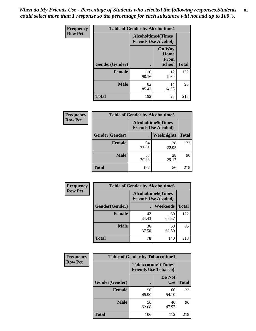*When do My Friends Use - Percentage of Students who selected the following responses.Students could select more than 1 response so the percentage for each substance will not add up to 100%.* **81**

| <b>Frequency</b> | <b>Table of Gender by Alcoholtime4</b> |                                                          |                                                |              |
|------------------|----------------------------------------|----------------------------------------------------------|------------------------------------------------|--------------|
| <b>Row Pct</b>   |                                        | <b>Alcoholtime4(Times</b><br><b>Friends Use Alcohol)</b> |                                                |              |
|                  | Gender(Gender)                         |                                                          | <b>On Way</b><br>Home<br>From<br><b>School</b> | <b>Total</b> |
|                  | <b>Female</b>                          | 110<br>90.16                                             | 12<br>9.84                                     | 122          |
|                  | <b>Male</b>                            | 82<br>85.42                                              | 14<br>14.58                                    | 96           |
|                  | <b>Total</b>                           | 192                                                      | 26                                             | 218          |

| <b>Frequency</b> | <b>Table of Gender by Alcoholtime5</b> |                                                          |                   |              |
|------------------|----------------------------------------|----------------------------------------------------------|-------------------|--------------|
| <b>Row Pct</b>   |                                        | <b>Alcoholtime5(Times</b><br><b>Friends Use Alcohol)</b> |                   |              |
|                  | Gender(Gender)                         |                                                          | <b>Weeknights</b> | <b>Total</b> |
|                  | <b>Female</b>                          | 94<br>77.05                                              | 28<br>22.95       | 122          |
|                  | <b>Male</b>                            | 68<br>70.83                                              | 28<br>29.17       | 96           |
|                  | <b>Total</b>                           | 162                                                      | 56                | 218          |

| <b>Frequency</b> | <b>Table of Gender by Alcoholtime6</b> |                                                           |             |              |
|------------------|----------------------------------------|-----------------------------------------------------------|-------------|--------------|
| <b>Row Pct</b>   |                                        | <b>Alcoholtime6</b> (Times<br><b>Friends Use Alcohol)</b> |             |              |
|                  | Gender(Gender)                         |                                                           | Weekends    | <b>Total</b> |
|                  | <b>Female</b>                          | 42<br>34.43                                               | 80<br>65.57 | 122          |
|                  | <b>Male</b>                            | 36<br>37.50                                               | 60<br>62.50 | 96           |
|                  | <b>Total</b>                           | 78                                                        | 140         | 218          |

| <b>Frequency</b> | <b>Table of Gender by Tobaccotime1</b> |                                                          |                      |              |
|------------------|----------------------------------------|----------------------------------------------------------|----------------------|--------------|
| <b>Row Pct</b>   |                                        | <b>Tobaccotime1(Times</b><br><b>Friends Use Tobacco)</b> |                      |              |
|                  | Gender(Gender)                         |                                                          | Do Not<br><b>Use</b> | <b>Total</b> |
|                  | <b>Female</b>                          | 56<br>45.90                                              | 66<br>54.10          | 122          |
|                  | <b>Male</b>                            | 50<br>52.08                                              | 46<br>47.92          | 96           |
|                  | <b>Total</b>                           | 106                                                      | 112                  | 218          |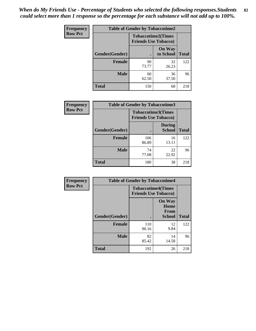| <b>Frequency</b> | <b>Table of Gender by Tobaccotime2</b> |                             |                            |              |
|------------------|----------------------------------------|-----------------------------|----------------------------|--------------|
| <b>Row Pct</b>   |                                        | <b>Friends Use Tobacco)</b> | <b>Tobaccotime2(Times</b>  |              |
|                  | Gender(Gender)                         |                             | <b>On Way</b><br>to School | <b>Total</b> |
|                  | <b>Female</b>                          | 90<br>73.77                 | 32<br>26.23                | 122          |
|                  | <b>Male</b>                            | 60<br>62.50                 | 36<br>37.50                | 96           |
|                  | <b>Total</b>                           | 150                         | 68                         | 218          |

| Frequency      | <b>Table of Gender by Tobaccotime3</b> |                                                          |                                |              |
|----------------|----------------------------------------|----------------------------------------------------------|--------------------------------|--------------|
| <b>Row Pct</b> |                                        | <b>Tobaccotime3(Times</b><br><b>Friends Use Tobacco)</b> |                                |              |
|                | Gender(Gender)                         |                                                          | <b>During</b><br><b>School</b> | <b>Total</b> |
|                | <b>Female</b>                          | 106<br>86.89                                             | 16<br>13.11                    | 122          |
|                | <b>Male</b>                            | 74<br>77.08                                              | 22<br>22.92                    | 96           |
|                | <b>Total</b>                           | 180                                                      | 38                             | 218          |

| Frequency      | <b>Table of Gender by Tobaccotime4</b> |                                                          |                                                |              |
|----------------|----------------------------------------|----------------------------------------------------------|------------------------------------------------|--------------|
| <b>Row Pct</b> |                                        | <b>Tobaccotime4(Times</b><br><b>Friends Use Tobacco)</b> |                                                |              |
|                | Gender(Gender)                         |                                                          | <b>On Way</b><br>Home<br>From<br><b>School</b> | <b>Total</b> |
|                | <b>Female</b>                          | 110<br>90.16                                             | 12<br>9.84                                     | 122          |
|                | <b>Male</b>                            | 82<br>85.42                                              | 14<br>14.58                                    | 96           |
|                | <b>Total</b>                           | 192                                                      | 26                                             | 218          |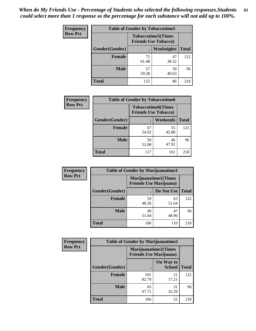| <b>Frequency</b> | <b>Table of Gender by Tobaccotime5</b> |             |                                                           |              |  |
|------------------|----------------------------------------|-------------|-----------------------------------------------------------|--------------|--|
| <b>Row Pct</b>   |                                        |             | <b>Tobaccotime5</b> (Times<br><b>Friends Use Tobacco)</b> |              |  |
|                  | Gender(Gender)                         |             | <b>Weeknights</b>                                         | <b>Total</b> |  |
|                  | <b>Female</b>                          | 75<br>61.48 | 47<br>38.52                                               | 122          |  |
|                  | <b>Male</b>                            | 57<br>59.38 | 39<br>40.63                                               | 96           |  |
|                  | <b>Total</b>                           | 132         | 86                                                        | 218          |  |

| <b>Frequency</b> | <b>Table of Gender by Tobaccotime6</b> |                                                          |                 |              |
|------------------|----------------------------------------|----------------------------------------------------------|-----------------|--------------|
| <b>Row Pct</b>   |                                        | <b>Tobaccotime6(Times</b><br><b>Friends Use Tobacco)</b> |                 |              |
|                  | Gender(Gender)                         |                                                          | <b>Weekends</b> | <b>Total</b> |
|                  | Female                                 | 67<br>54.92                                              | 55<br>45.08     | 122          |
|                  | <b>Male</b>                            | 50<br>52.08                                              | 46<br>47.92     | 96           |
|                  | <b>Total</b>                           | 117                                                      | 101             | 218          |

| <b>Frequency</b> | <b>Table of Gender by Marijuanatime1</b> |                                |                             |              |
|------------------|------------------------------------------|--------------------------------|-----------------------------|--------------|
| <b>Row Pct</b>   |                                          | <b>Friends Use Marijuana</b> ) | <b>Marijuanatime1(Times</b> |              |
|                  | Gender(Gender)                           |                                | Do Not Use                  | <b>Total</b> |
|                  | <b>Female</b>                            | 59<br>48.36                    | 63<br>51.64                 | 122          |
|                  | <b>Male</b>                              | 49<br>51.04                    | 47<br>48.96                 | 96           |
|                  | <b>Total</b>                             | 108                            | 110                         | 218          |

| <b>Frequency</b> | <b>Table of Gender by Marijuanatime2</b> |                                                               |                            |              |
|------------------|------------------------------------------|---------------------------------------------------------------|----------------------------|--------------|
| <b>Row Pct</b>   |                                          | <b>Marijuanatime2(Times</b><br><b>Friends Use Marijuana</b> ) |                            |              |
|                  | Gender(Gender)                           |                                                               | On Way to<br><b>School</b> | <b>Total</b> |
|                  | <b>Female</b>                            | 101<br>82.79                                                  | 21<br>17.21                | 122          |
|                  | <b>Male</b>                              | 65<br>67.71                                                   | 31<br>32.29                | 96           |
|                  | <b>Total</b>                             | 166                                                           | 52                         | 218          |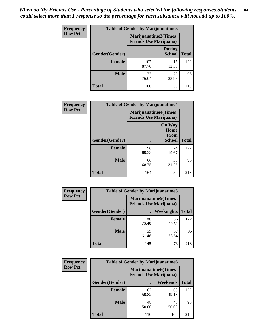*When do My Friends Use - Percentage of Students who selected the following responses.Students could select more than 1 response so the percentage for each substance will not add up to 100%.* **84**

| <b>Frequency</b> | Table of Gender by Marijuanatime3 |                                                        |                                |              |
|------------------|-----------------------------------|--------------------------------------------------------|--------------------------------|--------------|
| <b>Row Pct</b>   |                                   | Marijuanatime3(Times<br><b>Friends Use Marijuana</b> ) |                                |              |
|                  | Gender(Gender)                    |                                                        | <b>During</b><br><b>School</b> | <b>Total</b> |
|                  | <b>Female</b>                     | 107<br>87.70                                           | 15<br>12.30                    | 122          |
|                  | <b>Male</b>                       | 73<br>76.04                                            | 23<br>23.96                    | 96           |
|                  | <b>Total</b>                      | 180                                                    | 38                             | 218          |

| Frequency      | <b>Table of Gender by Marijuanatime4</b> |                                                                |                                                       |              |
|----------------|------------------------------------------|----------------------------------------------------------------|-------------------------------------------------------|--------------|
| <b>Row Pct</b> |                                          | <b>Marijuanatime4</b> (Times<br><b>Friends Use Marijuana</b> ) |                                                       |              |
|                | Gender(Gender)                           |                                                                | <b>On Way</b><br>Home<br><b>From</b><br><b>School</b> | <b>Total</b> |
|                | <b>Female</b>                            | 98<br>80.33                                                    | 24<br>19.67                                           | 122          |
|                | <b>Male</b>                              | 66<br>68.75                                                    | 30<br>31.25                                           | 96           |
|                | <b>Total</b>                             | 164                                                            | 54                                                    | 218          |

| Frequency      | <b>Table of Gender by Marijuanatime5</b> |             |                                                                |              |  |
|----------------|------------------------------------------|-------------|----------------------------------------------------------------|--------------|--|
| <b>Row Pct</b> |                                          |             | <b>Marijuanatime5</b> (Times<br><b>Friends Use Marijuana</b> ) |              |  |
|                | Gender(Gender)                           |             | Weeknights                                                     | <b>Total</b> |  |
|                | <b>Female</b>                            | 86<br>70.49 | 36<br>29.51                                                    | 122          |  |
|                | <b>Male</b>                              | 59<br>61.46 | 37<br>38.54                                                    | 96           |  |
|                | <b>Total</b>                             | 145         | 73                                                             | 218          |  |

| Frequency      | <b>Table of Gender by Marijuanatime6</b> |                                                               |                 |              |
|----------------|------------------------------------------|---------------------------------------------------------------|-----------------|--------------|
| <b>Row Pct</b> |                                          | <b>Marijuanatime6(Times</b><br><b>Friends Use Marijuana</b> ) |                 |              |
|                | Gender(Gender)                           |                                                               | <b>Weekends</b> | <b>Total</b> |
|                | <b>Female</b>                            | 62<br>50.82                                                   | 60<br>49.18     | 122          |
|                | <b>Male</b>                              | 48<br>50.00                                                   | 48<br>50.00     | 96           |
|                | <b>Total</b>                             | 110                                                           | 108             | 218          |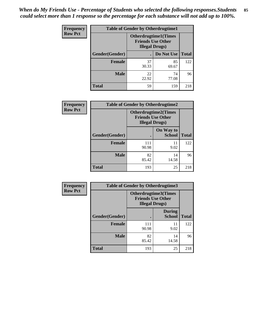*When do My Friends Use - Percentage of Students who selected the following responses.Students could select more than 1 response so the percentage for each substance will not add up to 100%.* **85**

| <b>Frequency</b> | <b>Table of Gender by Otherdrugtime1</b> |                                                                                    |                    |     |  |
|------------------|------------------------------------------|------------------------------------------------------------------------------------|--------------------|-----|--|
| <b>Row Pct</b>   |                                          | <b>Otherdrugtime1</b> (Times<br><b>Friends Use Other</b><br><b>Illegal Drugs</b> ) |                    |     |  |
|                  | Gender(Gender)                           |                                                                                    | Do Not Use   Total |     |  |
|                  | <b>Female</b>                            | 37<br>30.33                                                                        | 85<br>69.67        | 122 |  |
|                  | <b>Male</b>                              | 22<br>22.92                                                                        | 74<br>77.08        | 96  |  |
|                  | <b>Total</b>                             | 59                                                                                 | 159                | 218 |  |

| Frequency      | <b>Table of Gender by Otherdrugtime2</b> |                        |                                                         |              |
|----------------|------------------------------------------|------------------------|---------------------------------------------------------|--------------|
| <b>Row Pct</b> |                                          | <b>Illegal Drugs</b> ) | <b>Otherdrugtime2(Times</b><br><b>Friends Use Other</b> |              |
|                | Gender(Gender)                           |                        | On Way to<br><b>School</b>                              | <b>Total</b> |
|                | <b>Female</b>                            | 111<br>90.98           | 11<br>9.02                                              | 122          |
|                | <b>Male</b>                              | 82<br>85.42            | 14<br>14.58                                             | 96           |
|                | <b>Total</b>                             | 193                    | 25                                                      | 218          |

| Frequency      | <b>Table of Gender by Otherdrugtime3</b> |                       |                                                         |              |
|----------------|------------------------------------------|-----------------------|---------------------------------------------------------|--------------|
| <b>Row Pct</b> |                                          | <b>Illegal Drugs)</b> | <b>Otherdrugtime3(Times</b><br><b>Friends Use Other</b> |              |
|                | Gender(Gender)                           |                       | <b>During</b><br><b>School</b>                          | <b>Total</b> |
|                | <b>Female</b>                            | 111<br>90.98          | 11<br>9.02                                              | 122          |
|                | <b>Male</b>                              | 82<br>85.42           | 14<br>14.58                                             | 96           |
|                | <b>Total</b>                             | 193                   | 25                                                      | 218          |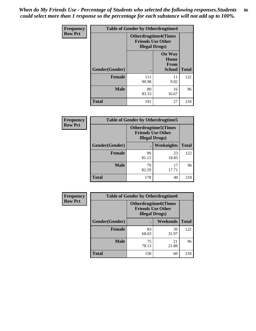*When do My Friends Use - Percentage of Students who selected the following responses.Students could select more than 1 response so the percentage for each substance will not add up to 100%.* **86**

| <b>Frequency</b> | <b>Table of Gender by Otherdrugtime4</b> |                        |                                                         |              |
|------------------|------------------------------------------|------------------------|---------------------------------------------------------|--------------|
| <b>Row Pct</b>   |                                          | <b>Illegal Drugs</b> ) | <b>Otherdrugtime4(Times</b><br><b>Friends Use Other</b> |              |
|                  | Gender(Gender)                           |                        | <b>On Way</b><br>Home<br>From<br><b>School</b>          | <b>Total</b> |
|                  | Female                                   | 111<br>90.98           | 11<br>9.02                                              | 122          |
|                  | <b>Male</b>                              | 80<br>83.33            | 16<br>16.67                                             | 96           |
|                  | <b>Total</b>                             | 191                    | 27                                                      | 218          |

| Frequency      | <b>Table of Gender by Otherdrugtime5</b> |                                                                                    |                   |              |
|----------------|------------------------------------------|------------------------------------------------------------------------------------|-------------------|--------------|
| <b>Row Pct</b> |                                          | <b>Otherdrugtime5</b> (Times<br><b>Friends Use Other</b><br><b>Illegal Drugs</b> ) |                   |              |
|                | Gender(Gender)                           |                                                                                    | <b>Weeknights</b> | <b>Total</b> |
|                | <b>Female</b>                            | 99<br>81.15                                                                        | 23<br>18.85       | 122          |
|                | <b>Male</b>                              | 79<br>82.29                                                                        | 17<br>17.71       | 96           |
|                | <b>Total</b>                             | 178                                                                                | 40                | 218          |

| <b>Frequency</b> | <b>Table of Gender by Otherdrugtime6</b> |                                                                                   |             |              |
|------------------|------------------------------------------|-----------------------------------------------------------------------------------|-------------|--------------|
| <b>Row Pct</b>   |                                          | <b>Otherdrugtime6(Times</b><br><b>Friends Use Other</b><br><b>Illegal Drugs</b> ) |             |              |
|                  | Gender(Gender)                           |                                                                                   | Weekends    | <b>Total</b> |
|                  | Female                                   | 83<br>68.03                                                                       | 39<br>31.97 | 122          |
|                  | <b>Male</b>                              | 75<br>78.13                                                                       | 21<br>21.88 | 96           |
|                  | <b>Total</b>                             | 158                                                                               | 60          | 218          |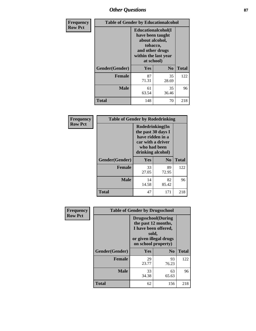# *Other Questions* **87**

| Frequency      | <b>Table of Gender by Educationalcohol</b> |                                                                                                                               |                |              |  |
|----------------|--------------------------------------------|-------------------------------------------------------------------------------------------------------------------------------|----------------|--------------|--|
| <b>Row Pct</b> |                                            | Educationalcohol(I<br>have been taught<br>about alcohol,<br>tobacco,<br>and other drugs<br>within the last year<br>at school) |                |              |  |
|                | Gender(Gender)                             | Yes                                                                                                                           | N <sub>0</sub> | <b>Total</b> |  |
|                | Female                                     | 87<br>71.31                                                                                                                   | 35<br>28.69    | 122          |  |
|                | <b>Male</b>                                | 61<br>63.54                                                                                                                   | 35<br>36.46    | 96           |  |
|                | Total                                      | 148                                                                                                                           | 70             | 218          |  |

| Frequency      | <b>Table of Gender by Rodedrinking</b> |                                                                                                                     |             |              |  |  |
|----------------|----------------------------------------|---------------------------------------------------------------------------------------------------------------------|-------------|--------------|--|--|
| <b>Row Pct</b> |                                        | Rodedrinking(In<br>the past 30 days I<br>have ridden in a<br>car with a driver<br>who had been<br>drinking alcohol) |             |              |  |  |
|                | Gender(Gender)                         | Yes                                                                                                                 | $\bf N_0$   | <b>Total</b> |  |  |
|                | <b>Female</b>                          | 33<br>27.05                                                                                                         | 89<br>72.95 | 122          |  |  |
|                | <b>Male</b>                            | 14<br>14.58                                                                                                         | 82<br>85.42 | 96           |  |  |
|                | <b>Total</b>                           | 47                                                                                                                  | 171         | 218          |  |  |

| Frequency      | <b>Table of Gender by Drugsschool</b> |                                                                                                                                     |                |              |  |
|----------------|---------------------------------------|-------------------------------------------------------------------------------------------------------------------------------------|----------------|--------------|--|
| <b>Row Pct</b> |                                       | <b>Drugsschool</b> (During<br>the past 12 months,<br>I have been offered,<br>sold,<br>or given illegal drugs<br>on school property) |                |              |  |
|                | Gender(Gender)                        | <b>Yes</b>                                                                                                                          | N <sub>0</sub> | <b>Total</b> |  |
|                | <b>Female</b>                         | 29<br>23.77                                                                                                                         | 93<br>76.23    | 122          |  |
|                | <b>Male</b>                           | 33<br>34.38                                                                                                                         | 63<br>65.63    | 96           |  |
|                | <b>Total</b>                          | 62                                                                                                                                  | 156            | 218          |  |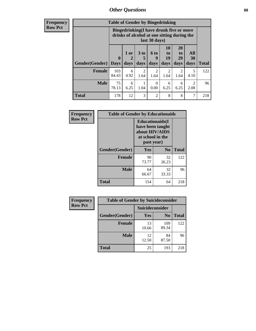# *Other Questions* **88**

**Frequency Row Pct**

| <b>Table of Gender by Bingedrinking</b> |                         |                                                                                                         |                        |                   |                        |                               |                                     |              |
|-----------------------------------------|-------------------------|---------------------------------------------------------------------------------------------------------|------------------------|-------------------|------------------------|-------------------------------|-------------------------------------|--------------|
|                                         |                         | Bingedrinking(I have drunk five or more<br>drinks of alcohol at one sitting during the<br>last 30 days) |                        |                   |                        |                               |                                     |              |
| <b>Gender</b> (Gender)                  | $\bf{0}$<br><b>Days</b> | 1 or<br>days                                                                                            | 3 to<br>5<br>days      | 6 to<br>9<br>days | 10<br>to<br>19<br>days | <b>20</b><br>to<br>29<br>days | All<br>30<br>days                   | <b>Total</b> |
| <b>Female</b>                           | 103<br>84.43            | 6<br>4.92                                                                                               | $\overline{2}$<br>1.64 | 2<br>1.64         | 2<br>1.64              | 2<br>1.64                     | 5<br>4.10                           | 122          |
| <b>Male</b>                             | 75<br>78.13             | 6<br>6.25                                                                                               | 1.04                   | 0<br>0.00         | 6<br>6.25              | 6<br>6.25                     | $\mathcal{D}_{\mathcal{L}}$<br>2.08 | 96           |
| <b>Total</b>                            | 178                     | 12                                                                                                      | 3                      | $\mathfrak{D}$    | 8                      | 8                             | 7                                   | 218          |

| Frequency      | <b>Table of Gender by Educationaids</b> |                                                                                                 |                |              |  |  |
|----------------|-----------------------------------------|-------------------------------------------------------------------------------------------------|----------------|--------------|--|--|
| <b>Row Pct</b> |                                         | <b>Educationaids</b> (I<br>have been taught<br>about HIV/AIDS<br>at school in the<br>past year) |                |              |  |  |
|                | Gender(Gender)                          | Yes                                                                                             | N <sub>0</sub> | <b>Total</b> |  |  |
|                | <b>Female</b>                           | 90<br>73.77                                                                                     | 32<br>26.23    | 122          |  |  |
|                | <b>Male</b>                             | 64<br>66.67                                                                                     | 32<br>33.33    | 96           |  |  |
|                | <b>Total</b>                            | 154                                                                                             | 64             | 218          |  |  |

| <b>Frequency</b> | <b>Table of Gender by Suicideconsider</b> |                 |                |       |  |
|------------------|-------------------------------------------|-----------------|----------------|-------|--|
| <b>Row Pct</b>   |                                           | Suicideconsider |                |       |  |
|                  | Gender(Gender)                            | Yes             | N <sub>0</sub> | Total |  |
|                  | <b>Female</b>                             | 13<br>10.66     | 109<br>89.34   | 122   |  |
|                  | <b>Male</b>                               | 12<br>12.50     | 84<br>87.50    | 96    |  |
|                  | <b>Total</b>                              | 25              | 193            | 218   |  |